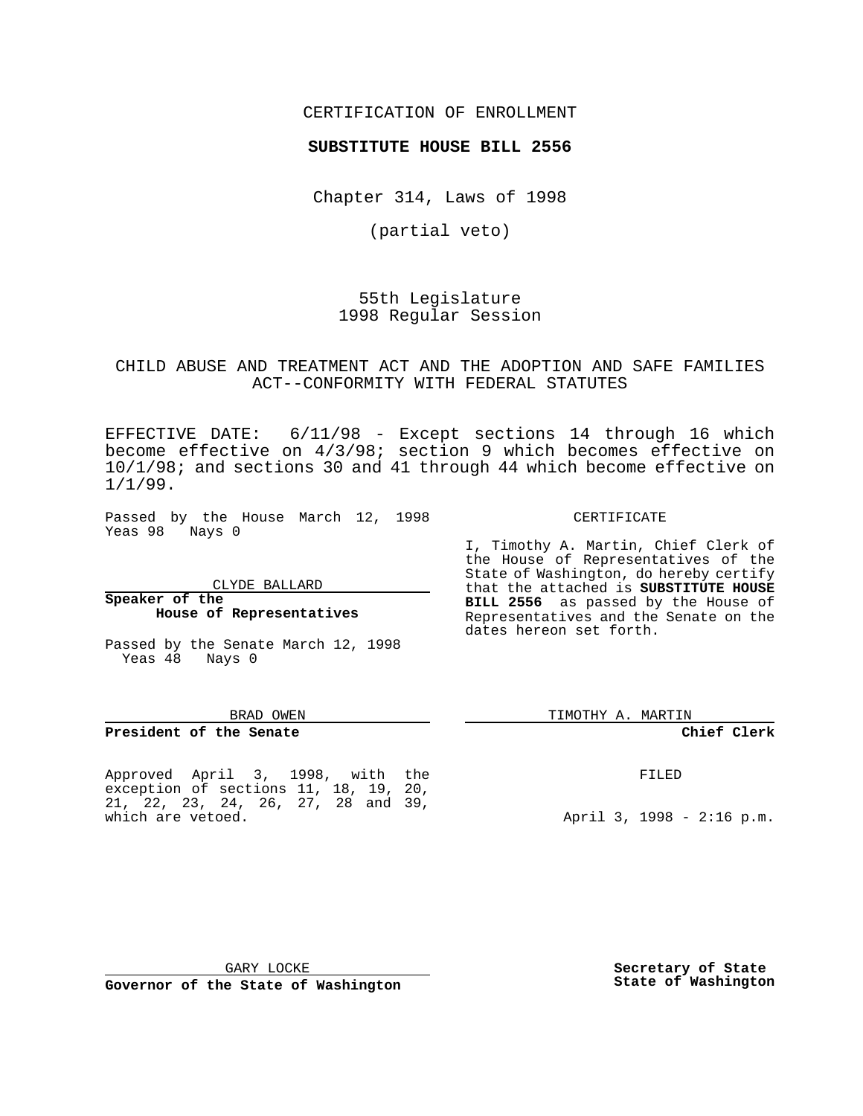CERTIFICATION OF ENROLLMENT

### **SUBSTITUTE HOUSE BILL 2556**

Chapter 314, Laws of 1998

(partial veto)

55th Legislature 1998 Regular Session

### CHILD ABUSE AND TREATMENT ACT AND THE ADOPTION AND SAFE FAMILIES ACT--CONFORMITY WITH FEDERAL STATUTES

EFFECTIVE DATE: 6/11/98 - Except sections 14 through 16 which become effective on 4/3/98; section 9 which becomes effective on 10/1/98; and sections 30 and 41 through 44 which become effective on 1/1/99.

Passed by the House March 12, 1998 Yeas 98 Nays 0

CLYDE BALLARD

**House of Representatives**

Passed by the Senate March 12, 1998

# CERTIFICATE I, Timothy A. Martin, Chief Clerk of

the House of Representatives of the

State of Washington, do hereby certify that the attached is **SUBSTITUTE HOUSE BILL 2556** as passed by the House of Representatives and the Senate on the dates hereon set forth.

BRAD OWEN

**President of the Senate**

Yeas 48 Nays 0

**Speaker of the**

Approved April 3, 1998, with the exception of sections 11, 18, 19, 20, 21, 22, 23, 24, 26, 27, 28 and 39, which are vetoed.

TIMOTHY A. MARTIN

#### **Chief Clerk**

FILED

April 3, 1998 - 2:16 p.m.

GARY LOCKE

**Governor of the State of Washington**

**Secretary of State State of Washington**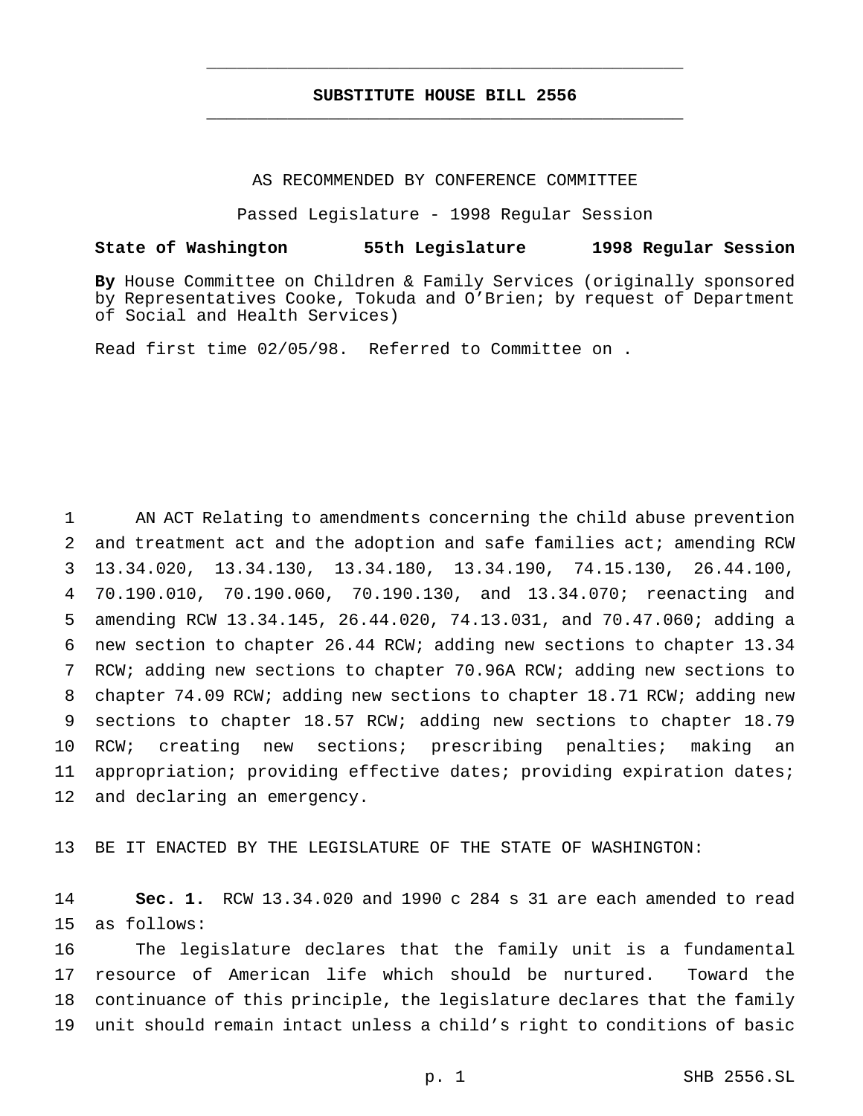## **SUBSTITUTE HOUSE BILL 2556** \_\_\_\_\_\_\_\_\_\_\_\_\_\_\_\_\_\_\_\_\_\_\_\_\_\_\_\_\_\_\_\_\_\_\_\_\_\_\_\_\_\_\_\_\_\_\_

\_\_\_\_\_\_\_\_\_\_\_\_\_\_\_\_\_\_\_\_\_\_\_\_\_\_\_\_\_\_\_\_\_\_\_\_\_\_\_\_\_\_\_\_\_\_\_

#### AS RECOMMENDED BY CONFERENCE COMMITTEE

Passed Legislature - 1998 Regular Session

## **State of Washington 55th Legislature 1998 Regular Session**

**By** House Committee on Children & Family Services (originally sponsored by Representatives Cooke, Tokuda and O'Brien; by request of Department of Social and Health Services)

Read first time 02/05/98. Referred to Committee on .

 AN ACT Relating to amendments concerning the child abuse prevention and treatment act and the adoption and safe families act; amending RCW 13.34.020, 13.34.130, 13.34.180, 13.34.190, 74.15.130, 26.44.100, 70.190.010, 70.190.060, 70.190.130, and 13.34.070; reenacting and amending RCW 13.34.145, 26.44.020, 74.13.031, and 70.47.060; adding a new section to chapter 26.44 RCW; adding new sections to chapter 13.34 RCW; adding new sections to chapter 70.96A RCW; adding new sections to chapter 74.09 RCW; adding new sections to chapter 18.71 RCW; adding new sections to chapter 18.57 RCW; adding new sections to chapter 18.79 RCW; creating new sections; prescribing penalties; making an appropriation; providing effective dates; providing expiration dates; and declaring an emergency.

BE IT ENACTED BY THE LEGISLATURE OF THE STATE OF WASHINGTON:

 **Sec. 1.** RCW 13.34.020 and 1990 c 284 s 31 are each amended to read as follows:

 The legislature declares that the family unit is a fundamental resource of American life which should be nurtured. Toward the continuance of this principle, the legislature declares that the family unit should remain intact unless a child's right to conditions of basic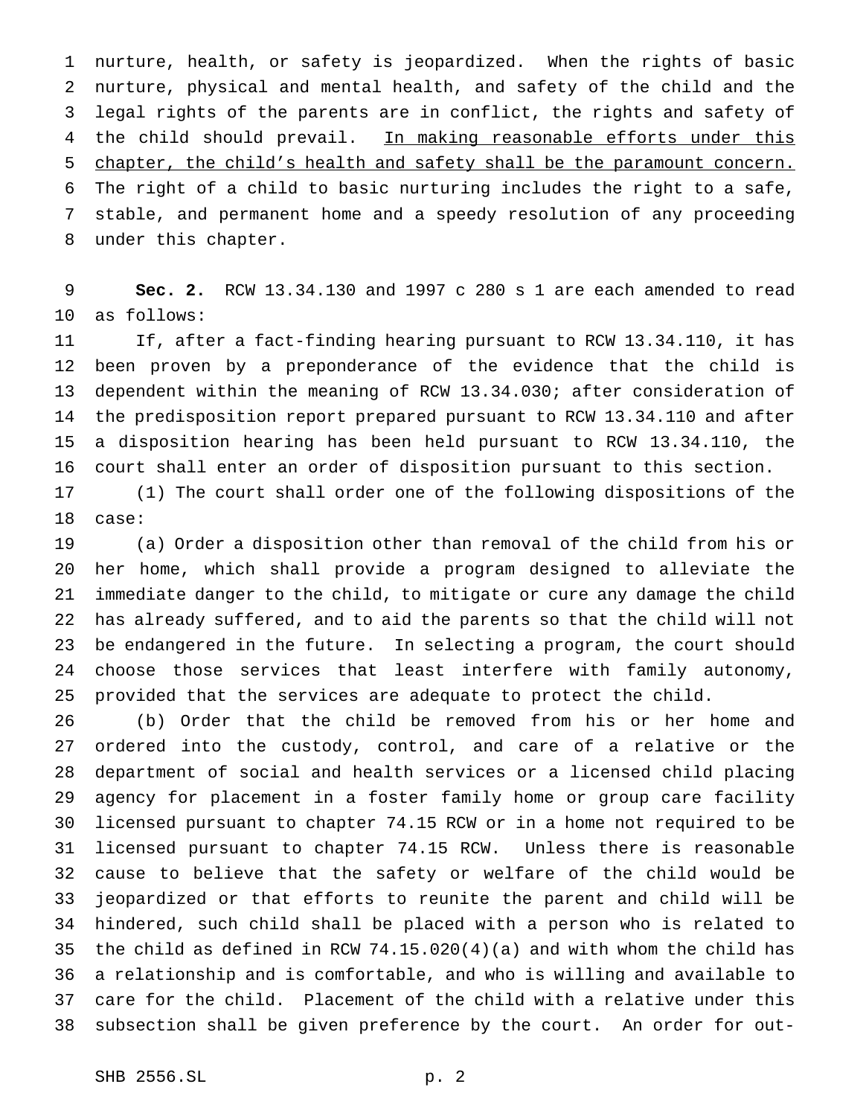nurture, health, or safety is jeopardized. When the rights of basic nurture, physical and mental health, and safety of the child and the legal rights of the parents are in conflict, the rights and safety of 4 the child should prevail. In making reasonable efforts under this chapter, the child's health and safety shall be the paramount concern. The right of a child to basic nurturing includes the right to a safe, stable, and permanent home and a speedy resolution of any proceeding under this chapter.

 **Sec. 2.** RCW 13.34.130 and 1997 c 280 s 1 are each amended to read as follows:

 If, after a fact-finding hearing pursuant to RCW 13.34.110, it has been proven by a preponderance of the evidence that the child is dependent within the meaning of RCW 13.34.030; after consideration of the predisposition report prepared pursuant to RCW 13.34.110 and after a disposition hearing has been held pursuant to RCW 13.34.110, the court shall enter an order of disposition pursuant to this section.

 (1) The court shall order one of the following dispositions of the case:

 (a) Order a disposition other than removal of the child from his or her home, which shall provide a program designed to alleviate the immediate danger to the child, to mitigate or cure any damage the child has already suffered, and to aid the parents so that the child will not be endangered in the future. In selecting a program, the court should choose those services that least interfere with family autonomy, provided that the services are adequate to protect the child.

 (b) Order that the child be removed from his or her home and ordered into the custody, control, and care of a relative or the department of social and health services or a licensed child placing agency for placement in a foster family home or group care facility licensed pursuant to chapter 74.15 RCW or in a home not required to be licensed pursuant to chapter 74.15 RCW. Unless there is reasonable cause to believe that the safety or welfare of the child would be jeopardized or that efforts to reunite the parent and child will be hindered, such child shall be placed with a person who is related to the child as defined in RCW 74.15.020(4)(a) and with whom the child has a relationship and is comfortable, and who is willing and available to care for the child. Placement of the child with a relative under this subsection shall be given preference by the court. An order for out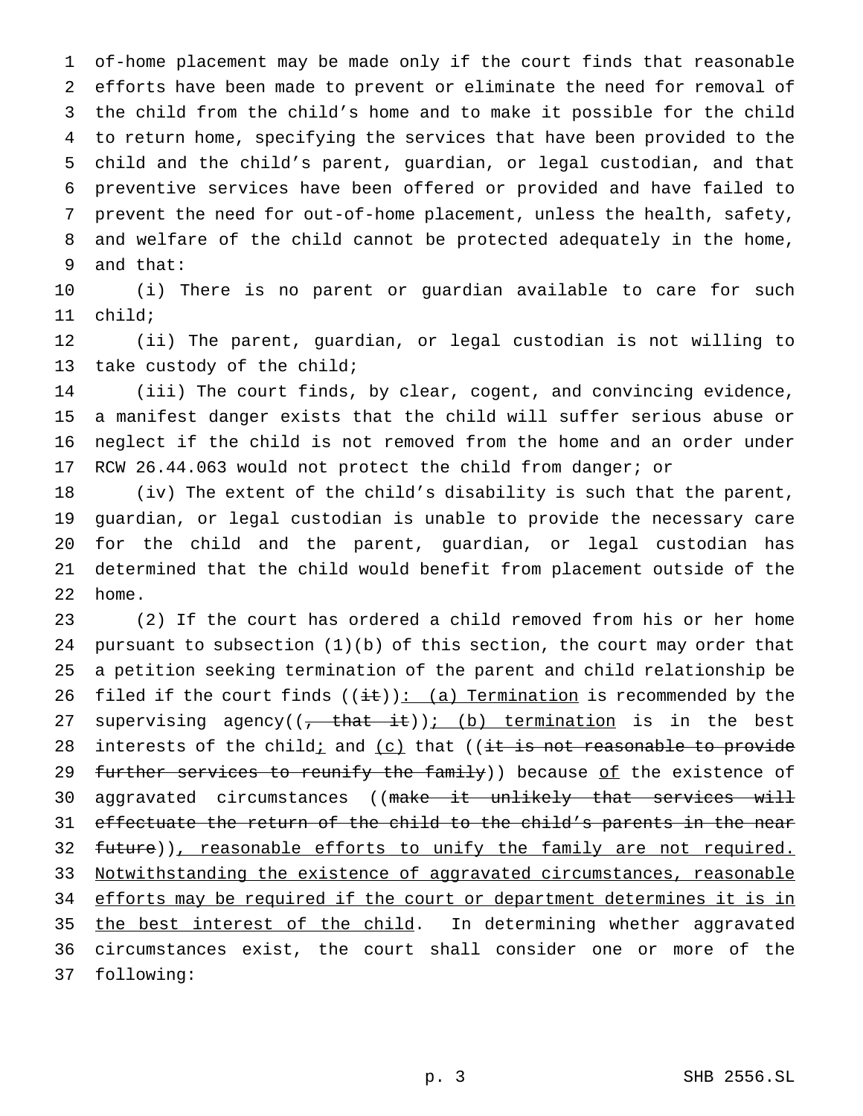of-home placement may be made only if the court finds that reasonable efforts have been made to prevent or eliminate the need for removal of the child from the child's home and to make it possible for the child to return home, specifying the services that have been provided to the child and the child's parent, guardian, or legal custodian, and that preventive services have been offered or provided and have failed to prevent the need for out-of-home placement, unless the health, safety, and welfare of the child cannot be protected adequately in the home, and that:

 (i) There is no parent or guardian available to care for such child;

 (ii) The parent, guardian, or legal custodian is not willing to take custody of the child;

 (iii) The court finds, by clear, cogent, and convincing evidence, a manifest danger exists that the child will suffer serious abuse or neglect if the child is not removed from the home and an order under RCW 26.44.063 would not protect the child from danger; or

 (iv) The extent of the child's disability is such that the parent, guardian, or legal custodian is unable to provide the necessary care for the child and the parent, guardian, or legal custodian has determined that the child would benefit from placement outside of the home.

 (2) If the court has ordered a child removed from his or her home pursuant to subsection (1)(b) of this section, the court may order that a petition seeking termination of the parent and child relationship be 26 filed if the court finds  $((\pm \mathbf{t}))$ : (a) Termination is recommended by the 27 supervising agency( $(-t + h + it)$ ); (b) termination is in the best 28 interests of the child; and  $(c)$  that ((it is not reasonable to provide 29 further services to reunify the family)) because of the existence of 30 aggravated circumstances ((make it unlikely that services will effectuate the return of the child to the child's parents in the near 32 future)), reasonable efforts to unify the family are not required. Notwithstanding the existence of aggravated circumstances, reasonable 34 efforts may be required if the court or department determines it is in 35 the best interest of the child. In determining whether aggravated circumstances exist, the court shall consider one or more of the following: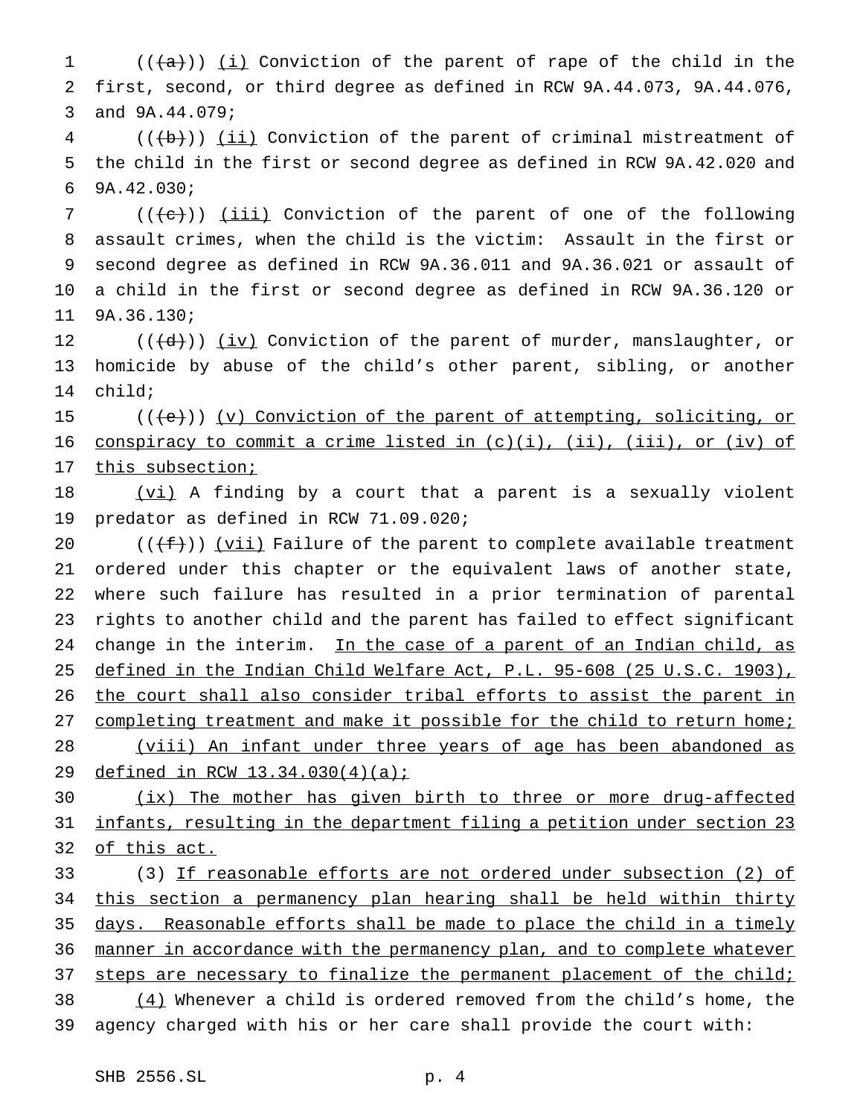(( $\{a\}$ )) <u>(i)</u> Conviction of the parent of rape of the child in the first, second, or third degree as defined in RCW 9A.44.073, 9A.44.076, and 9A.44.079;

 (( $\left(\frac{1}{11}\right)$ ) (ii) Conviction of the parent of criminal mistreatment of the child in the first or second degree as defined in RCW 9A.42.020 and 9A.42.030;

7 (((e))) (iii) Conviction of the parent of one of the following assault crimes, when the child is the victim: Assault in the first or second degree as defined in RCW 9A.36.011 and 9A.36.021 or assault of a child in the first or second degree as defined in RCW 9A.36.120 or 9A.36.130;

12 (((d))) (iv) Conviction of the parent of murder, manslaughter, or homicide by abuse of the child's other parent, sibling, or another child;

15 (((e)) (v) Conviction of the parent of attempting, soliciting, or 16 conspiracy to commit a crime listed in (c)(i), (ii), (iii), or (iv) of 17 this subsection;

18 (vi) A finding by a court that a parent is a sexually violent predator as defined in RCW 71.09.020;

 $((f f))$  (vii) Failure of the parent to complete available treatment ordered under this chapter or the equivalent laws of another state, where such failure has resulted in a prior termination of parental rights to another child and the parent has failed to effect significant 24 change in the interim. In the case of a parent of an Indian child, as defined in the Indian Child Welfare Act, P.L. 95-608 (25 U.S.C. 1903), 26 the court shall also consider tribal efforts to assist the parent in 27 completing treatment and make it possible for the child to return home; (viii) An infant under three years of age has been abandoned as defined in RCW 13.34.030(4)(a);

 (ix) The mother has given birth to three or more drug-affected infants, resulting in the department filing a petition under section 23 of this act.

 (3) If reasonable efforts are not ordered under subsection (2) of 34 this section a permanency plan hearing shall be held within thirty days. Reasonable efforts shall be made to place the child in a timely 36 manner in accordance with the permanency plan, and to complete whatever 37 steps are necessary to finalize the permanent placement of the child; 38  $(4)$  Whenever a child is ordered removed from the child's home, the agency charged with his or her care shall provide the court with: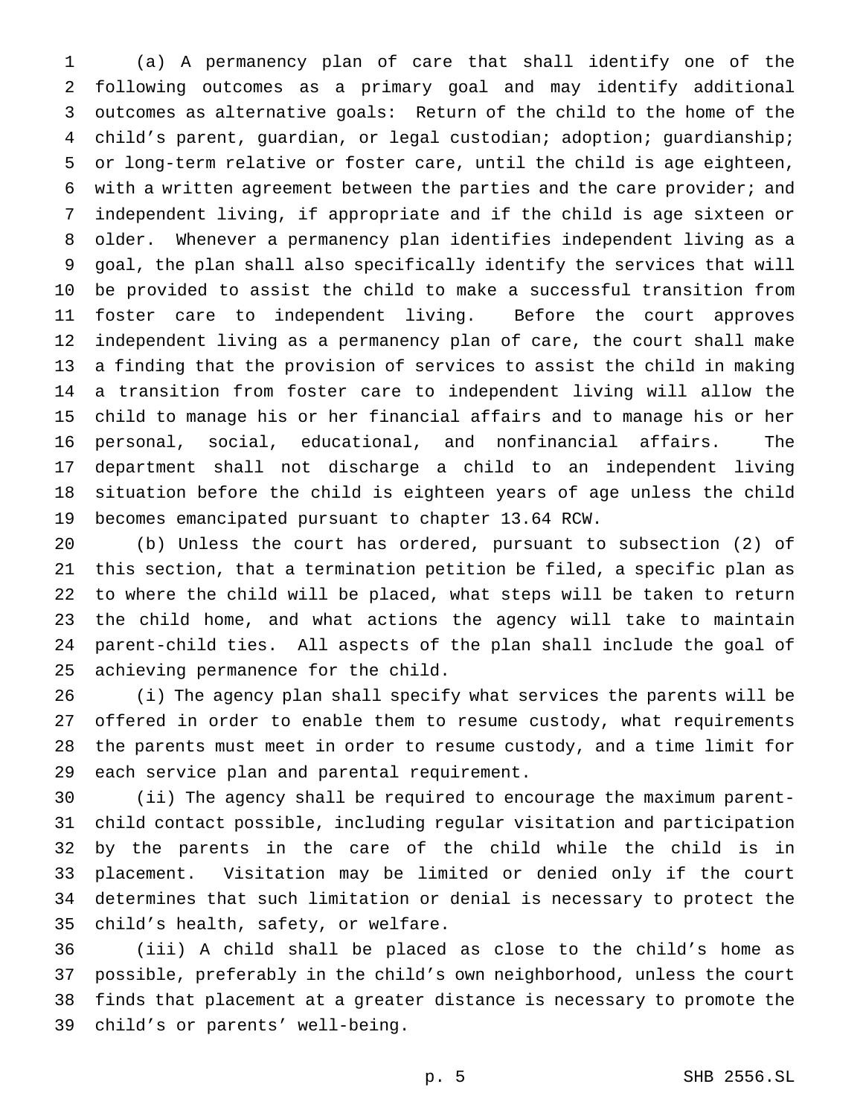(a) A permanency plan of care that shall identify one of the following outcomes as a primary goal and may identify additional outcomes as alternative goals: Return of the child to the home of the child's parent, guardian, or legal custodian; adoption; guardianship; or long-term relative or foster care, until the child is age eighteen, with a written agreement between the parties and the care provider; and independent living, if appropriate and if the child is age sixteen or older. Whenever a permanency plan identifies independent living as a goal, the plan shall also specifically identify the services that will be provided to assist the child to make a successful transition from foster care to independent living. Before the court approves independent living as a permanency plan of care, the court shall make a finding that the provision of services to assist the child in making a transition from foster care to independent living will allow the child to manage his or her financial affairs and to manage his or her personal, social, educational, and nonfinancial affairs. The department shall not discharge a child to an independent living situation before the child is eighteen years of age unless the child becomes emancipated pursuant to chapter 13.64 RCW.

 (b) Unless the court has ordered, pursuant to subsection (2) of this section, that a termination petition be filed, a specific plan as to where the child will be placed, what steps will be taken to return the child home, and what actions the agency will take to maintain parent-child ties. All aspects of the plan shall include the goal of achieving permanence for the child.

 (i) The agency plan shall specify what services the parents will be offered in order to enable them to resume custody, what requirements the parents must meet in order to resume custody, and a time limit for each service plan and parental requirement.

 (ii) The agency shall be required to encourage the maximum parent- child contact possible, including regular visitation and participation by the parents in the care of the child while the child is in placement. Visitation may be limited or denied only if the court determines that such limitation or denial is necessary to protect the child's health, safety, or welfare.

 (iii) A child shall be placed as close to the child's home as possible, preferably in the child's own neighborhood, unless the court finds that placement at a greater distance is necessary to promote the child's or parents' well-being.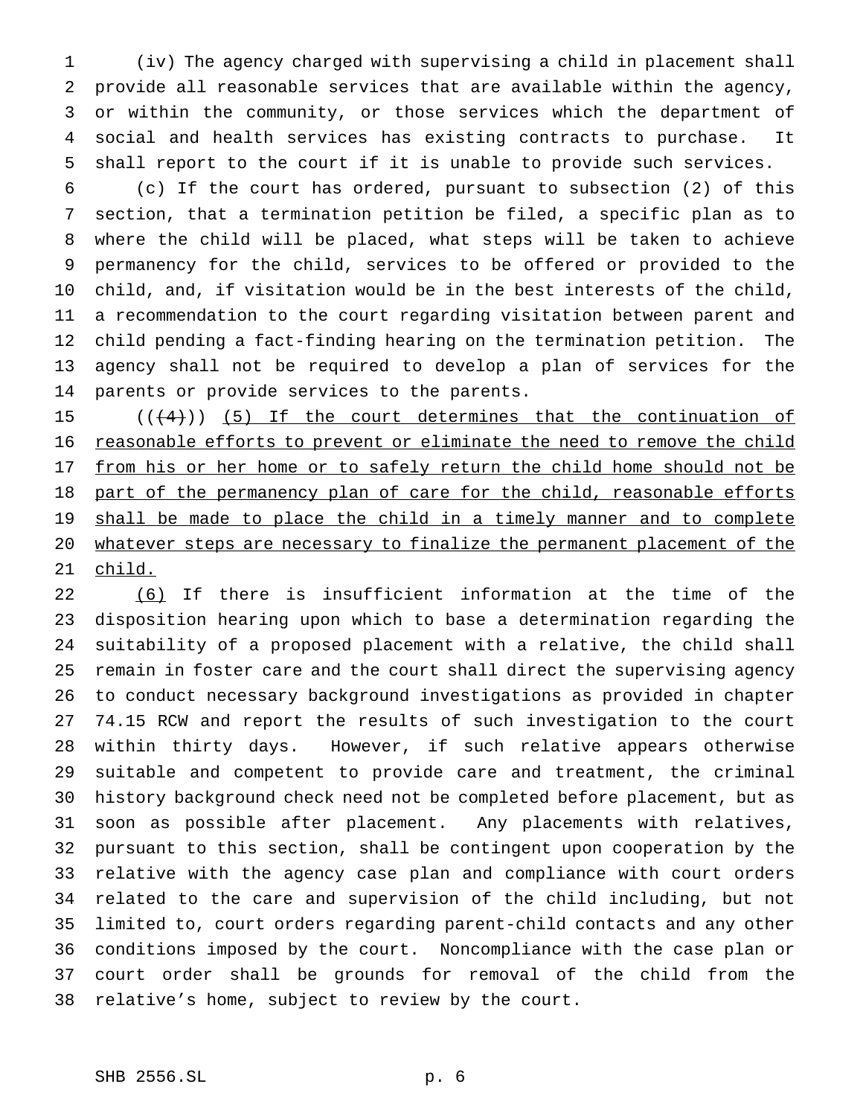(iv) The agency charged with supervising a child in placement shall provide all reasonable services that are available within the agency, or within the community, or those services which the department of social and health services has existing contracts to purchase. It shall report to the court if it is unable to provide such services.

 (c) If the court has ordered, pursuant to subsection (2) of this section, that a termination petition be filed, a specific plan as to where the child will be placed, what steps will be taken to achieve permanency for the child, services to be offered or provided to the child, and, if visitation would be in the best interests of the child, a recommendation to the court regarding visitation between parent and child pending a fact-finding hearing on the termination petition. The agency shall not be required to develop a plan of services for the parents or provide services to the parents.

15  $((+4))$  (5) If the court determines that the continuation of 16 reasonable efforts to prevent or eliminate the need to remove the child 17 from his or her home or to safely return the child home should not be 18 part of the permanency plan of care for the child, reasonable efforts 19 shall be made to place the child in a timely manner and to complete 20 whatever steps are necessary to finalize the permanent placement of the child.

 (6) If there is insufficient information at the time of the disposition hearing upon which to base a determination regarding the suitability of a proposed placement with a relative, the child shall remain in foster care and the court shall direct the supervising agency to conduct necessary background investigations as provided in chapter 74.15 RCW and report the results of such investigation to the court within thirty days. However, if such relative appears otherwise suitable and competent to provide care and treatment, the criminal history background check need not be completed before placement, but as soon as possible after placement. Any placements with relatives, pursuant to this section, shall be contingent upon cooperation by the relative with the agency case plan and compliance with court orders related to the care and supervision of the child including, but not limited to, court orders regarding parent-child contacts and any other conditions imposed by the court. Noncompliance with the case plan or court order shall be grounds for removal of the child from the relative's home, subject to review by the court.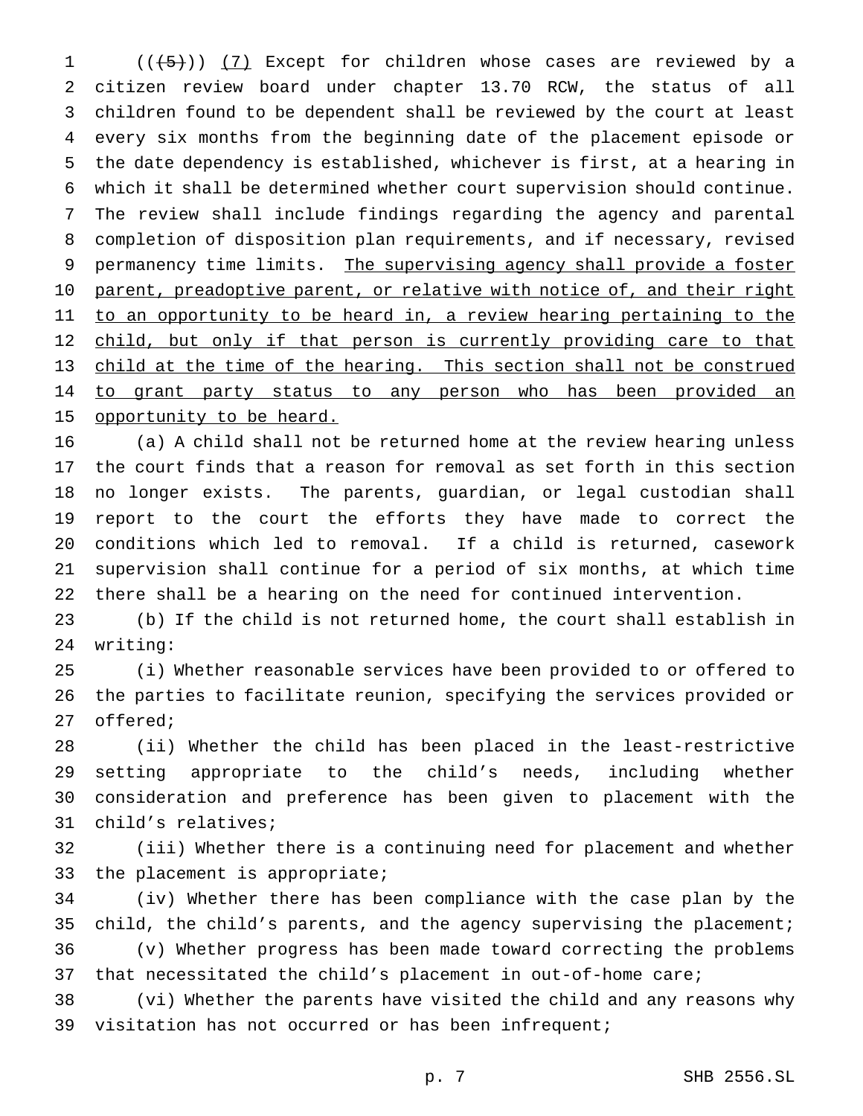1 (((5)) (7) Except for children whose cases are reviewed by a citizen review board under chapter 13.70 RCW, the status of all children found to be dependent shall be reviewed by the court at least every six months from the beginning date of the placement episode or the date dependency is established, whichever is first, at a hearing in which it shall be determined whether court supervision should continue. The review shall include findings regarding the agency and parental completion of disposition plan requirements, and if necessary, revised 9 permanency time limits. The supervising agency shall provide a foster 10 parent, preadoptive parent, or relative with notice of, and their right 11 to an opportunity to be heard in, a review hearing pertaining to the 12 child, but only if that person is currently providing care to that 13 child at the time of the hearing. This section shall not be construed 14 to grant party status to any person who has been provided an 15 opportunity to be heard.

 (a) A child shall not be returned home at the review hearing unless the court finds that a reason for removal as set forth in this section no longer exists. The parents, guardian, or legal custodian shall report to the court the efforts they have made to correct the conditions which led to removal. If a child is returned, casework supervision shall continue for a period of six months, at which time there shall be a hearing on the need for continued intervention.

 (b) If the child is not returned home, the court shall establish in writing:

 (i) Whether reasonable services have been provided to or offered to the parties to facilitate reunion, specifying the services provided or offered;

 (ii) Whether the child has been placed in the least-restrictive setting appropriate to the child's needs, including whether consideration and preference has been given to placement with the child's relatives;

 (iii) Whether there is a continuing need for placement and whether the placement is appropriate;

 (iv) Whether there has been compliance with the case plan by the child, the child's parents, and the agency supervising the placement; (v) Whether progress has been made toward correcting the problems that necessitated the child's placement in out-of-home care;

 (vi) Whether the parents have visited the child and any reasons why visitation has not occurred or has been infrequent;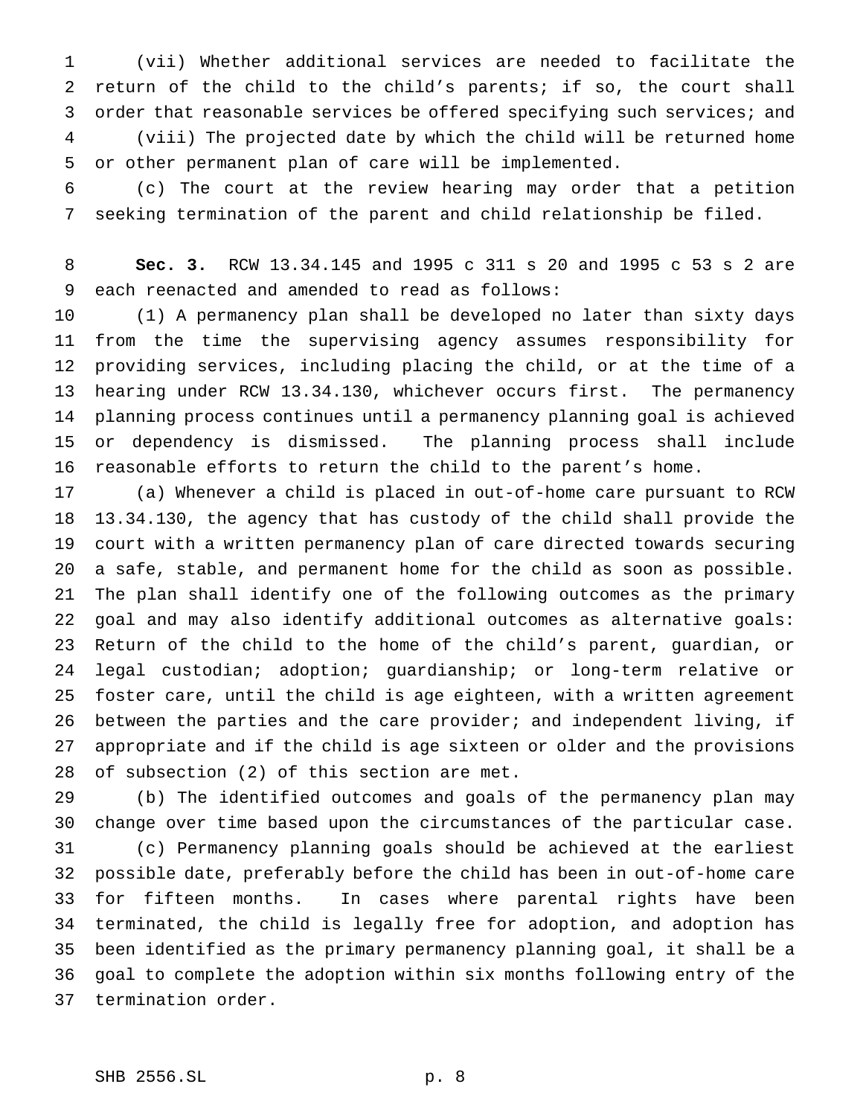(vii) Whether additional services are needed to facilitate the return of the child to the child's parents; if so, the court shall 3 order that reasonable services be offered specifying such services; and (viii) The projected date by which the child will be returned home or other permanent plan of care will be implemented.

 (c) The court at the review hearing may order that a petition seeking termination of the parent and child relationship be filed.

 **Sec. 3.** RCW 13.34.145 and 1995 c 311 s 20 and 1995 c 53 s 2 are each reenacted and amended to read as follows:

 (1) A permanency plan shall be developed no later than sixty days from the time the supervising agency assumes responsibility for providing services, including placing the child, or at the time of a hearing under RCW 13.34.130, whichever occurs first. The permanency planning process continues until a permanency planning goal is achieved or dependency is dismissed. The planning process shall include reasonable efforts to return the child to the parent's home.

 (a) Whenever a child is placed in out-of-home care pursuant to RCW 13.34.130, the agency that has custody of the child shall provide the court with a written permanency plan of care directed towards securing a safe, stable, and permanent home for the child as soon as possible. The plan shall identify one of the following outcomes as the primary goal and may also identify additional outcomes as alternative goals: Return of the child to the home of the child's parent, guardian, or legal custodian; adoption; guardianship; or long-term relative or foster care, until the child is age eighteen, with a written agreement between the parties and the care provider; and independent living, if appropriate and if the child is age sixteen or older and the provisions of subsection (2) of this section are met.

 (b) The identified outcomes and goals of the permanency plan may change over time based upon the circumstances of the particular case.

 (c) Permanency planning goals should be achieved at the earliest possible date, preferably before the child has been in out-of-home care for fifteen months. In cases where parental rights have been terminated, the child is legally free for adoption, and adoption has been identified as the primary permanency planning goal, it shall be a goal to complete the adoption within six months following entry of the termination order.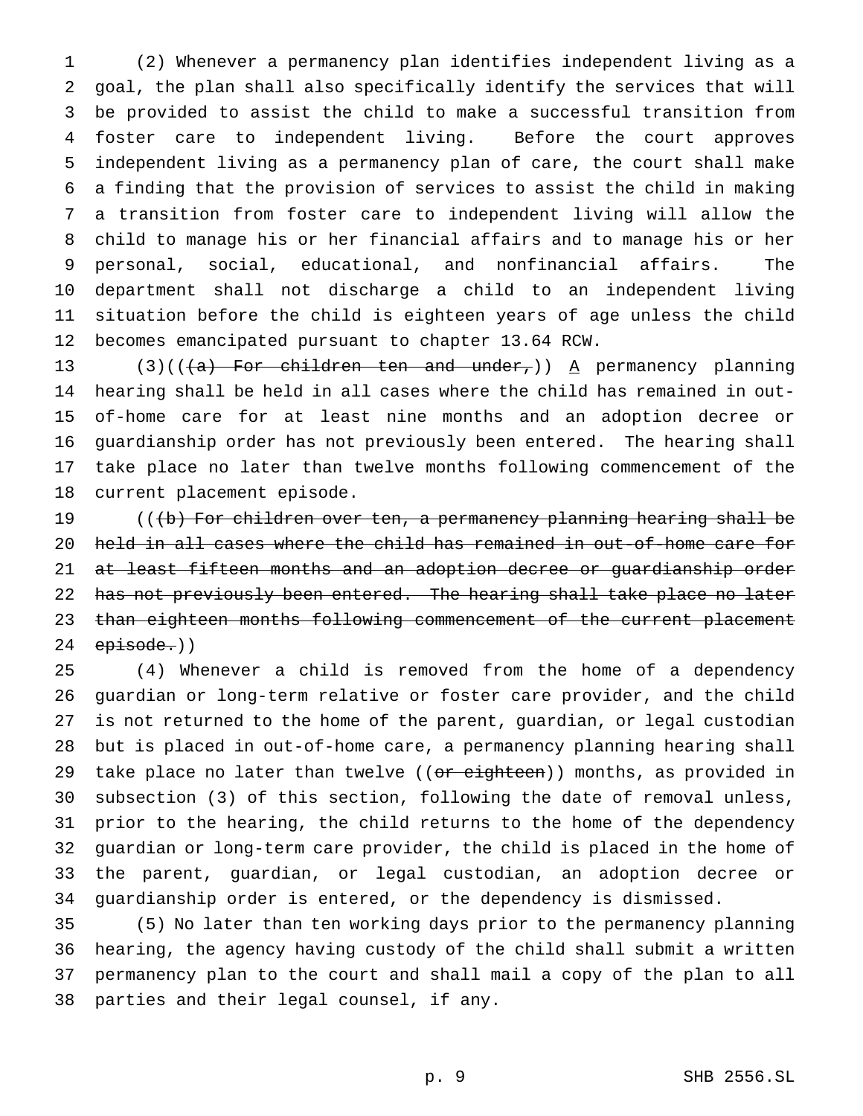(2) Whenever a permanency plan identifies independent living as a goal, the plan shall also specifically identify the services that will be provided to assist the child to make a successful transition from foster care to independent living. Before the court approves independent living as a permanency plan of care, the court shall make a finding that the provision of services to assist the child in making a transition from foster care to independent living will allow the child to manage his or her financial affairs and to manage his or her personal, social, educational, and nonfinancial affairs. The department shall not discharge a child to an independent living situation before the child is eighteen years of age unless the child becomes emancipated pursuant to chapter 13.64 RCW.

13 (3)(( $\frac{1}{a}$ ) For children ten and under,)) A permanency planning hearing shall be held in all cases where the child has remained in out- of-home care for at least nine months and an adoption decree or guardianship order has not previously been entered. The hearing shall take place no later than twelve months following commencement of the current placement episode.

19 (((b) For children over ten, a permanency planning hearing shall be held in all cases where the child has remained in out-of-home care for at least fifteen months and an adoption decree or guardianship order 22 has not previously been entered. The hearing shall take place no later 23 than eighteen months following commencement of the current placement episode.))

 (4) Whenever a child is removed from the home of a dependency guardian or long-term relative or foster care provider, and the child is not returned to the home of the parent, guardian, or legal custodian but is placed in out-of-home care, a permanency planning hearing shall 29 take place no later than twelve ((or eighteen)) months, as provided in subsection (3) of this section, following the date of removal unless, prior to the hearing, the child returns to the home of the dependency guardian or long-term care provider, the child is placed in the home of the parent, guardian, or legal custodian, an adoption decree or guardianship order is entered, or the dependency is dismissed.

 (5) No later than ten working days prior to the permanency planning hearing, the agency having custody of the child shall submit a written permanency plan to the court and shall mail a copy of the plan to all parties and their legal counsel, if any.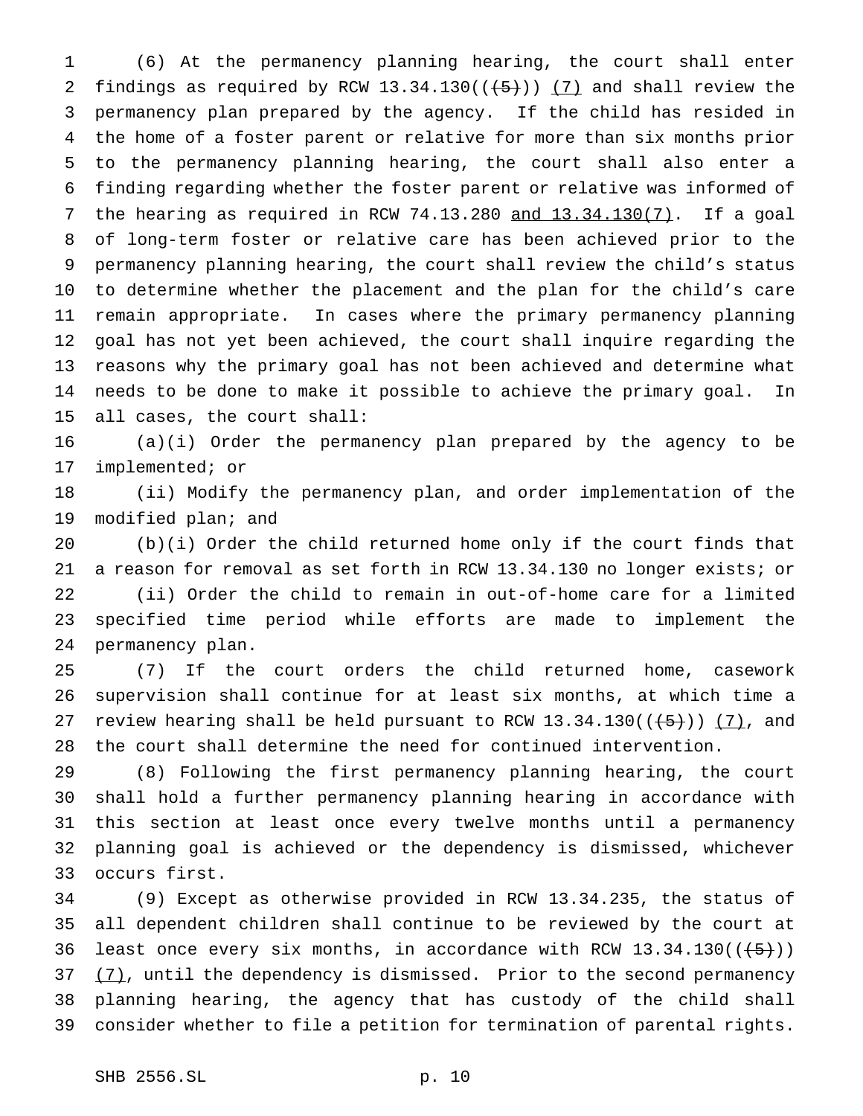(6) At the permanency planning hearing, the court shall enter 2 findings as required by RCW 13.34.130( $(\frac{5}{2})$ ) (7) and shall review the permanency plan prepared by the agency. If the child has resided in the home of a foster parent or relative for more than six months prior to the permanency planning hearing, the court shall also enter a finding regarding whether the foster parent or relative was informed of the hearing as required in RCW 74.13.280 and 13.34.130(7). If a goal of long-term foster or relative care has been achieved prior to the permanency planning hearing, the court shall review the child's status to determine whether the placement and the plan for the child's care remain appropriate. In cases where the primary permanency planning goal has not yet been achieved, the court shall inquire regarding the reasons why the primary goal has not been achieved and determine what needs to be done to make it possible to achieve the primary goal. In all cases, the court shall:

 (a)(i) Order the permanency plan prepared by the agency to be implemented; or

 (ii) Modify the permanency plan, and order implementation of the modified plan; and

 (b)(i) Order the child returned home only if the court finds that a reason for removal as set forth in RCW 13.34.130 no longer exists; or (ii) Order the child to remain in out-of-home care for a limited specified time period while efforts are made to implement the permanency plan.

 (7) If the court orders the child returned home, casework supervision shall continue for at least six months, at which time a 27 review hearing shall be held pursuant to RCW  $13.34.130((\overline{\smash{+5}}))$  (7), and the court shall determine the need for continued intervention.

 (8) Following the first permanency planning hearing, the court shall hold a further permanency planning hearing in accordance with this section at least once every twelve months until a permanency planning goal is achieved or the dependency is dismissed, whichever occurs first.

 (9) Except as otherwise provided in RCW 13.34.235, the status of all dependent children shall continue to be reviewed by the court at 36 least once every six months, in accordance with RCW  $13.34.130((\overline{5})))$   $(7)$ , until the dependency is dismissed. Prior to the second permanency planning hearing, the agency that has custody of the child shall consider whether to file a petition for termination of parental rights.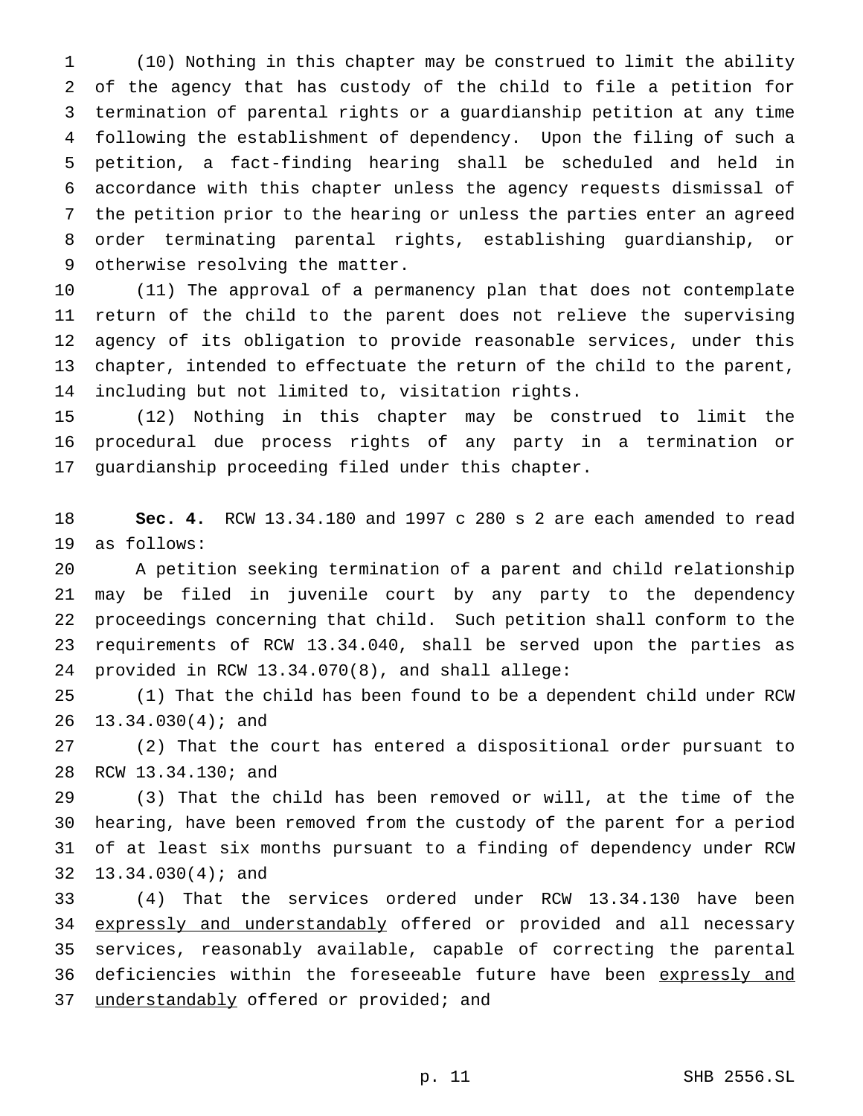(10) Nothing in this chapter may be construed to limit the ability of the agency that has custody of the child to file a petition for termination of parental rights or a guardianship petition at any time following the establishment of dependency. Upon the filing of such a petition, a fact-finding hearing shall be scheduled and held in accordance with this chapter unless the agency requests dismissal of the petition prior to the hearing or unless the parties enter an agreed order terminating parental rights, establishing guardianship, or otherwise resolving the matter.

 (11) The approval of a permanency plan that does not contemplate return of the child to the parent does not relieve the supervising agency of its obligation to provide reasonable services, under this chapter, intended to effectuate the return of the child to the parent, including but not limited to, visitation rights.

 (12) Nothing in this chapter may be construed to limit the procedural due process rights of any party in a termination or guardianship proceeding filed under this chapter.

 **Sec. 4.** RCW 13.34.180 and 1997 c 280 s 2 are each amended to read as follows:

 A petition seeking termination of a parent and child relationship may be filed in juvenile court by any party to the dependency proceedings concerning that child. Such petition shall conform to the requirements of RCW 13.34.040, shall be served upon the parties as provided in RCW 13.34.070(8), and shall allege:

 (1) That the child has been found to be a dependent child under RCW 13.34.030(4); and

 (2) That the court has entered a dispositional order pursuant to RCW 13.34.130; and

 (3) That the child has been removed or will, at the time of the hearing, have been removed from the custody of the parent for a period of at least six months pursuant to a finding of dependency under RCW 13.34.030(4); and

 (4) That the services ordered under RCW 13.34.130 have been 34 expressly and understandably offered or provided and all necessary services, reasonably available, capable of correcting the parental 36 deficiencies within the foreseeable future have been expressly and 37 understandably offered or provided; and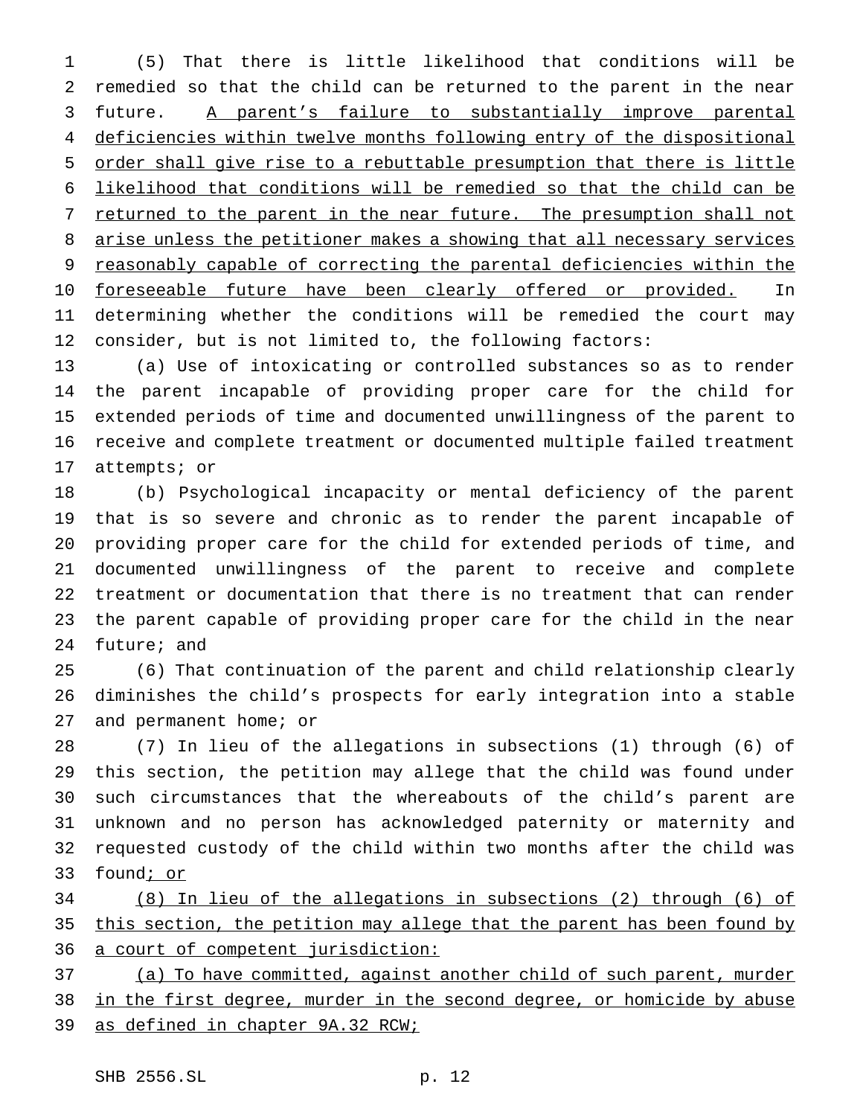(5) That there is little likelihood that conditions will be remedied so that the child can be returned to the parent in the near future. A parent's failure to substantially improve parental deficiencies within twelve months following entry of the dispositional order shall give rise to a rebuttable presumption that there is little likelihood that conditions will be remedied so that the child can be 7 returned to the parent in the near future. The presumption shall not 8 arise unless the petitioner makes a showing that all necessary services reasonably capable of correcting the parental deficiencies within the 10 foreseeable future have been clearly offered or provided. In determining whether the conditions will be remedied the court may consider, but is not limited to, the following factors:

 (a) Use of intoxicating or controlled substances so as to render the parent incapable of providing proper care for the child for extended periods of time and documented unwillingness of the parent to receive and complete treatment or documented multiple failed treatment attempts; or

 (b) Psychological incapacity or mental deficiency of the parent that is so severe and chronic as to render the parent incapable of providing proper care for the child for extended periods of time, and documented unwillingness of the parent to receive and complete treatment or documentation that there is no treatment that can render the parent capable of providing proper care for the child in the near future; and

 (6) That continuation of the parent and child relationship clearly diminishes the child's prospects for early integration into a stable and permanent home; or

 (7) In lieu of the allegations in subsections (1) through (6) of this section, the petition may allege that the child was found under such circumstances that the whereabouts of the child's parent are unknown and no person has acknowledged paternity or maternity and requested custody of the child within two months after the child was 33 found; or

 (8) In lieu of the allegations in subsections (2) through (6) of this section, the petition may allege that the parent has been found by 36 a court of competent jurisdiction:

 (a) To have committed, against another child of such parent, murder in the first degree, murder in the second degree, or homicide by abuse 39 as defined in chapter 9A.32 RCW;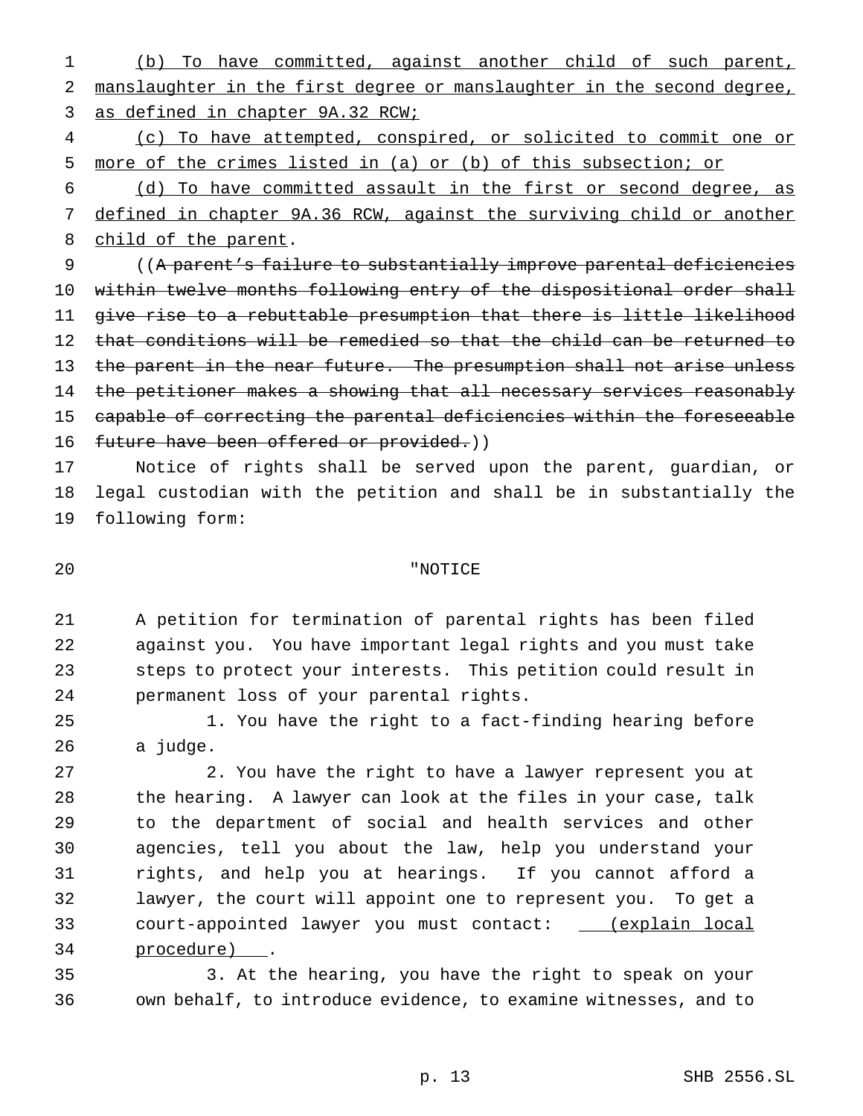(b) To have committed, against another child of such parent, manslaughter in the first degree or manslaughter in the second degree, as defined in chapter 9A.32 RCW;

 (c) To have attempted, conspired, or solicited to commit one or more of the crimes listed in (a) or (b) of this subsection; or

 (d) To have committed assault in the first or second degree, as defined in chapter 9A.36 RCW, against the surviving child or another 8 child of the parent.

 ((A parent's failure to substantially improve parental deficiencies within twelve months following entry of the dispositional order shall give rise to a rebuttable presumption that there is little likelihood that conditions will be remedied so that the child can be returned to 13 the parent in the near future. The presumption shall not arise unless 14 the petitioner makes a showing that all necessary services reasonably capable of correcting the parental deficiencies within the foreseeable 16 future have been offered or provided.))

 Notice of rights shall be served upon the parent, guardian, or legal custodian with the petition and shall be in substantially the following form:

"NOTICE

 A petition for termination of parental rights has been filed against you. You have important legal rights and you must take steps to protect your interests. This petition could result in permanent loss of your parental rights.

 1. You have the right to a fact-finding hearing before a judge.

 2. You have the right to have a lawyer represent you at the hearing. A lawyer can look at the files in your case, talk to the department of social and health services and other agencies, tell you about the law, help you understand your rights, and help you at hearings. If you cannot afford a lawyer, the court will appoint one to represent you. To get a court-appointed lawyer you must contact: (explain local procedure) .

 3. At the hearing, you have the right to speak on your own behalf, to introduce evidence, to examine witnesses, and to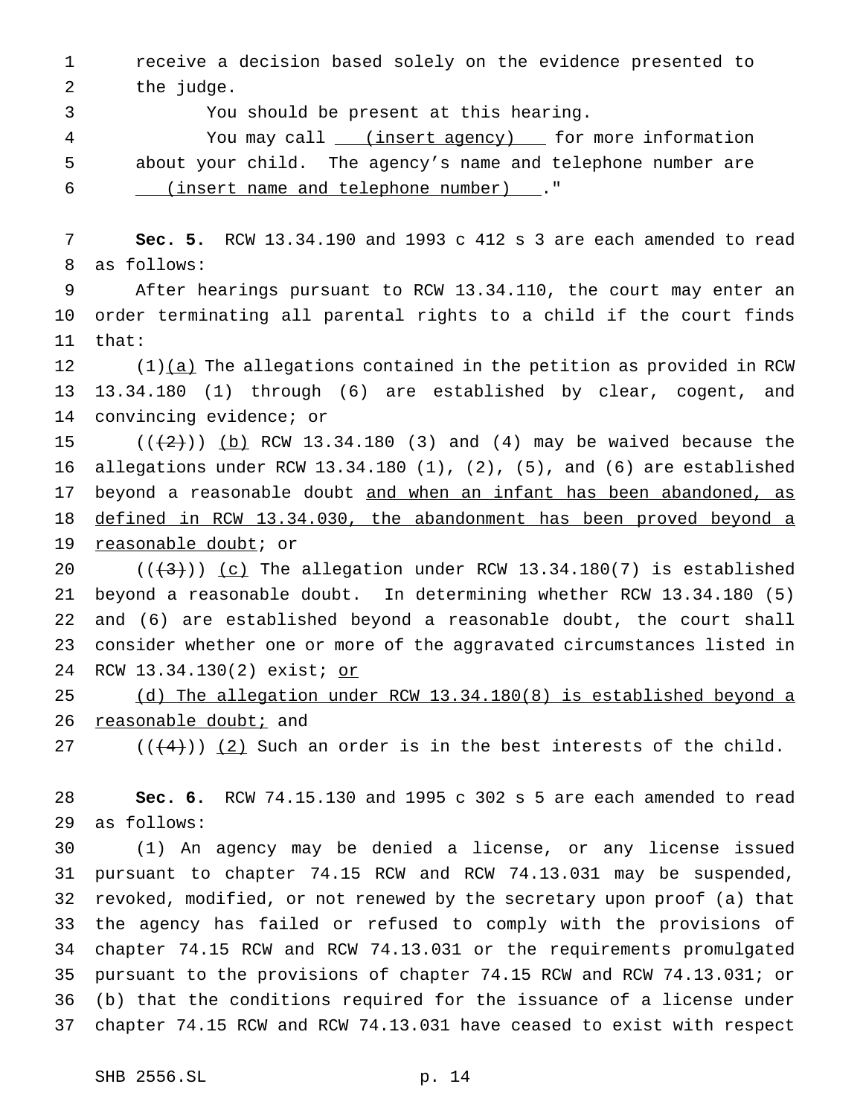receive a decision based solely on the evidence presented to 2 the judge.

You should be present at this hearing.

4 You may call <u>(insert agency)</u> for more information about your child. The agency's name and telephone number are (insert name and telephone number) ."

 **Sec. 5.** RCW 13.34.190 and 1993 c 412 s 3 are each amended to read as follows:

 After hearings pursuant to RCW 13.34.110, the court may enter an order terminating all parental rights to a child if the court finds that:

 (1)(a) The allegations contained in the petition as provided in RCW 13.34.180 (1) through (6) are established by clear, cogent, and convincing evidence; or

 $((+2))$   $(b)$  RCW 13.34.180 (3) and (4) may be waived because the allegations under RCW 13.34.180 (1), (2), (5), and (6) are established 17 beyond a reasonable doubt and when an infant has been abandoned, as defined in RCW 13.34.030, the abandonment has been proved beyond a reasonable doubt; or

 $((+3))$   $(c)$  The allegation under RCW 13.34.180(7) is established beyond a reasonable doubt. In determining whether RCW 13.34.180 (5) and (6) are established beyond a reasonable doubt, the court shall consider whether one or more of the aggravated circumstances listed in RCW 13.34.130(2) exist; or

 (d) The allegation under RCW 13.34.180(8) is established beyond a 26 reasonable doubt; and

27 ( $(\frac{4}{3})$ ) (2) Such an order is in the best interests of the child.

 **Sec. 6.** RCW 74.15.130 and 1995 c 302 s 5 are each amended to read as follows:

 (1) An agency may be denied a license, or any license issued pursuant to chapter 74.15 RCW and RCW 74.13.031 may be suspended, revoked, modified, or not renewed by the secretary upon proof (a) that the agency has failed or refused to comply with the provisions of chapter 74.15 RCW and RCW 74.13.031 or the requirements promulgated pursuant to the provisions of chapter 74.15 RCW and RCW 74.13.031; or (b) that the conditions required for the issuance of a license under chapter 74.15 RCW and RCW 74.13.031 have ceased to exist with respect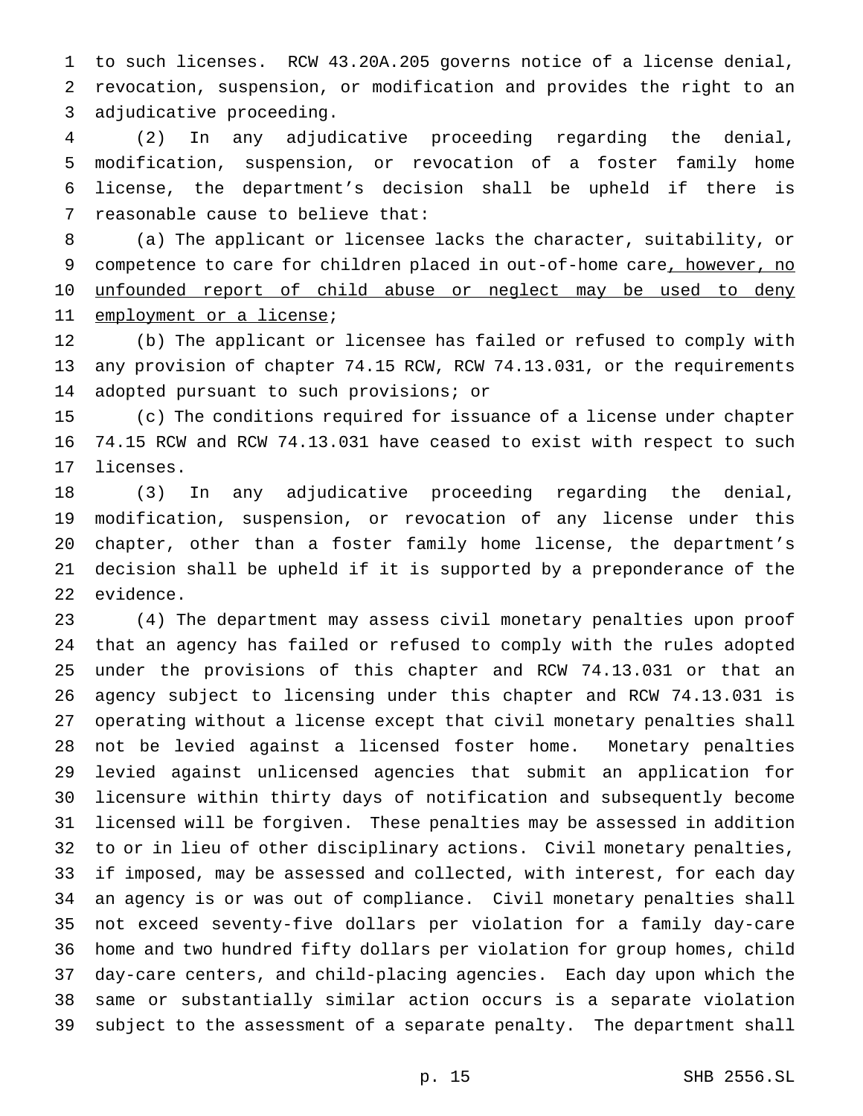to such licenses. RCW 43.20A.205 governs notice of a license denial, revocation, suspension, or modification and provides the right to an adjudicative proceeding.

 (2) In any adjudicative proceeding regarding the denial, modification, suspension, or revocation of a foster family home license, the department's decision shall be upheld if there is reasonable cause to believe that:

 (a) The applicant or licensee lacks the character, suitability, or 9 competence to care for children placed in out-of-home care, however, no 10 unfounded report of child abuse or neglect may be used to deny 11 employment or a license;

 (b) The applicant or licensee has failed or refused to comply with any provision of chapter 74.15 RCW, RCW 74.13.031, or the requirements adopted pursuant to such provisions; or

 (c) The conditions required for issuance of a license under chapter 74.15 RCW and RCW 74.13.031 have ceased to exist with respect to such licenses.

 (3) In any adjudicative proceeding regarding the denial, modification, suspension, or revocation of any license under this chapter, other than a foster family home license, the department's decision shall be upheld if it is supported by a preponderance of the evidence.

 (4) The department may assess civil monetary penalties upon proof that an agency has failed or refused to comply with the rules adopted under the provisions of this chapter and RCW 74.13.031 or that an agency subject to licensing under this chapter and RCW 74.13.031 is operating without a license except that civil monetary penalties shall not be levied against a licensed foster home. Monetary penalties levied against unlicensed agencies that submit an application for licensure within thirty days of notification and subsequently become licensed will be forgiven. These penalties may be assessed in addition to or in lieu of other disciplinary actions. Civil monetary penalties, if imposed, may be assessed and collected, with interest, for each day an agency is or was out of compliance. Civil monetary penalties shall not exceed seventy-five dollars per violation for a family day-care home and two hundred fifty dollars per violation for group homes, child day-care centers, and child-placing agencies. Each day upon which the same or substantially similar action occurs is a separate violation subject to the assessment of a separate penalty. The department shall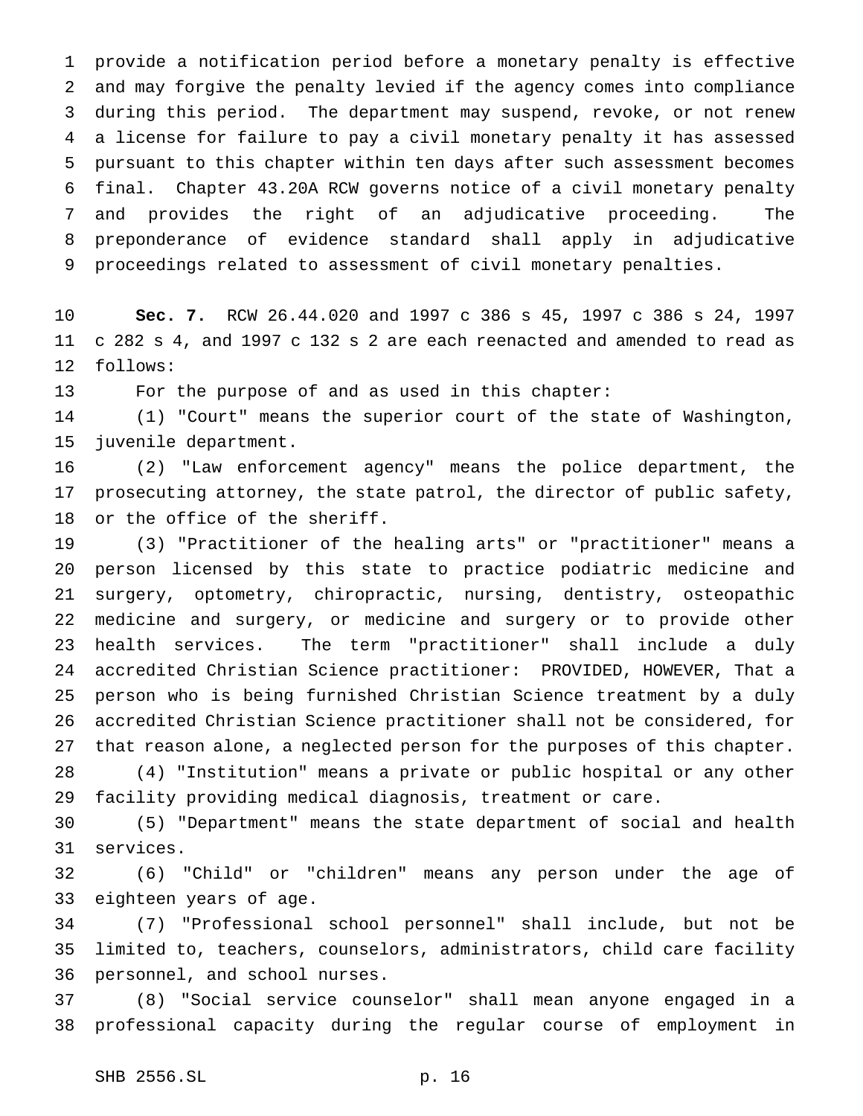provide a notification period before a monetary penalty is effective and may forgive the penalty levied if the agency comes into compliance during this period. The department may suspend, revoke, or not renew a license for failure to pay a civil monetary penalty it has assessed pursuant to this chapter within ten days after such assessment becomes final. Chapter 43.20A RCW governs notice of a civil monetary penalty and provides the right of an adjudicative proceeding. The preponderance of evidence standard shall apply in adjudicative proceedings related to assessment of civil monetary penalties.

 **Sec. 7.** RCW 26.44.020 and 1997 c 386 s 45, 1997 c 386 s 24, 1997 c 282 s 4, and 1997 c 132 s 2 are each reenacted and amended to read as follows:

For the purpose of and as used in this chapter:

 (1) "Court" means the superior court of the state of Washington, juvenile department.

 (2) "Law enforcement agency" means the police department, the prosecuting attorney, the state patrol, the director of public safety, or the office of the sheriff.

 (3) "Practitioner of the healing arts" or "practitioner" means a person licensed by this state to practice podiatric medicine and surgery, optometry, chiropractic, nursing, dentistry, osteopathic medicine and surgery, or medicine and surgery or to provide other health services. The term "practitioner" shall include a duly accredited Christian Science practitioner: PROVIDED, HOWEVER, That a person who is being furnished Christian Science treatment by a duly accredited Christian Science practitioner shall not be considered, for that reason alone, a neglected person for the purposes of this chapter.

 (4) "Institution" means a private or public hospital or any other facility providing medical diagnosis, treatment or care.

 (5) "Department" means the state department of social and health services.

 (6) "Child" or "children" means any person under the age of eighteen years of age.

 (7) "Professional school personnel" shall include, but not be limited to, teachers, counselors, administrators, child care facility personnel, and school nurses.

 (8) "Social service counselor" shall mean anyone engaged in a professional capacity during the regular course of employment in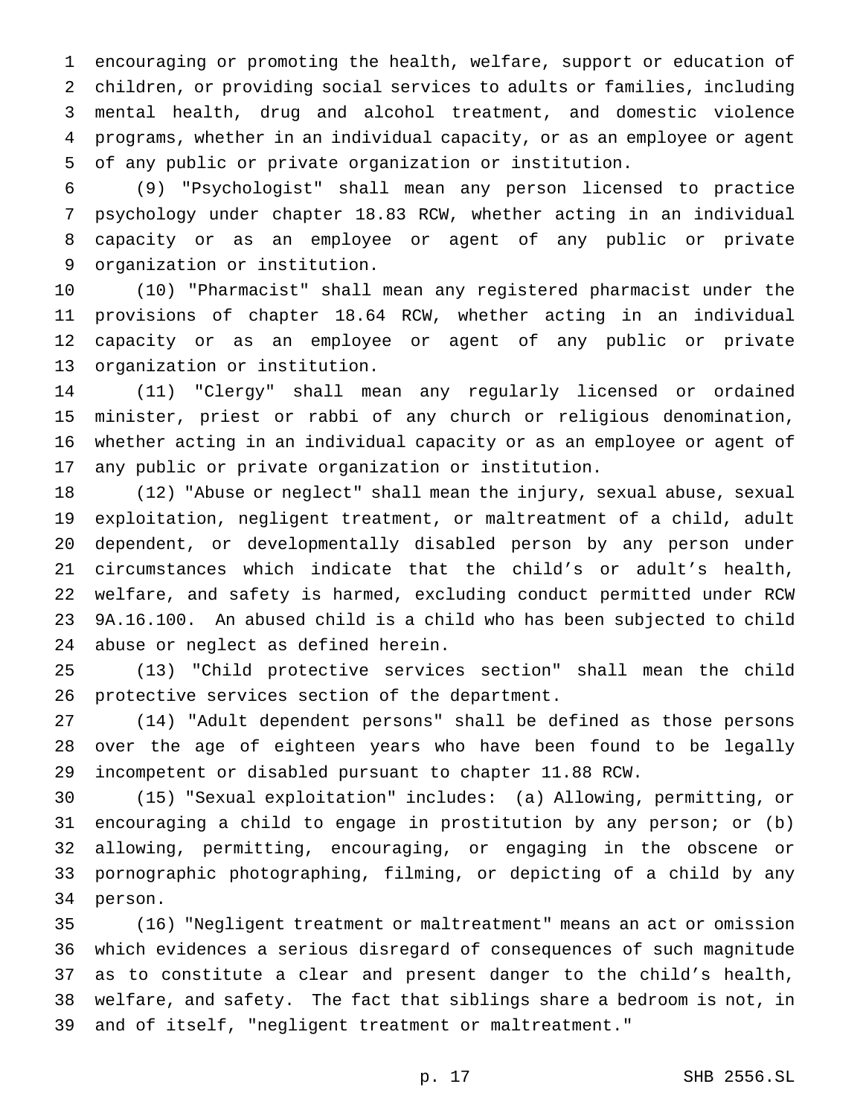encouraging or promoting the health, welfare, support or education of children, or providing social services to adults or families, including mental health, drug and alcohol treatment, and domestic violence programs, whether in an individual capacity, or as an employee or agent of any public or private organization or institution.

 (9) "Psychologist" shall mean any person licensed to practice psychology under chapter 18.83 RCW, whether acting in an individual capacity or as an employee or agent of any public or private organization or institution.

 (10) "Pharmacist" shall mean any registered pharmacist under the provisions of chapter 18.64 RCW, whether acting in an individual capacity or as an employee or agent of any public or private organization or institution.

 (11) "Clergy" shall mean any regularly licensed or ordained minister, priest or rabbi of any church or religious denomination, whether acting in an individual capacity or as an employee or agent of any public or private organization or institution.

 (12) "Abuse or neglect" shall mean the injury, sexual abuse, sexual exploitation, negligent treatment, or maltreatment of a child, adult dependent, or developmentally disabled person by any person under circumstances which indicate that the child's or adult's health, welfare, and safety is harmed, excluding conduct permitted under RCW 9A.16.100. An abused child is a child who has been subjected to child abuse or neglect as defined herein.

 (13) "Child protective services section" shall mean the child protective services section of the department.

 (14) "Adult dependent persons" shall be defined as those persons over the age of eighteen years who have been found to be legally incompetent or disabled pursuant to chapter 11.88 RCW.

 (15) "Sexual exploitation" includes: (a) Allowing, permitting, or encouraging a child to engage in prostitution by any person; or (b) allowing, permitting, encouraging, or engaging in the obscene or pornographic photographing, filming, or depicting of a child by any person.

 (16) "Negligent treatment or maltreatment" means an act or omission which evidences a serious disregard of consequences of such magnitude as to constitute a clear and present danger to the child's health, welfare, and safety. The fact that siblings share a bedroom is not, in and of itself, "negligent treatment or maltreatment."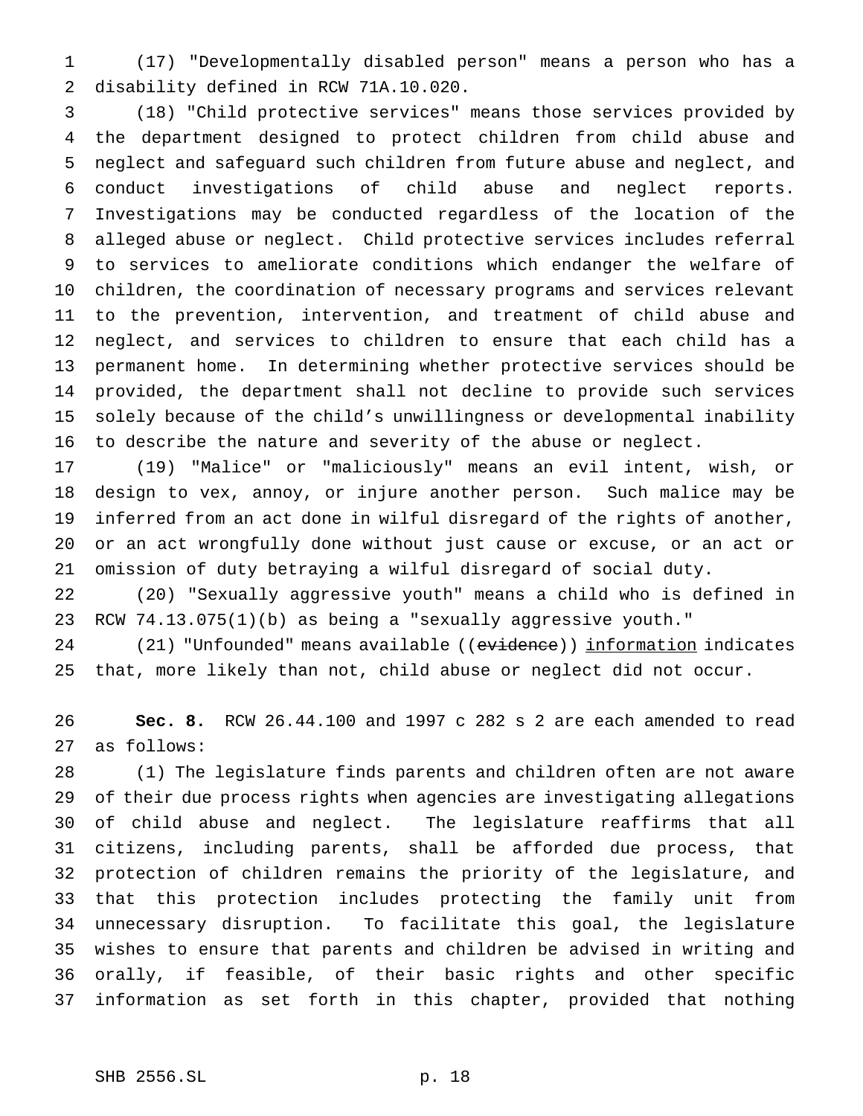(17) "Developmentally disabled person" means a person who has a disability defined in RCW 71A.10.020.

 (18) "Child protective services" means those services provided by the department designed to protect children from child abuse and neglect and safeguard such children from future abuse and neglect, and conduct investigations of child abuse and neglect reports. Investigations may be conducted regardless of the location of the alleged abuse or neglect. Child protective services includes referral to services to ameliorate conditions which endanger the welfare of children, the coordination of necessary programs and services relevant to the prevention, intervention, and treatment of child abuse and neglect, and services to children to ensure that each child has a permanent home. In determining whether protective services should be provided, the department shall not decline to provide such services solely because of the child's unwillingness or developmental inability to describe the nature and severity of the abuse or neglect.

 (19) "Malice" or "maliciously" means an evil intent, wish, or design to vex, annoy, or injure another person. Such malice may be inferred from an act done in wilful disregard of the rights of another, or an act wrongfully done without just cause or excuse, or an act or omission of duty betraying a wilful disregard of social duty.

 (20) "Sexually aggressive youth" means a child who is defined in RCW 74.13.075(1)(b) as being a "sexually aggressive youth."

24 (21) "Unfounded" means available ((evidence)) information indicates that, more likely than not, child abuse or neglect did not occur.

 **Sec. 8.** RCW 26.44.100 and 1997 c 282 s 2 are each amended to read as follows:

 (1) The legislature finds parents and children often are not aware of their due process rights when agencies are investigating allegations of child abuse and neglect. The legislature reaffirms that all citizens, including parents, shall be afforded due process, that protection of children remains the priority of the legislature, and that this protection includes protecting the family unit from unnecessary disruption. To facilitate this goal, the legislature wishes to ensure that parents and children be advised in writing and orally, if feasible, of their basic rights and other specific information as set forth in this chapter, provided that nothing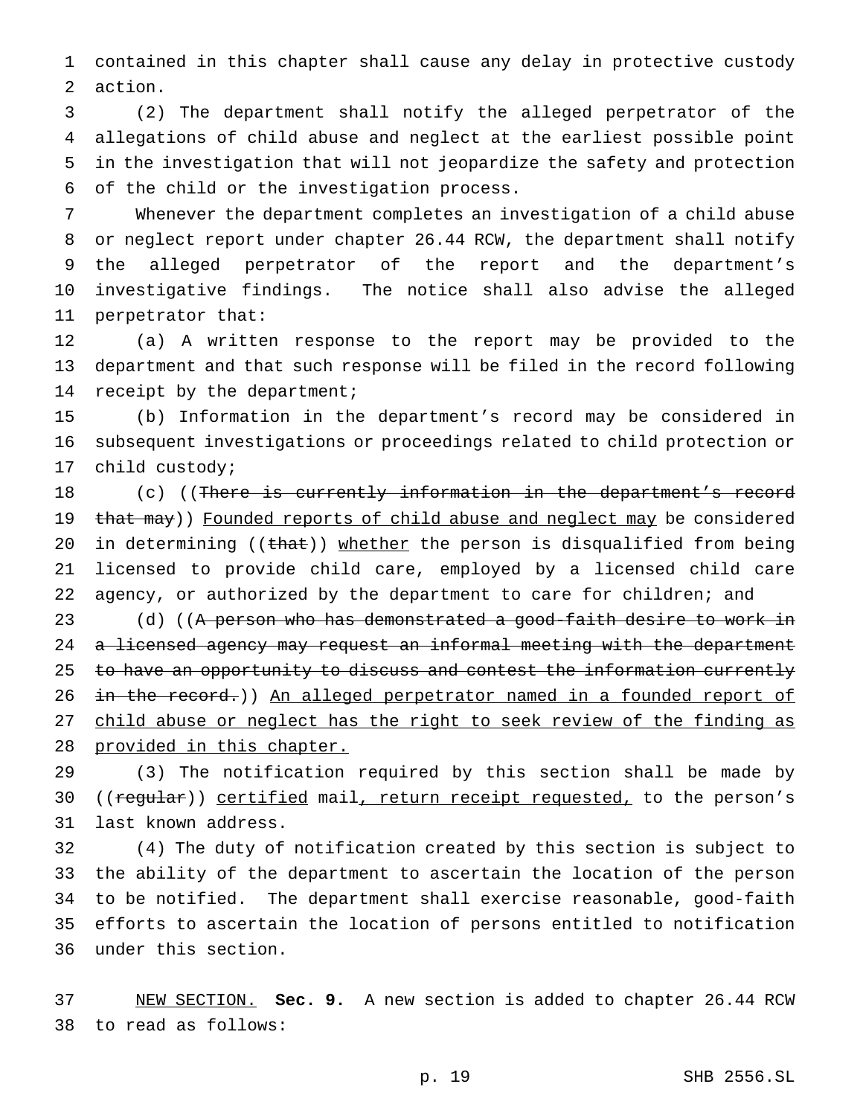contained in this chapter shall cause any delay in protective custody action.

 (2) The department shall notify the alleged perpetrator of the allegations of child abuse and neglect at the earliest possible point in the investigation that will not jeopardize the safety and protection of the child or the investigation process.

 Whenever the department completes an investigation of a child abuse or neglect report under chapter 26.44 RCW, the department shall notify the alleged perpetrator of the report and the department's investigative findings. The notice shall also advise the alleged perpetrator that:

 (a) A written response to the report may be provided to the department and that such response will be filed in the record following 14 receipt by the department;

 (b) Information in the department's record may be considered in subsequent investigations or proceedings related to child protection or child custody;

18 (c) ((There is currently information in the department's record 19 that may)) Founded reports of child abuse and neglect may be considered 20 in determining ((that)) whether the person is disqualified from being licensed to provide child care, employed by a licensed child care 22 agency, or authorized by the department to care for children; and

23 (d) ((A person who has demonstrated a good-faith desire to work in 24 a licensed agency may request an informal meeting with the department 25 to have an opportunity to discuss and contest the information currently 26 in the record.)) An alleged perpetrator named in a founded report of child abuse or neglect has the right to seek review of the finding as provided in this chapter.

 (3) The notification required by this section shall be made by 30 ((regular)) certified mail, return receipt requested, to the person's last known address.

 (4) The duty of notification created by this section is subject to the ability of the department to ascertain the location of the person to be notified. The department shall exercise reasonable, good-faith efforts to ascertain the location of persons entitled to notification under this section.

 NEW SECTION. **Sec. 9.** A new section is added to chapter 26.44 RCW to read as follows: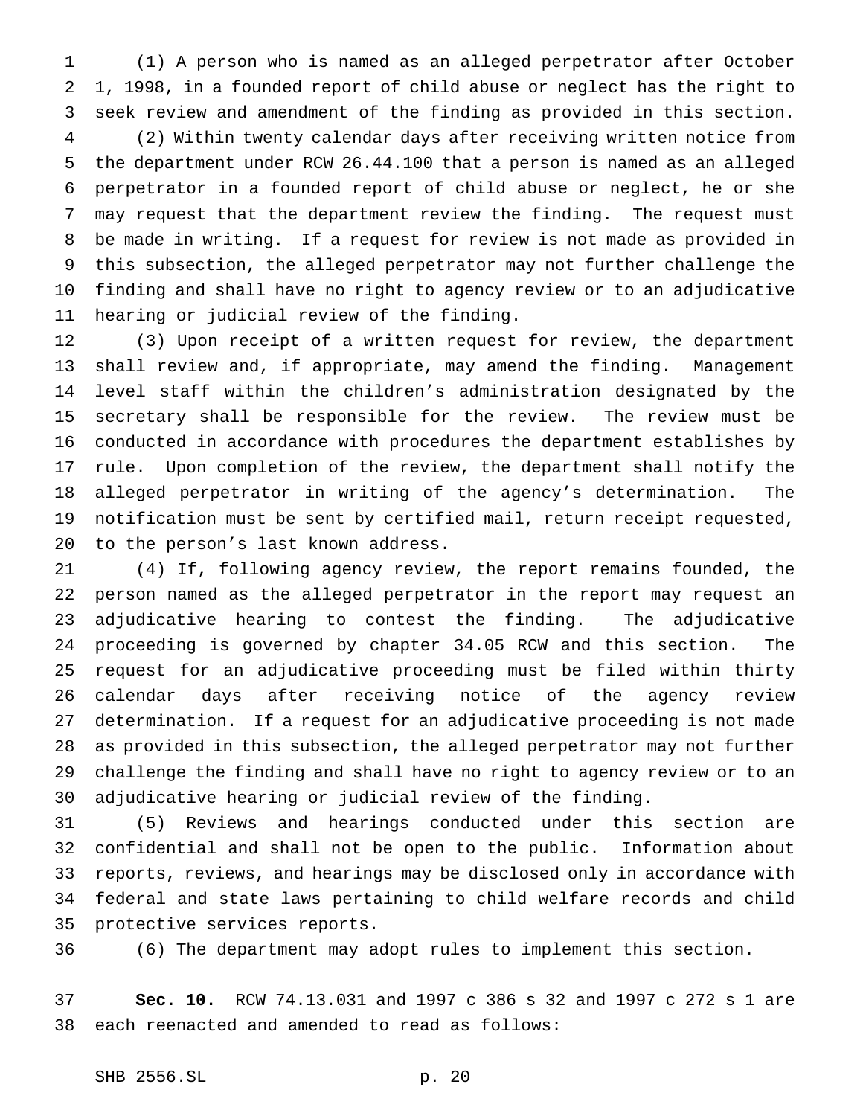(1) A person who is named as an alleged perpetrator after October 1, 1998, in a founded report of child abuse or neglect has the right to seek review and amendment of the finding as provided in this section.

 (2) Within twenty calendar days after receiving written notice from the department under RCW 26.44.100 that a person is named as an alleged perpetrator in a founded report of child abuse or neglect, he or she may request that the department review the finding. The request must be made in writing. If a request for review is not made as provided in this subsection, the alleged perpetrator may not further challenge the finding and shall have no right to agency review or to an adjudicative hearing or judicial review of the finding.

 (3) Upon receipt of a written request for review, the department shall review and, if appropriate, may amend the finding. Management level staff within the children's administration designated by the secretary shall be responsible for the review. The review must be conducted in accordance with procedures the department establishes by rule. Upon completion of the review, the department shall notify the alleged perpetrator in writing of the agency's determination. The notification must be sent by certified mail, return receipt requested, to the person's last known address.

 (4) If, following agency review, the report remains founded, the person named as the alleged perpetrator in the report may request an adjudicative hearing to contest the finding. The adjudicative proceeding is governed by chapter 34.05 RCW and this section. The request for an adjudicative proceeding must be filed within thirty calendar days after receiving notice of the agency review determination. If a request for an adjudicative proceeding is not made as provided in this subsection, the alleged perpetrator may not further challenge the finding and shall have no right to agency review or to an adjudicative hearing or judicial review of the finding.

 (5) Reviews and hearings conducted under this section are confidential and shall not be open to the public. Information about reports, reviews, and hearings may be disclosed only in accordance with federal and state laws pertaining to child welfare records and child protective services reports.

(6) The department may adopt rules to implement this section.

 **Sec. 10.** RCW 74.13.031 and 1997 c 386 s 32 and 1997 c 272 s 1 are each reenacted and amended to read as follows: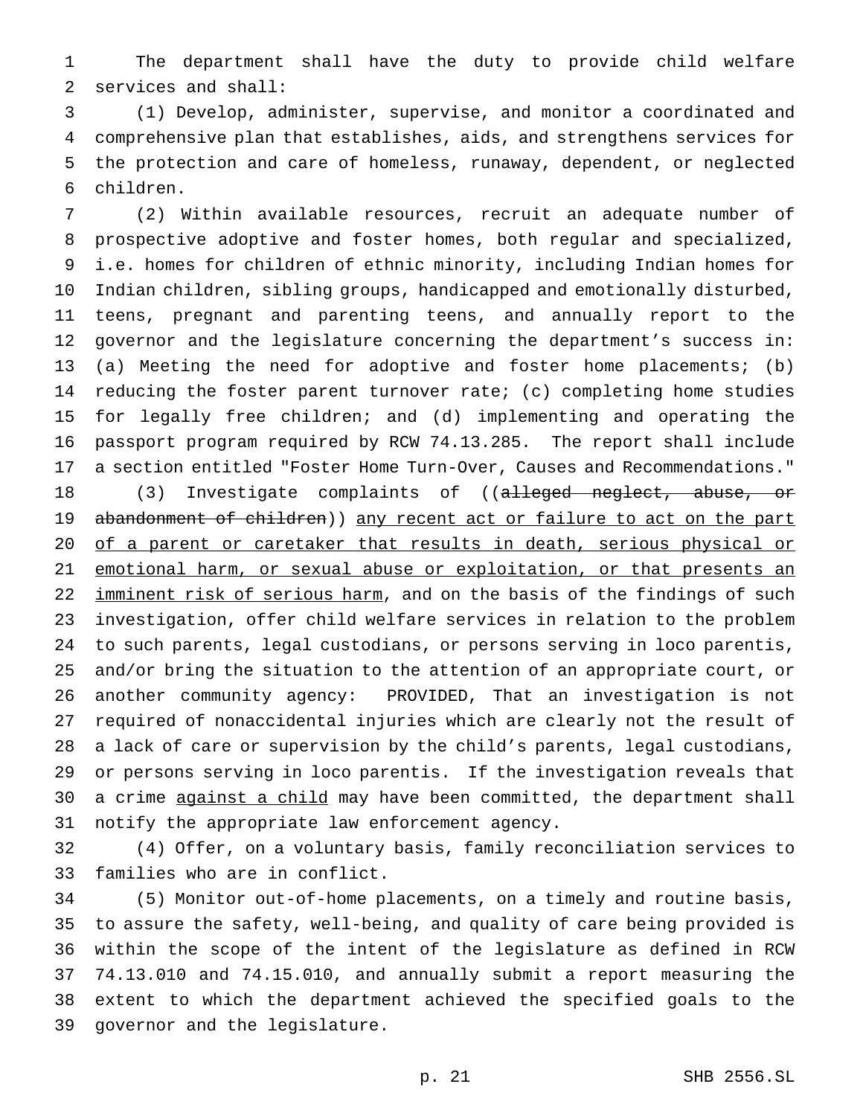The department shall have the duty to provide child welfare services and shall:

 (1) Develop, administer, supervise, and monitor a coordinated and comprehensive plan that establishes, aids, and strengthens services for the protection and care of homeless, runaway, dependent, or neglected children.

 (2) Within available resources, recruit an adequate number of prospective adoptive and foster homes, both regular and specialized, i.e. homes for children of ethnic minority, including Indian homes for Indian children, sibling groups, handicapped and emotionally disturbed, teens, pregnant and parenting teens, and annually report to the governor and the legislature concerning the department's success in: (a) Meeting the need for adoptive and foster home placements; (b) reducing the foster parent turnover rate; (c) completing home studies for legally free children; and (d) implementing and operating the passport program required by RCW 74.13.285. The report shall include a section entitled "Foster Home Turn-Over, Causes and Recommendations."

18 (3) Investigate complaints of ((<del>alleged neglect, abuse, or</del> 19 abandonment of children)) any recent act or failure to act on the part 20 of a parent or caretaker that results in death, serious physical or 21 emotional harm, or sexual abuse or exploitation, or that presents an 22 imminent risk of serious harm, and on the basis of the findings of such investigation, offer child welfare services in relation to the problem to such parents, legal custodians, or persons serving in loco parentis, and/or bring the situation to the attention of an appropriate court, or another community agency: PROVIDED, That an investigation is not required of nonaccidental injuries which are clearly not the result of a lack of care or supervision by the child's parents, legal custodians, or persons serving in loco parentis. If the investigation reveals that 30 a crime against a child may have been committed, the department shall notify the appropriate law enforcement agency.

 (4) Offer, on a voluntary basis, family reconciliation services to families who are in conflict.

 (5) Monitor out-of-home placements, on a timely and routine basis, to assure the safety, well-being, and quality of care being provided is within the scope of the intent of the legislature as defined in RCW 74.13.010 and 74.15.010, and annually submit a report measuring the extent to which the department achieved the specified goals to the governor and the legislature.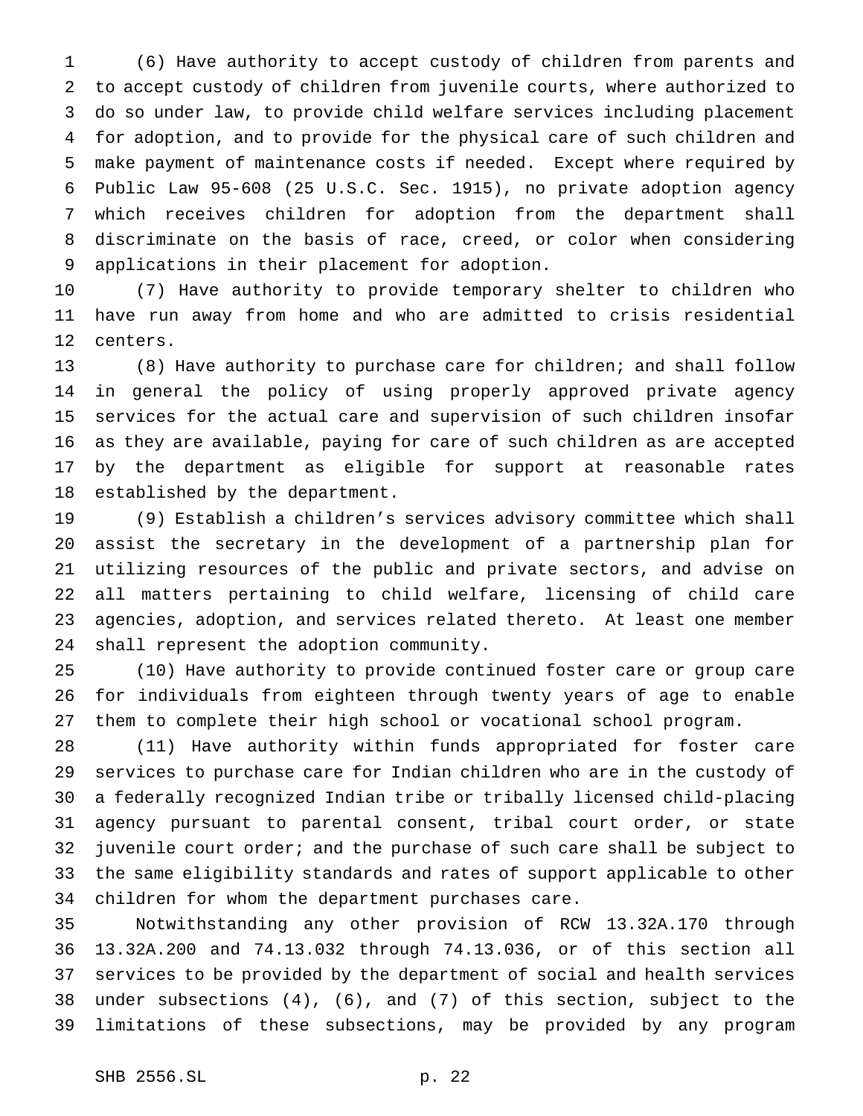(6) Have authority to accept custody of children from parents and to accept custody of children from juvenile courts, where authorized to do so under law, to provide child welfare services including placement for adoption, and to provide for the physical care of such children and make payment of maintenance costs if needed. Except where required by Public Law 95-608 (25 U.S.C. Sec. 1915), no private adoption agency which receives children for adoption from the department shall discriminate on the basis of race, creed, or color when considering applications in their placement for adoption.

 (7) Have authority to provide temporary shelter to children who have run away from home and who are admitted to crisis residential centers.

 (8) Have authority to purchase care for children; and shall follow in general the policy of using properly approved private agency services for the actual care and supervision of such children insofar as they are available, paying for care of such children as are accepted by the department as eligible for support at reasonable rates established by the department.

 (9) Establish a children's services advisory committee which shall assist the secretary in the development of a partnership plan for utilizing resources of the public and private sectors, and advise on all matters pertaining to child welfare, licensing of child care agencies, adoption, and services related thereto. At least one member shall represent the adoption community.

 (10) Have authority to provide continued foster care or group care for individuals from eighteen through twenty years of age to enable them to complete their high school or vocational school program.

 (11) Have authority within funds appropriated for foster care services to purchase care for Indian children who are in the custody of a federally recognized Indian tribe or tribally licensed child-placing agency pursuant to parental consent, tribal court order, or state juvenile court order; and the purchase of such care shall be subject to the same eligibility standards and rates of support applicable to other children for whom the department purchases care.

 Notwithstanding any other provision of RCW 13.32A.170 through 13.32A.200 and 74.13.032 through 74.13.036, or of this section all services to be provided by the department of social and health services under subsections (4), (6), and (7) of this section, subject to the limitations of these subsections, may be provided by any program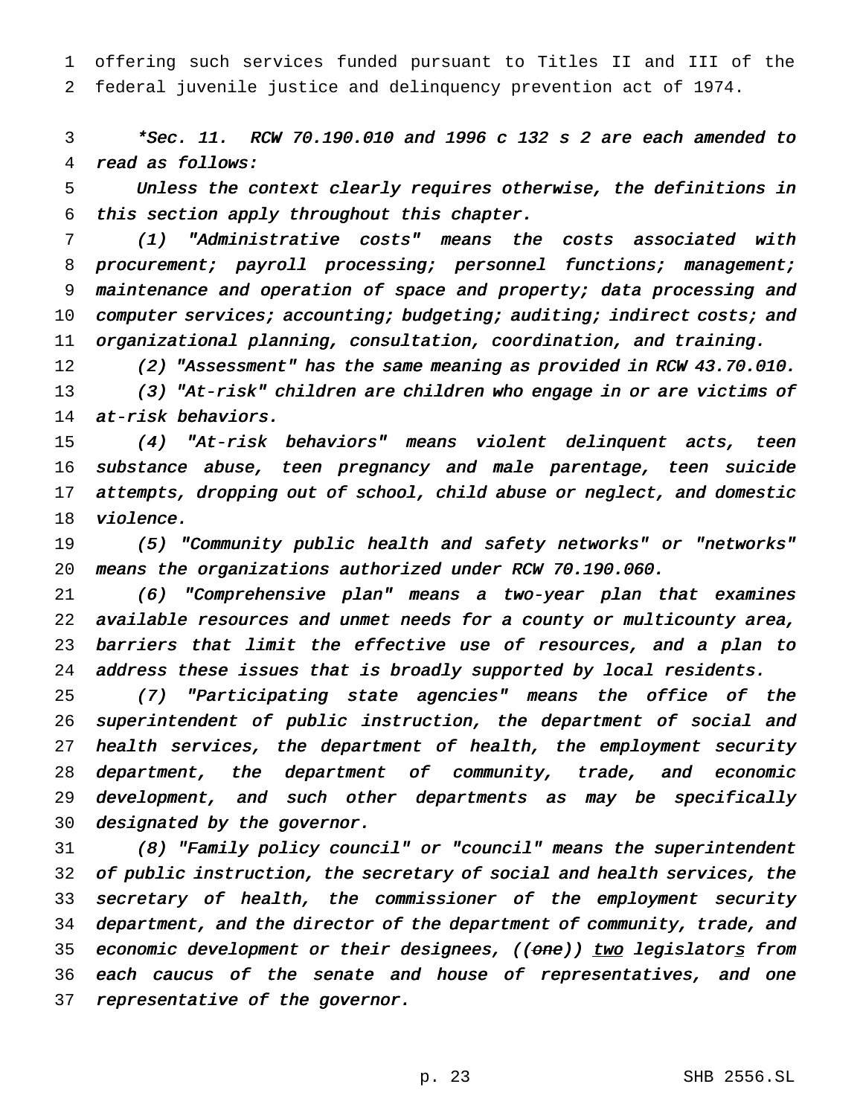offering such services funded pursuant to Titles II and III of the federal juvenile justice and delinquency prevention act of 1974.

 \*Sec. 11. RCW 70.190.010 and <sup>1996</sup> <sup>c</sup> <sup>132</sup> <sup>s</sup> <sup>2</sup> are each amended to read as follows:

 Unless the context clearly requires otherwise, the definitions in this section apply throughout this chapter.

 (1) "Administrative costs" means the costs associated with 8 procurement; payroll processing; personnel functions; management; maintenance and operation of space and property; data processing and 10 computer services; accounting; budgeting; auditing; indirect costs; and organizational planning, consultation, coordination, and training.

(2) "Assessment" has the same meaning as provided in RCW 43.70.010.

 (3) "At-risk" children are children who engage in or are victims of at-risk behaviors.

 (4) "At-risk behaviors" means violent delinquent acts, teen substance abuse, teen pregnancy and male parentage, teen suicide attempts, dropping out of school, child abuse or neglect, and domestic violence.

 (5) "Community public health and safety networks" or "networks" means the organizations authorized under RCW 70.190.060.

 (6) "Comprehensive plan" means <sup>a</sup> two-year plan that examines available resources and unmet needs for <sup>a</sup> county or multicounty area, barriers that limit the effective use of resources, and <sup>a</sup> plan to 24 address these issues that is broadly supported by local residents.

 (7) "Participating state agencies" means the office of the superintendent of public instruction, the department of social and health services, the department of health, the employment security department, the department of community, trade, and economic development, and such other departments as may be specifically designated by the governor.

 (8) "Family policy council" or "council" means the superintendent of public instruction, the secretary of social and health services, the secretary of health, the commissioner of the employment security department, and the director of the department of community, trade, and 35 economic development or their designees, ((one)) two legislators from each caucus of the senate and house of representatives, and one 37 representative of the governor.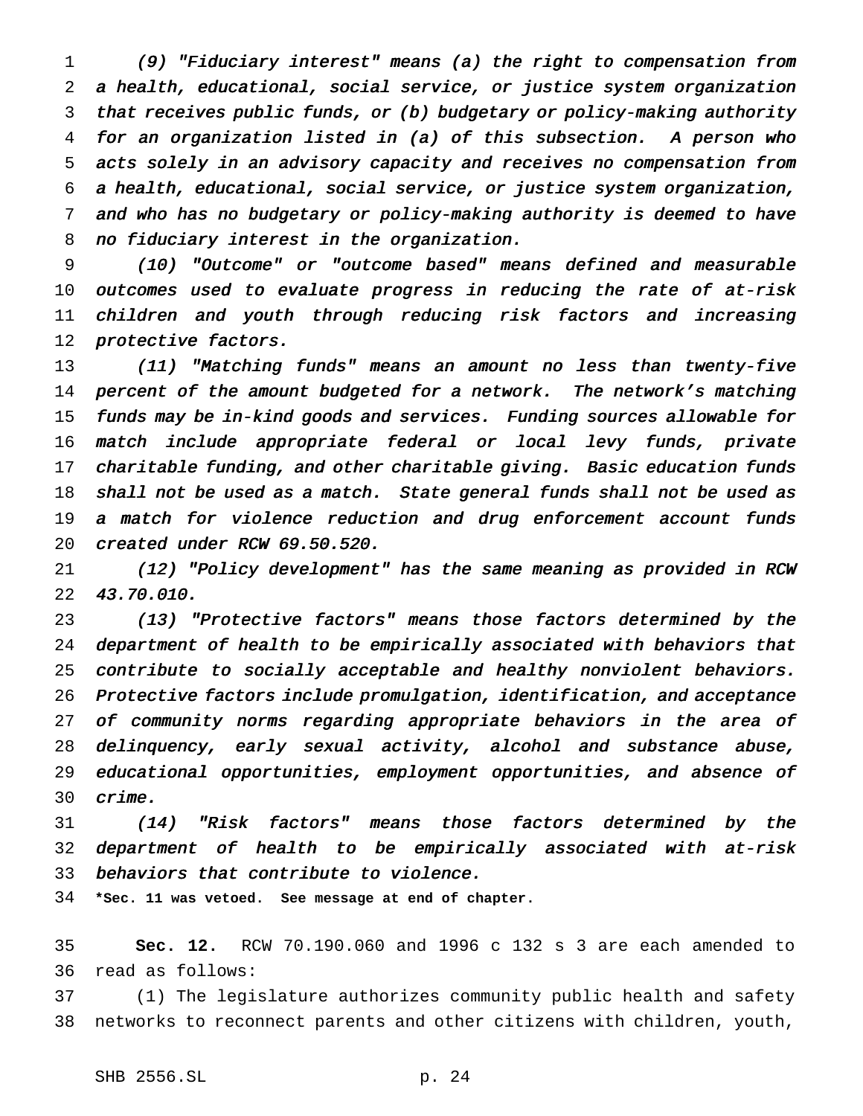(9) "Fiduciary interest" means (a) the right to compensation from <sup>a</sup> health, educational, social service, or justice system organization that receives public funds, or (b) budgetary or policy-making authority for an organization listed in (a) of this subsection. <sup>A</sup> person who acts solely in an advisory capacity and receives no compensation from <sup>a</sup> health, educational, social service, or justice system organization, and who has no budgetary or policy-making authority is deemed to have no fiduciary interest in the organization.

 (10) "Outcome" or "outcome based" means defined and measurable 10 outcomes used to evaluate progress in reducing the rate of at-risk children and youth through reducing risk factors and increasing protective factors.

 (11) "Matching funds" means an amount no less than twenty-five percent of the amount budgeted for <sup>a</sup> network. The network's matching funds may be in-kind goods and services. Funding sources allowable for match include appropriate federal or local levy funds, private charitable funding, and other charitable giving. Basic education funds shall not be used as <sup>a</sup> match. State general funds shall not be used as <sup>a</sup> match for violence reduction and drug enforcement account funds created under RCW 69.50.520.

 (12) "Policy development" has the same meaning as provided in RCW 43.70.010.

 (13) "Protective factors" means those factors determined by the department of health to be empirically associated with behaviors that contribute to socially acceptable and healthy nonviolent behaviors. Protective factors include promulgation, identification, and acceptance of community norms regarding appropriate behaviors in the area of delinquency, early sexual activity, alcohol and substance abuse, educational opportunities, employment opportunities, and absence of crime.

 (14) "Risk factors" means those factors determined by the department of health to be empirically associated with at-risk behaviors that contribute to violence.

**\*Sec. 11 was vetoed. See message at end of chapter.**

 **Sec. 12.** RCW 70.190.060 and 1996 c 132 s 3 are each amended to read as follows:

 (1) The legislature authorizes community public health and safety networks to reconnect parents and other citizens with children, youth,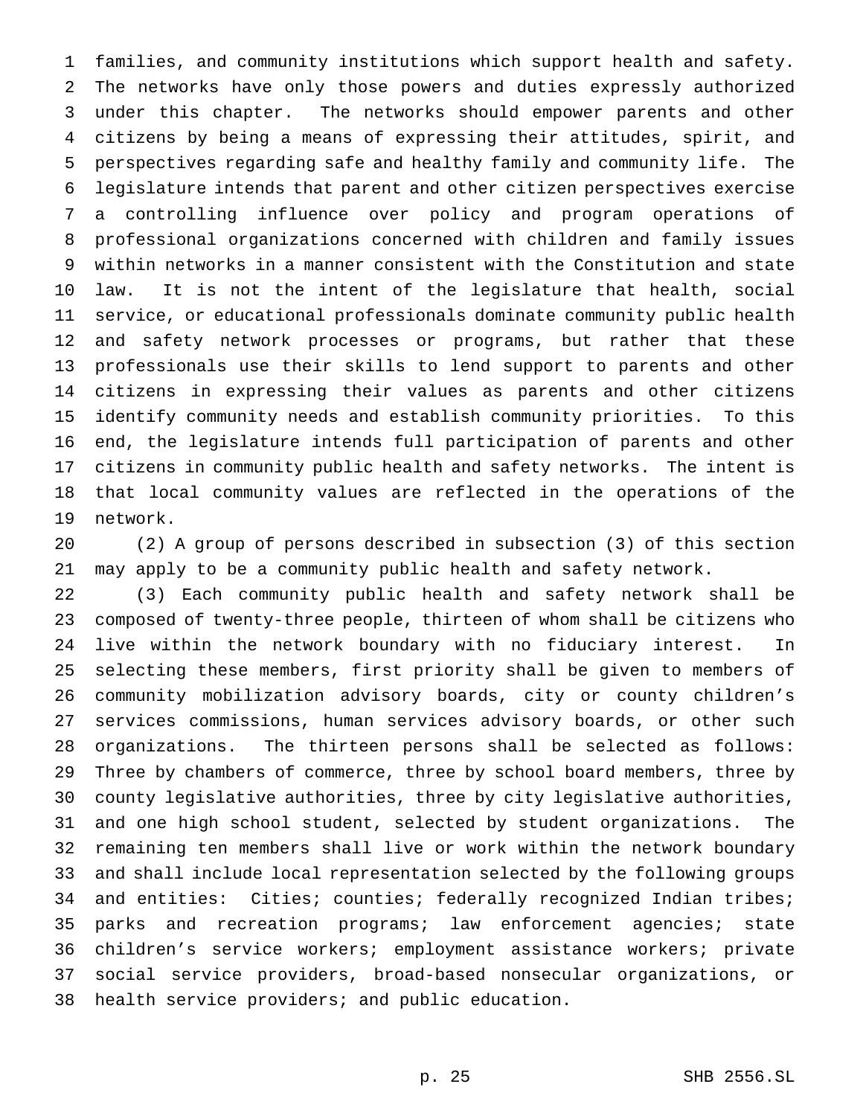families, and community institutions which support health and safety. The networks have only those powers and duties expressly authorized under this chapter. The networks should empower parents and other citizens by being a means of expressing their attitudes, spirit, and perspectives regarding safe and healthy family and community life. The legislature intends that parent and other citizen perspectives exercise a controlling influence over policy and program operations of professional organizations concerned with children and family issues within networks in a manner consistent with the Constitution and state law. It is not the intent of the legislature that health, social service, or educational professionals dominate community public health and safety network processes or programs, but rather that these professionals use their skills to lend support to parents and other citizens in expressing their values as parents and other citizens identify community needs and establish community priorities. To this end, the legislature intends full participation of parents and other citizens in community public health and safety networks. The intent is that local community values are reflected in the operations of the network.

 (2) A group of persons described in subsection (3) of this section may apply to be a community public health and safety network.

 (3) Each community public health and safety network shall be composed of twenty-three people, thirteen of whom shall be citizens who live within the network boundary with no fiduciary interest. In selecting these members, first priority shall be given to members of community mobilization advisory boards, city or county children's services commissions, human services advisory boards, or other such organizations. The thirteen persons shall be selected as follows: Three by chambers of commerce, three by school board members, three by county legislative authorities, three by city legislative authorities, and one high school student, selected by student organizations. The remaining ten members shall live or work within the network boundary and shall include local representation selected by the following groups 34 and entities: Cities; counties; federally recognized Indian tribes; parks and recreation programs; law enforcement agencies; state children's service workers; employment assistance workers; private social service providers, broad-based nonsecular organizations, or health service providers; and public education.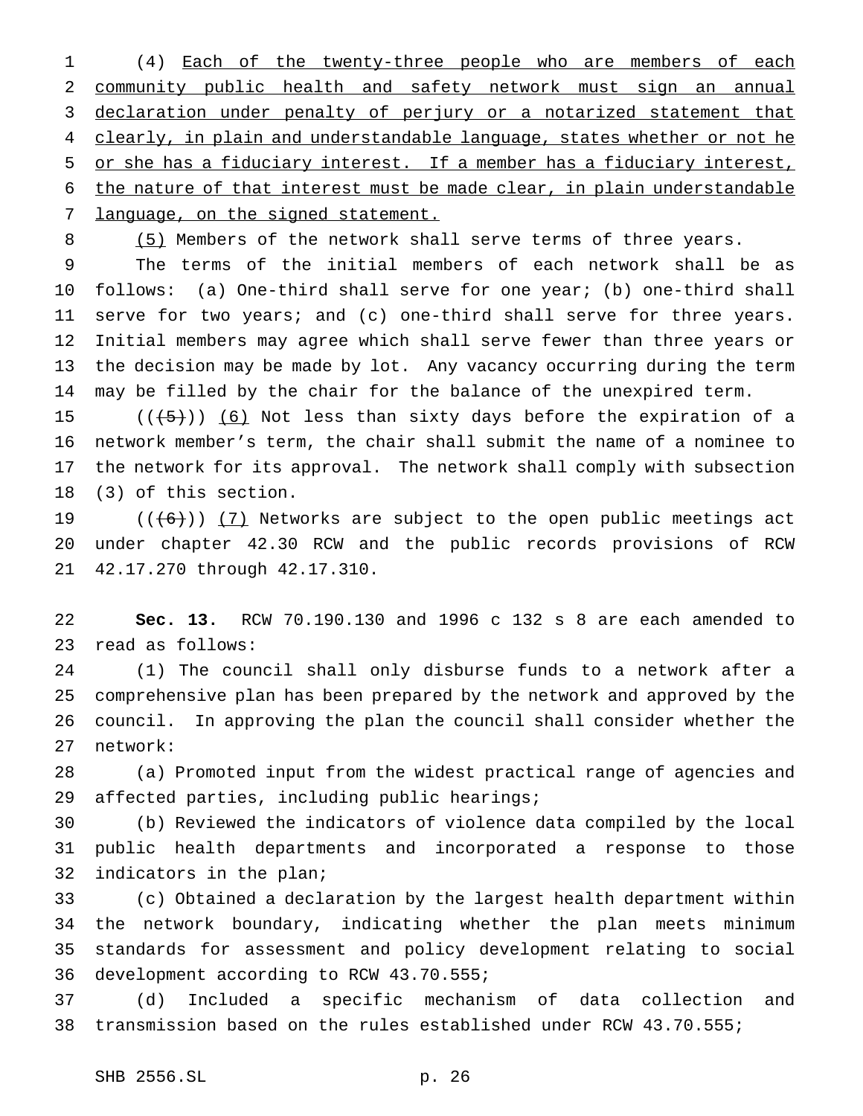(4) Each of the twenty-three people who are members of each community public health and safety network must sign an annual declaration under penalty of perjury or a notarized statement that 4 clearly, in plain and understandable language, states whether or not he or she has a fiduciary interest. If a member has a fiduciary interest, the nature of that interest must be made clear, in plain understandable 7 language, on the signed statement.

8 (5) Members of the network shall serve terms of three years.

 The terms of the initial members of each network shall be as follows: (a) One-third shall serve for one year; (b) one-third shall serve for two years; and (c) one-third shall serve for three years. Initial members may agree which shall serve fewer than three years or the decision may be made by lot. Any vacancy occurring during the term may be filled by the chair for the balance of the unexpired term.

 $((+5))$   $(6)$  Not less than sixty days before the expiration of a network member's term, the chair shall submit the name of a nominee to the network for its approval. The network shall comply with subsection (3) of this section.

19  $((+6))$   $(7)$  Networks are subject to the open public meetings act under chapter 42.30 RCW and the public records provisions of RCW 42.17.270 through 42.17.310.

 **Sec. 13.** RCW 70.190.130 and 1996 c 132 s 8 are each amended to read as follows:

 (1) The council shall only disburse funds to a network after a comprehensive plan has been prepared by the network and approved by the council. In approving the plan the council shall consider whether the network:

 (a) Promoted input from the widest practical range of agencies and affected parties, including public hearings;

 (b) Reviewed the indicators of violence data compiled by the local public health departments and incorporated a response to those indicators in the plan;

 (c) Obtained a declaration by the largest health department within the network boundary, indicating whether the plan meets minimum standards for assessment and policy development relating to social development according to RCW 43.70.555;

 (d) Included a specific mechanism of data collection and transmission based on the rules established under RCW 43.70.555;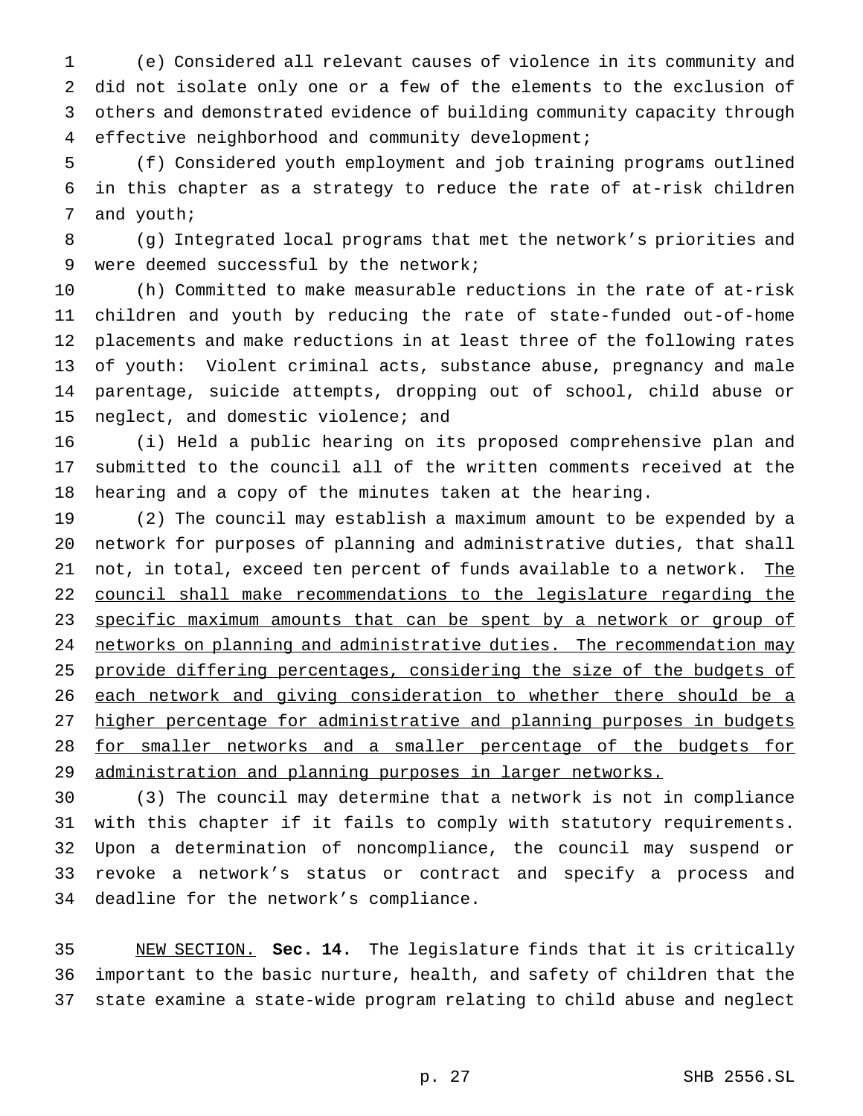(e) Considered all relevant causes of violence in its community and did not isolate only one or a few of the elements to the exclusion of others and demonstrated evidence of building community capacity through effective neighborhood and community development;

 (f) Considered youth employment and job training programs outlined in this chapter as a strategy to reduce the rate of at-risk children and youth;

 (g) Integrated local programs that met the network's priorities and were deemed successful by the network;

 (h) Committed to make measurable reductions in the rate of at-risk children and youth by reducing the rate of state-funded out-of-home placements and make reductions in at least three of the following rates of youth: Violent criminal acts, substance abuse, pregnancy and male parentage, suicide attempts, dropping out of school, child abuse or neglect, and domestic violence; and

 (i) Held a public hearing on its proposed comprehensive plan and submitted to the council all of the written comments received at the hearing and a copy of the minutes taken at the hearing.

 (2) The council may establish a maximum amount to be expended by a network for purposes of planning and administrative duties, that shall 21 not, in total, exceed ten percent of funds available to a network. The council shall make recommendations to the legislature regarding the 23 specific maximum amounts that can be spent by a network or group of 24 networks on planning and administrative duties. The recommendation may provide differing percentages, considering the size of the budgets of 26 each network and giving consideration to whether there should be a higher percentage for administrative and planning purposes in budgets for smaller networks and a smaller percentage of the budgets for administration and planning purposes in larger networks.

 (3) The council may determine that a network is not in compliance with this chapter if it fails to comply with statutory requirements. Upon a determination of noncompliance, the council may suspend or revoke a network's status or contract and specify a process and deadline for the network's compliance.

 NEW SECTION. **Sec. 14.** The legislature finds that it is critically important to the basic nurture, health, and safety of children that the state examine a state-wide program relating to child abuse and neglect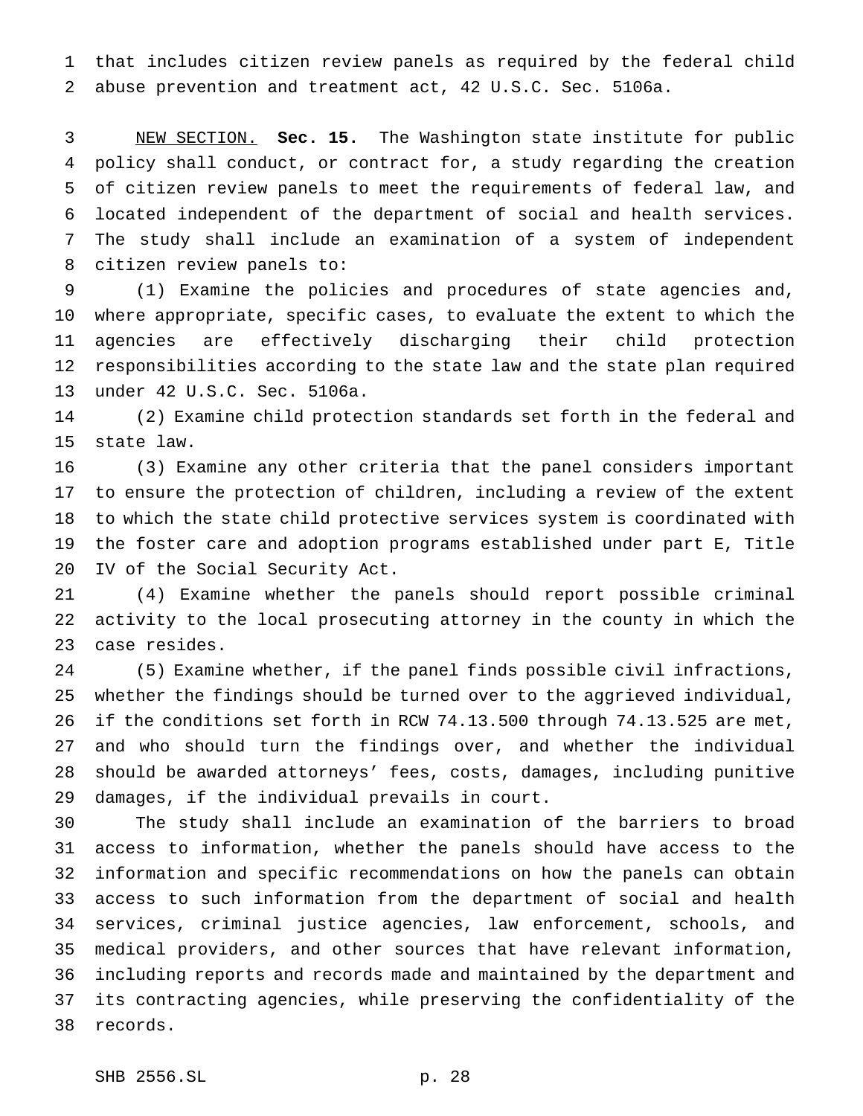that includes citizen review panels as required by the federal child abuse prevention and treatment act, 42 U.S.C. Sec. 5106a.

 NEW SECTION. **Sec. 15.** The Washington state institute for public policy shall conduct, or contract for, a study regarding the creation of citizen review panels to meet the requirements of federal law, and located independent of the department of social and health services. The study shall include an examination of a system of independent citizen review panels to:

 (1) Examine the policies and procedures of state agencies and, where appropriate, specific cases, to evaluate the extent to which the agencies are effectively discharging their child protection responsibilities according to the state law and the state plan required under 42 U.S.C. Sec. 5106a.

 (2) Examine child protection standards set forth in the federal and state law.

 (3) Examine any other criteria that the panel considers important to ensure the protection of children, including a review of the extent to which the state child protective services system is coordinated with the foster care and adoption programs established under part E, Title IV of the Social Security Act.

 (4) Examine whether the panels should report possible criminal activity to the local prosecuting attorney in the county in which the case resides.

 (5) Examine whether, if the panel finds possible civil infractions, whether the findings should be turned over to the aggrieved individual, if the conditions set forth in RCW 74.13.500 through 74.13.525 are met, and who should turn the findings over, and whether the individual should be awarded attorneys' fees, costs, damages, including punitive damages, if the individual prevails in court.

 The study shall include an examination of the barriers to broad access to information, whether the panels should have access to the information and specific recommendations on how the panels can obtain access to such information from the department of social and health services, criminal justice agencies, law enforcement, schools, and medical providers, and other sources that have relevant information, including reports and records made and maintained by the department and its contracting agencies, while preserving the confidentiality of the records.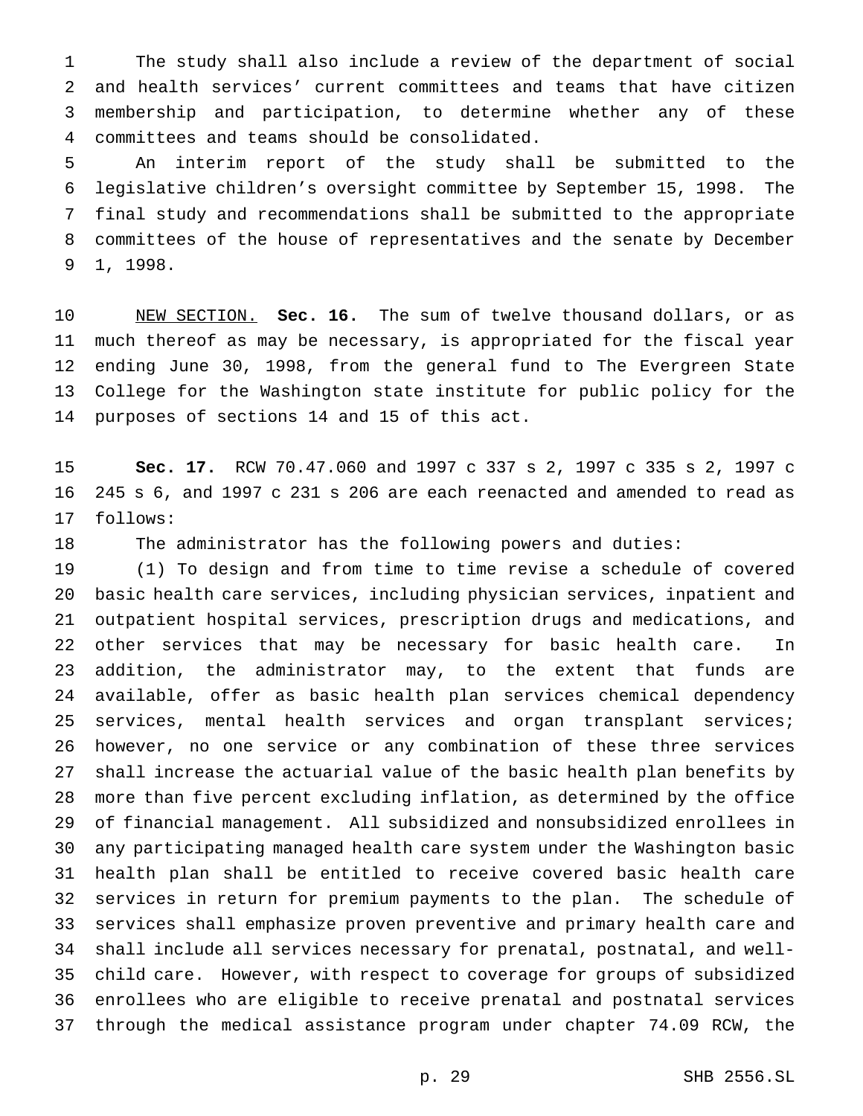The study shall also include a review of the department of social and health services' current committees and teams that have citizen membership and participation, to determine whether any of these committees and teams should be consolidated.

 An interim report of the study shall be submitted to the legislative children's oversight committee by September 15, 1998. The final study and recommendations shall be submitted to the appropriate committees of the house of representatives and the senate by December 1, 1998.

 NEW SECTION. **Sec. 16.** The sum of twelve thousand dollars, or as much thereof as may be necessary, is appropriated for the fiscal year ending June 30, 1998, from the general fund to The Evergreen State College for the Washington state institute for public policy for the purposes of sections 14 and 15 of this act.

 **Sec. 17.** RCW 70.47.060 and 1997 c 337 s 2, 1997 c 335 s 2, 1997 c 245 s 6, and 1997 c 231 s 206 are each reenacted and amended to read as follows:

The administrator has the following powers and duties:

 (1) To design and from time to time revise a schedule of covered basic health care services, including physician services, inpatient and outpatient hospital services, prescription drugs and medications, and other services that may be necessary for basic health care. In addition, the administrator may, to the extent that funds are available, offer as basic health plan services chemical dependency services, mental health services and organ transplant services; however, no one service or any combination of these three services shall increase the actuarial value of the basic health plan benefits by more than five percent excluding inflation, as determined by the office of financial management. All subsidized and nonsubsidized enrollees in any participating managed health care system under the Washington basic health plan shall be entitled to receive covered basic health care services in return for premium payments to the plan. The schedule of services shall emphasize proven preventive and primary health care and shall include all services necessary for prenatal, postnatal, and well- child care. However, with respect to coverage for groups of subsidized enrollees who are eligible to receive prenatal and postnatal services through the medical assistance program under chapter 74.09 RCW, the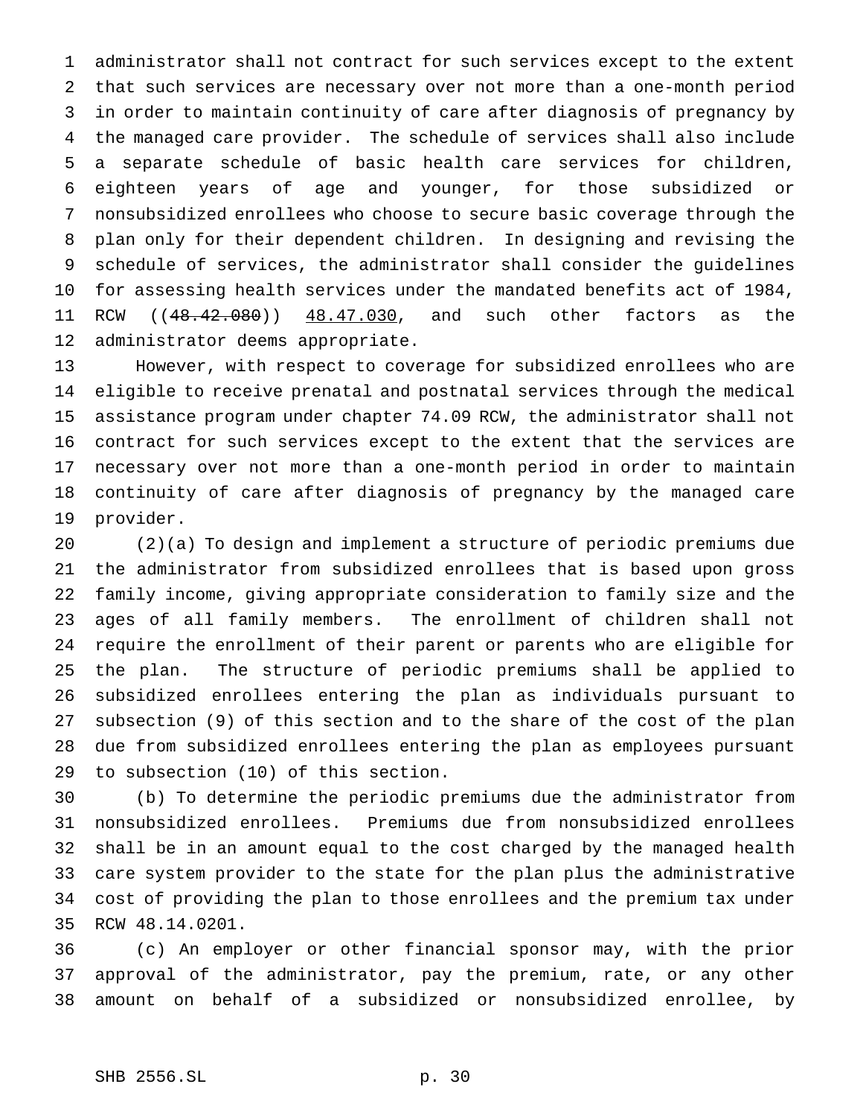administrator shall not contract for such services except to the extent that such services are necessary over not more than a one-month period in order to maintain continuity of care after diagnosis of pregnancy by the managed care provider. The schedule of services shall also include a separate schedule of basic health care services for children, eighteen years of age and younger, for those subsidized or nonsubsidized enrollees who choose to secure basic coverage through the plan only for their dependent children. In designing and revising the schedule of services, the administrator shall consider the guidelines for assessing health services under the mandated benefits act of 1984, RCW ((48.42.080)) 48.47.030, and such other factors as the administrator deems appropriate.

 However, with respect to coverage for subsidized enrollees who are eligible to receive prenatal and postnatal services through the medical assistance program under chapter 74.09 RCW, the administrator shall not contract for such services except to the extent that the services are necessary over not more than a one-month period in order to maintain continuity of care after diagnosis of pregnancy by the managed care provider.

 (2)(a) To design and implement a structure of periodic premiums due the administrator from subsidized enrollees that is based upon gross family income, giving appropriate consideration to family size and the ages of all family members. The enrollment of children shall not require the enrollment of their parent or parents who are eligible for the plan. The structure of periodic premiums shall be applied to subsidized enrollees entering the plan as individuals pursuant to subsection (9) of this section and to the share of the cost of the plan due from subsidized enrollees entering the plan as employees pursuant to subsection (10) of this section.

 (b) To determine the periodic premiums due the administrator from nonsubsidized enrollees. Premiums due from nonsubsidized enrollees shall be in an amount equal to the cost charged by the managed health care system provider to the state for the plan plus the administrative cost of providing the plan to those enrollees and the premium tax under RCW 48.14.0201.

 (c) An employer or other financial sponsor may, with the prior approval of the administrator, pay the premium, rate, or any other amount on behalf of a subsidized or nonsubsidized enrollee, by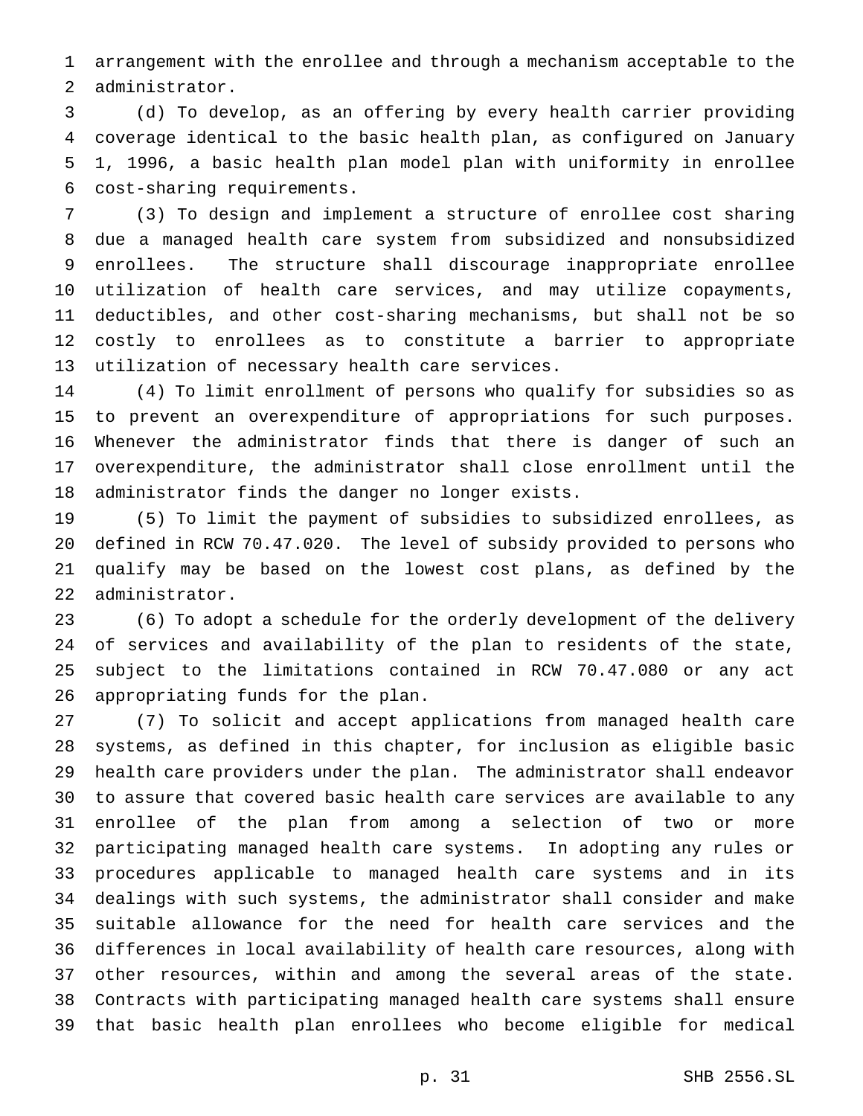arrangement with the enrollee and through a mechanism acceptable to the administrator.

 (d) To develop, as an offering by every health carrier providing coverage identical to the basic health plan, as configured on January 1, 1996, a basic health plan model plan with uniformity in enrollee cost-sharing requirements.

 (3) To design and implement a structure of enrollee cost sharing due a managed health care system from subsidized and nonsubsidized enrollees. The structure shall discourage inappropriate enrollee utilization of health care services, and may utilize copayments, deductibles, and other cost-sharing mechanisms, but shall not be so costly to enrollees as to constitute a barrier to appropriate utilization of necessary health care services.

 (4) To limit enrollment of persons who qualify for subsidies so as to prevent an overexpenditure of appropriations for such purposes. Whenever the administrator finds that there is danger of such an overexpenditure, the administrator shall close enrollment until the administrator finds the danger no longer exists.

 (5) To limit the payment of subsidies to subsidized enrollees, as defined in RCW 70.47.020. The level of subsidy provided to persons who qualify may be based on the lowest cost plans, as defined by the administrator.

 (6) To adopt a schedule for the orderly development of the delivery of services and availability of the plan to residents of the state, subject to the limitations contained in RCW 70.47.080 or any act appropriating funds for the plan.

 (7) To solicit and accept applications from managed health care systems, as defined in this chapter, for inclusion as eligible basic health care providers under the plan. The administrator shall endeavor to assure that covered basic health care services are available to any enrollee of the plan from among a selection of two or more participating managed health care systems. In adopting any rules or procedures applicable to managed health care systems and in its dealings with such systems, the administrator shall consider and make suitable allowance for the need for health care services and the differences in local availability of health care resources, along with other resources, within and among the several areas of the state. Contracts with participating managed health care systems shall ensure that basic health plan enrollees who become eligible for medical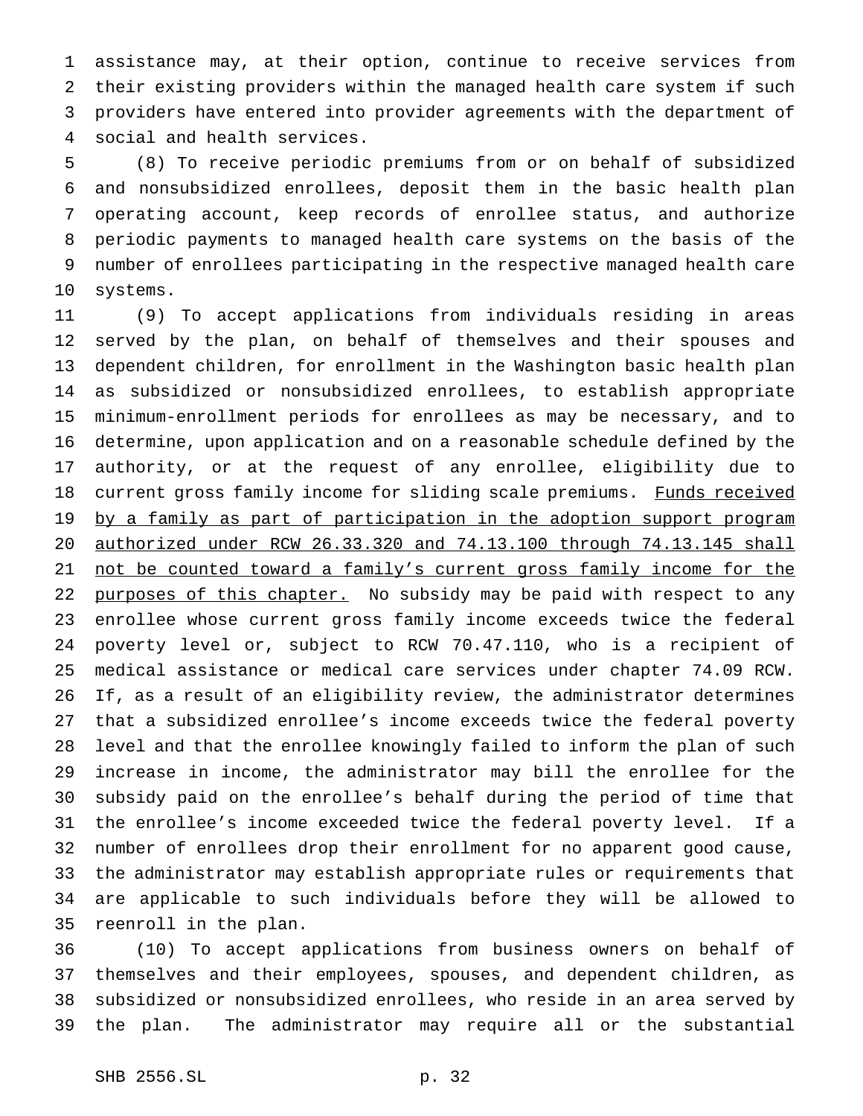assistance may, at their option, continue to receive services from their existing providers within the managed health care system if such providers have entered into provider agreements with the department of social and health services.

 (8) To receive periodic premiums from or on behalf of subsidized and nonsubsidized enrollees, deposit them in the basic health plan operating account, keep records of enrollee status, and authorize periodic payments to managed health care systems on the basis of the number of enrollees participating in the respective managed health care systems.

 (9) To accept applications from individuals residing in areas served by the plan, on behalf of themselves and their spouses and dependent children, for enrollment in the Washington basic health plan as subsidized or nonsubsidized enrollees, to establish appropriate minimum-enrollment periods for enrollees as may be necessary, and to determine, upon application and on a reasonable schedule defined by the authority, or at the request of any enrollee, eligibility due to 18 current gross family income for sliding scale premiums. Funds received 19 by a family as part of participation in the adoption support program authorized under RCW 26.33.320 and 74.13.100 through 74.13.145 shall 21 not be counted toward a family's current gross family income for the 22 purposes of this chapter. No subsidy may be paid with respect to any enrollee whose current gross family income exceeds twice the federal poverty level or, subject to RCW 70.47.110, who is a recipient of medical assistance or medical care services under chapter 74.09 RCW. If, as a result of an eligibility review, the administrator determines that a subsidized enrollee's income exceeds twice the federal poverty level and that the enrollee knowingly failed to inform the plan of such increase in income, the administrator may bill the enrollee for the subsidy paid on the enrollee's behalf during the period of time that the enrollee's income exceeded twice the federal poverty level. If a number of enrollees drop their enrollment for no apparent good cause, the administrator may establish appropriate rules or requirements that are applicable to such individuals before they will be allowed to reenroll in the plan.

 (10) To accept applications from business owners on behalf of themselves and their employees, spouses, and dependent children, as subsidized or nonsubsidized enrollees, who reside in an area served by the plan. The administrator may require all or the substantial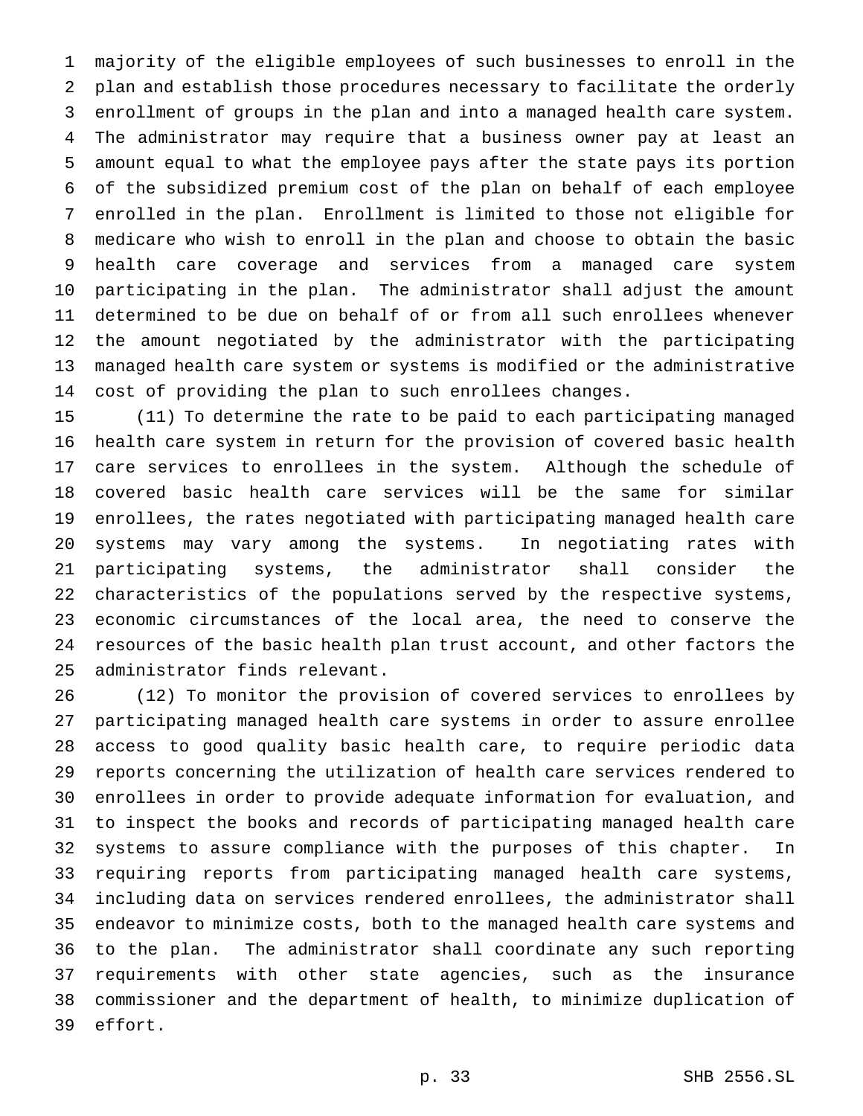majority of the eligible employees of such businesses to enroll in the plan and establish those procedures necessary to facilitate the orderly enrollment of groups in the plan and into a managed health care system. The administrator may require that a business owner pay at least an amount equal to what the employee pays after the state pays its portion of the subsidized premium cost of the plan on behalf of each employee enrolled in the plan. Enrollment is limited to those not eligible for medicare who wish to enroll in the plan and choose to obtain the basic health care coverage and services from a managed care system participating in the plan. The administrator shall adjust the amount determined to be due on behalf of or from all such enrollees whenever the amount negotiated by the administrator with the participating managed health care system or systems is modified or the administrative cost of providing the plan to such enrollees changes.

 (11) To determine the rate to be paid to each participating managed health care system in return for the provision of covered basic health care services to enrollees in the system. Although the schedule of covered basic health care services will be the same for similar enrollees, the rates negotiated with participating managed health care systems may vary among the systems. In negotiating rates with participating systems, the administrator shall consider the characteristics of the populations served by the respective systems, economic circumstances of the local area, the need to conserve the resources of the basic health plan trust account, and other factors the administrator finds relevant.

 (12) To monitor the provision of covered services to enrollees by participating managed health care systems in order to assure enrollee access to good quality basic health care, to require periodic data reports concerning the utilization of health care services rendered to enrollees in order to provide adequate information for evaluation, and to inspect the books and records of participating managed health care systems to assure compliance with the purposes of this chapter. In requiring reports from participating managed health care systems, including data on services rendered enrollees, the administrator shall endeavor to minimize costs, both to the managed health care systems and to the plan. The administrator shall coordinate any such reporting requirements with other state agencies, such as the insurance commissioner and the department of health, to minimize duplication of effort.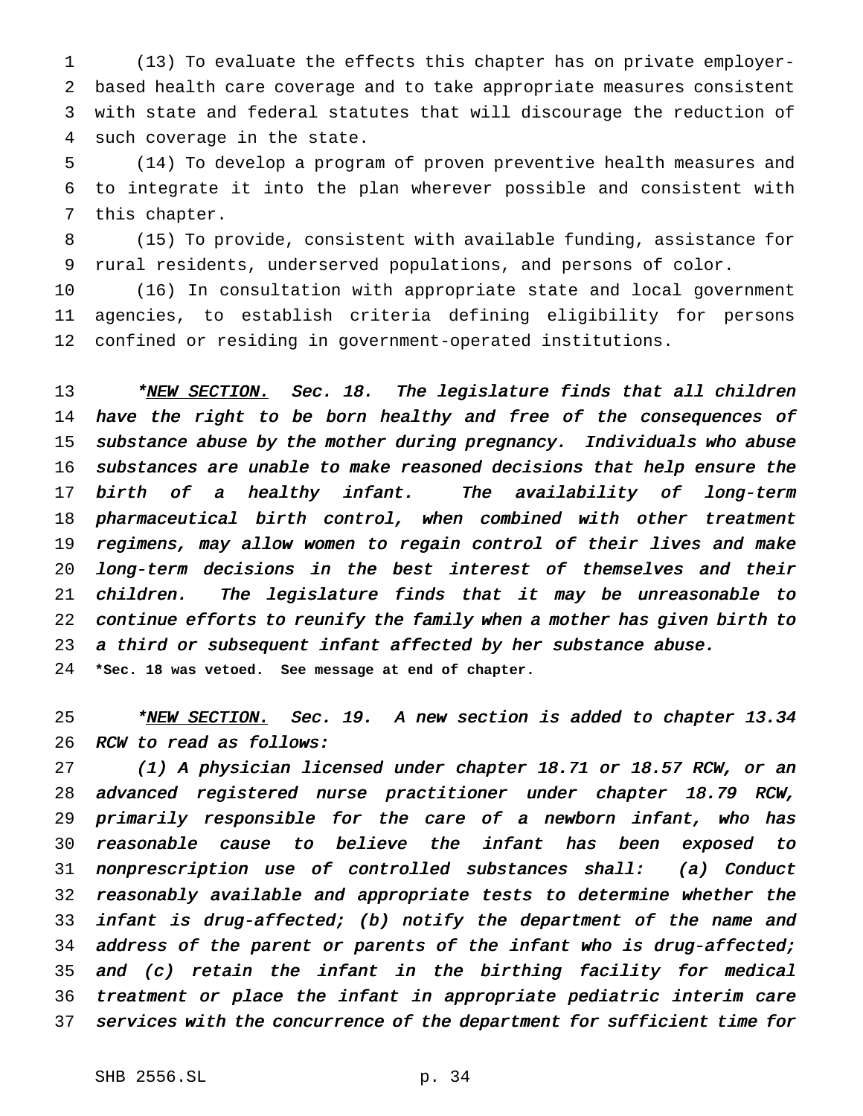(13) To evaluate the effects this chapter has on private employer- based health care coverage and to take appropriate measures consistent with state and federal statutes that will discourage the reduction of such coverage in the state.

 (14) To develop a program of proven preventive health measures and to integrate it into the plan wherever possible and consistent with this chapter.

 (15) To provide, consistent with available funding, assistance for rural residents, underserved populations, and persons of color.

 (16) In consultation with appropriate state and local government agencies, to establish criteria defining eligibility for persons confined or residing in government-operated institutions.

13 \*NEW SECTION. Sec. 18. The legislature finds that all children 14 have the right to be born healthy and free of the consequences of substance abuse by the mother during pregnancy. Individuals who abuse substances are unable to make reasoned decisions that help ensure the birth of <sup>a</sup> healthy infant. The availability of long-term pharmaceutical birth control, when combined with other treatment regimens, may allow women to regain control of their lives and make long-term decisions in the best interest of themselves and their children. The legislature finds that it may be unreasonable to continue efforts to reunify the family when <sup>a</sup> mother has given birth to <sup>a</sup> third or subsequent infant affected by her substance abuse. **\*Sec. 18 was vetoed. See message at end of chapter.**

25 \*NEW SECTION. Sec. 19. A new section is added to chapter 13.34 RCW to read as follows:

 (1) <sup>A</sup> physician licensed under chapter 18.71 or 18.57 RCW, or an advanced registered nurse practitioner under chapter 18.79 RCW, primarily responsible for the care of <sup>a</sup> newborn infant, who has reasonable cause to believe the infant has been exposed to nonprescription use of controlled substances shall: (a) Conduct reasonably available and appropriate tests to determine whether the infant is drug-affected; (b) notify the department of the name and address of the parent or parents of the infant who is drug-affected; and (c) retain the infant in the birthing facility for medical treatment or place the infant in appropriate pediatric interim care services with the concurrence of the department for sufficient time for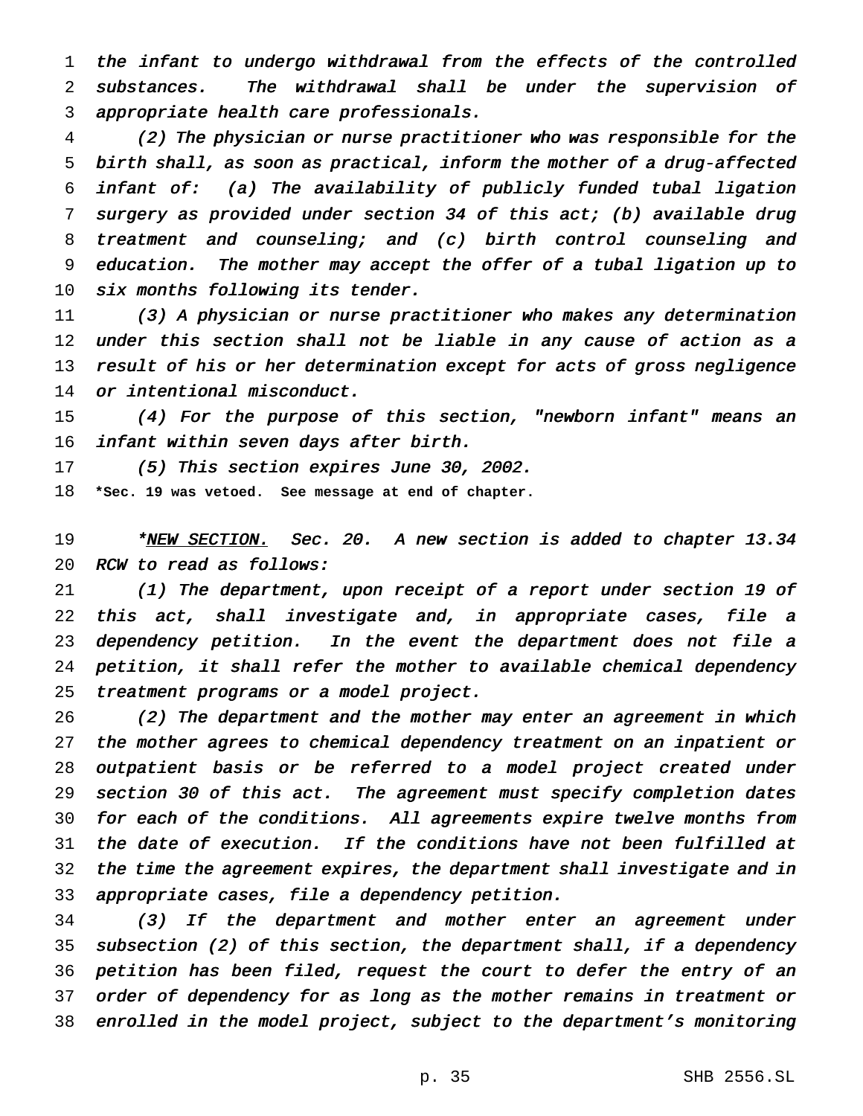the infant to undergo withdrawal from the effects of the controlled substances. The withdrawal shall be under the supervision of appropriate health care professionals.

 (2) The physician or nurse practitioner who was responsible for the birth shall, as soon as practical, inform the mother of <sup>a</sup> drug-affected infant of: (a) The availability of publicly funded tubal ligation surgery as provided under section <sup>34</sup> of this act; (b) available drug treatment and counseling; and (c) birth control counseling and education. The mother may accept the offer of <sup>a</sup> tubal ligation up to 10 six months following its tender.

 (3) <sup>A</sup> physician or nurse practitioner who makes any determination under this section shall not be liable in any cause of action as <sup>a</sup> result of his or her determination except for acts of gross negligence 14 or intentional misconduct.

 (4) For the purpose of this section, "newborn infant" means an infant within seven days after birth.

 (5) This section expires June 30, 2002. **\*Sec. 19 was vetoed. See message at end of chapter.**

19 \*<u>NEW SECTION.</u> Sec. 20. A new section is added to chapter 13.34 RCW to read as follows:

 (1) The department, upon receipt of <sup>a</sup> report under section <sup>19</sup> of this act, shall investigate and, in appropriate cases, file <sup>a</sup> dependency petition. In the event the department does not file <sup>a</sup> petition, it shall refer the mother to available chemical dependency treatment programs or <sup>a</sup> model project.

 (2) The department and the mother may enter an agreement in which the mother agrees to chemical dependency treatment on an inpatient or outpatient basis or be referred to <sup>a</sup> model project created under section <sup>30</sup> of this act. The agreement must specify completion dates for each of the conditions. All agreements expire twelve months from the date of execution. If the conditions have not been fulfilled at the time the agreement expires, the department shall investigate and in appropriate cases, file <sup>a</sup> dependency petition.

 (3) If the department and mother enter an agreement under subsection (2) of this section, the department shall, if <sup>a</sup> dependency petition has been filed, request the court to defer the entry of an order of dependency for as long as the mother remains in treatment or enrolled in the model project, subject to the department's monitoring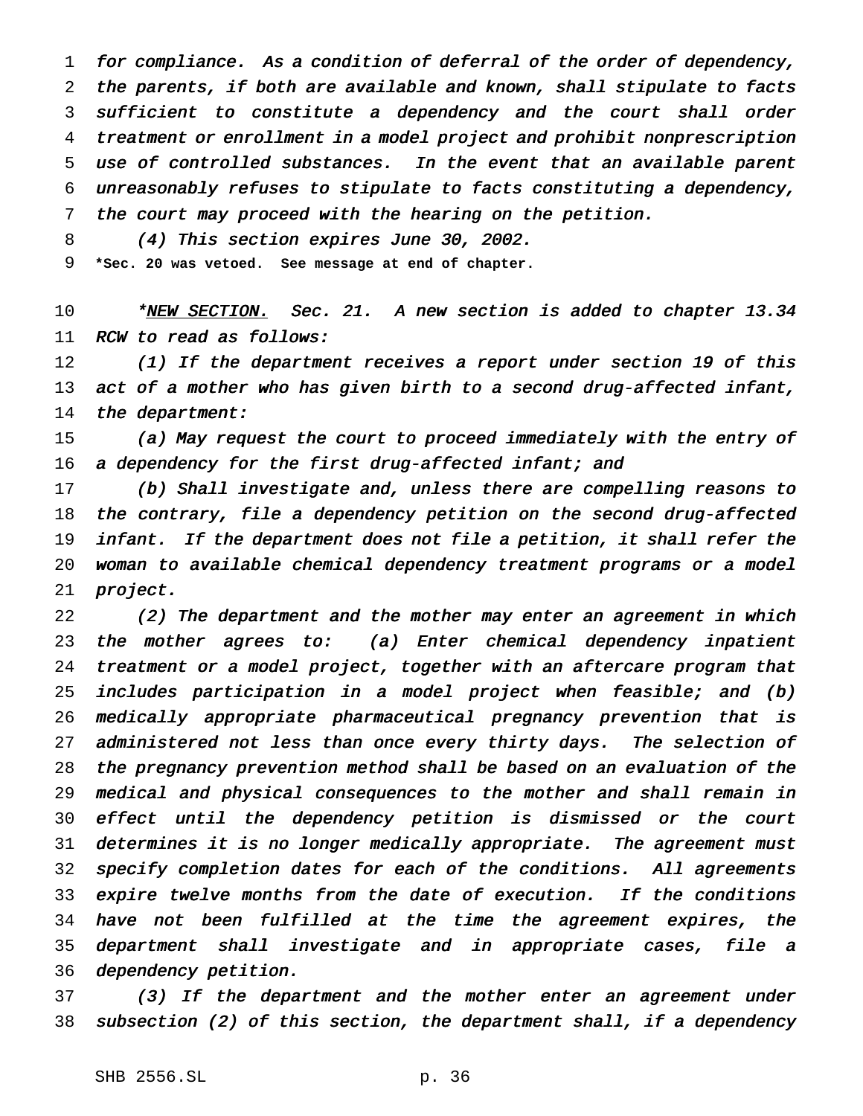for compliance. As <sup>a</sup> condition of deferral of the order of dependency, the parents, if both are available and known, shall stipulate to facts sufficient to constitute <sup>a</sup> dependency and the court shall order treatment or enrollment in <sup>a</sup> model project and prohibit nonprescription use of controlled substances. In the event that an available parent unreasonably refuses to stipulate to facts constituting <sup>a</sup> dependency, the court may proceed with the hearing on the petition.

(4) This section expires June 30, 2002.

**\*Sec. 20 was vetoed. See message at end of chapter.**

10 \*NEW SECTION. Sec. 21. A new section is added to chapter 13.34 RCW to read as follows:

12 (1) If the department receives a report under section 19 of this 13 act of a mother who has given birth to a second drug-affected infant, 14 the department:

15 (a) May request the court to proceed immediately with the entry of 16 a dependency for the first drug-affected infant; and

 (b) Shall investigate and, unless there are compelling reasons to the contrary, file <sup>a</sup> dependency petition on the second drug-affected infant. If the department does not file <sup>a</sup> petition, it shall refer the woman to available chemical dependency treatment programs or <sup>a</sup> model project.

 (2) The department and the mother may enter an agreement in which the mother agrees to: (a) Enter chemical dependency inpatient treatment or <sup>a</sup> model project, together with an aftercare program that includes participation in <sup>a</sup> model project when feasible; and (b) medically appropriate pharmaceutical pregnancy prevention that is 27 administered not less than once every thirty days. The selection of the pregnancy prevention method shall be based on an evaluation of the medical and physical consequences to the mother and shall remain in effect until the dependency petition is dismissed or the court determines it is no longer medically appropriate. The agreement must specify completion dates for each of the conditions. All agreements expire twelve months from the date of execution. If the conditions have not been fulfilled at the time the agreement expires, the department shall investigate and in appropriate cases, file <sup>a</sup> dependency petition.

 (3) If the department and the mother enter an agreement under subsection (2) of this section, the department shall, if <sup>a</sup> dependency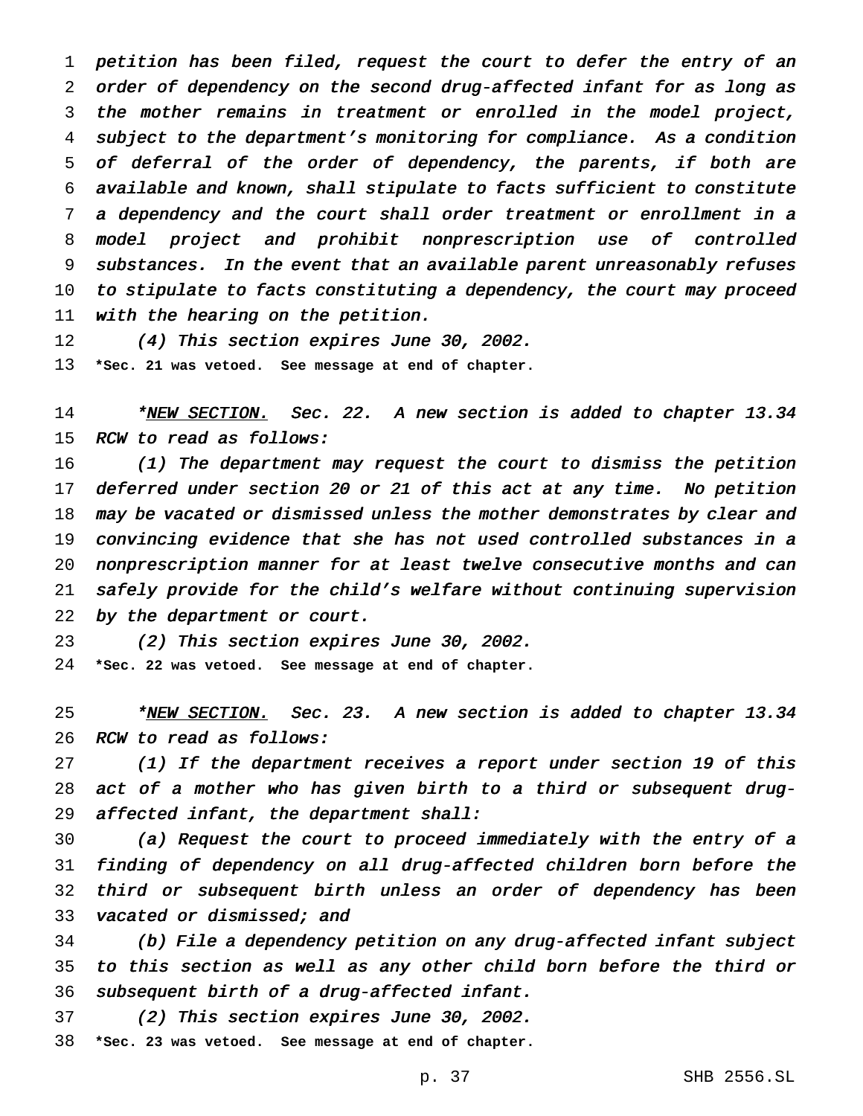petition has been filed, request the court to defer the entry of an order of dependency on the second drug-affected infant for as long as the mother remains in treatment or enrolled in the model project, subject to the department's monitoring for compliance. As <sup>a</sup> condition of deferral of the order of dependency, the parents, if both are available and known, shall stipulate to facts sufficient to constitute <sup>a</sup> dependency and the court shall order treatment or enrollment in <sup>a</sup> model project and prohibit nonprescription use of controlled substances. In the event that an available parent unreasonably refuses to stipulate to facts constituting <sup>a</sup> dependency, the court may proceed with the hearing on the petition.

 (4) This section expires June 30, 2002. **\*Sec. 21 was vetoed. See message at end of chapter.**

14 \*<u>NEW SECTION.</u> Sec. 22. A new section is added to chapter 13.34 RCW to read as follows:

 (1) The department may request the court to dismiss the petition deferred under section <sup>20</sup> or <sup>21</sup> of this act at any time. No petition may be vacated or dismissed unless the mother demonstrates by clear and convincing evidence that she has not used controlled substances in <sup>a</sup> nonprescription manner for at least twelve consecutive months and can safely provide for the child's welfare without continuing supervision 22 by the department or court.

(2) This section expires June 30, 2002.

**\*Sec. 22 was vetoed. See message at end of chapter.**

<sup>25</sup> \*<u>NEW SECTION.</u> Sec. 23. A new section is added to chapter 13.34 RCW to read as follows:

 (1) If the department receives <sup>a</sup> report under section <sup>19</sup> of this act of <sup>a</sup> mother who has given birth to <sup>a</sup> third or subsequent drug-affected infant, the department shall:

 (a) Request the court to proceed immediately with the entry of <sup>a</sup> finding of dependency on all drug-affected children born before the third or subsequent birth unless an order of dependency has been 33 vacated or dismissed; and

 (b) File <sup>a</sup> dependency petition on any drug-affected infant subject to this section as well as any other child born before the third or subsequent birth of <sup>a</sup> drug-affected infant.

(2) This section expires June 30, 2002.

**\*Sec. 23 was vetoed. See message at end of chapter.**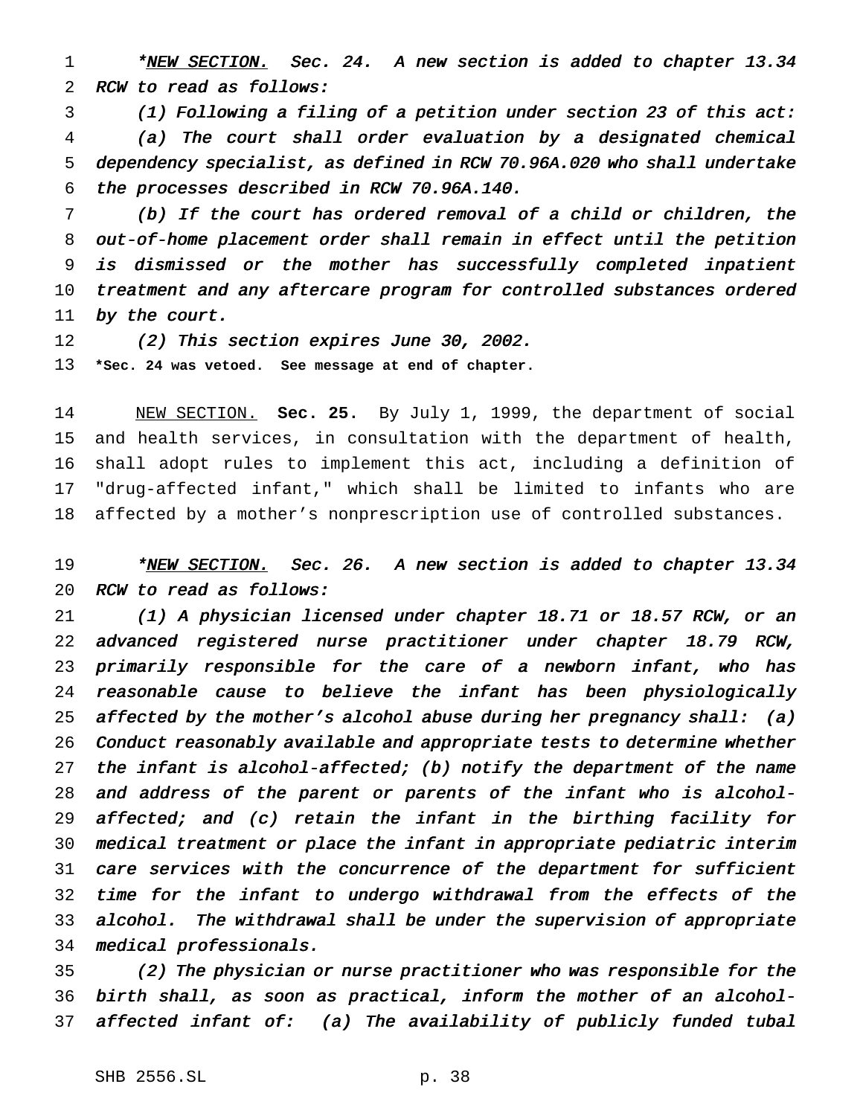1 \*NEW SECTION. Sec. 24. A new section is added to chapter 13.34 RCW to read as follows:

 (1) Following <sup>a</sup> filing of <sup>a</sup> petition under section <sup>23</sup> of this act: (a) The court shall order evaluation by <sup>a</sup> designated chemical dependency specialist, as defined in RCW 70.96A.020 who shall undertake the processes described in RCW 70.96A.140.

 (b) If the court has ordered removal of <sup>a</sup> child or children, the out-of-home placement order shall remain in effect until the petition is dismissed or the mother has successfully completed inpatient treatment and any aftercare program for controlled substances ordered by the court.

 (2) This section expires June 30, 2002. **\*Sec. 24 was vetoed. See message at end of chapter.**

 NEW SECTION. **Sec. 25.** By July 1, 1999, the department of social and health services, in consultation with the department of health, shall adopt rules to implement this act, including a definition of "drug-affected infant," which shall be limited to infants who are affected by a mother's nonprescription use of controlled substances.

# 19 \*NEW SECTION. Sec. 26. A new section is added to chapter 13.34 RCW to read as follows:

 (1) <sup>A</sup> physician licensed under chapter 18.71 or 18.57 RCW, or an advanced registered nurse practitioner under chapter 18.79 RCW, primarily responsible for the care of <sup>a</sup> newborn infant, who has reasonable cause to believe the infant has been physiologically 25 affected by the mother's alcohol abuse during her pregnancy shall: (a) Conduct reasonably available and appropriate tests to determine whether 27 the infant is alcohol-affected; (b) notify the department of the name and address of the parent or parents of the infant who is alcohol- affected; and (c) retain the infant in the birthing facility for medical treatment or place the infant in appropriate pediatric interim care services with the concurrence of the department for sufficient time for the infant to undergo withdrawal from the effects of the alcohol. The withdrawal shall be under the supervision of appropriate medical professionals.

 (2) The physician or nurse practitioner who was responsible for the birth shall, as soon as practical, inform the mother of an alcohol-affected infant of: (a) The availability of publicly funded tubal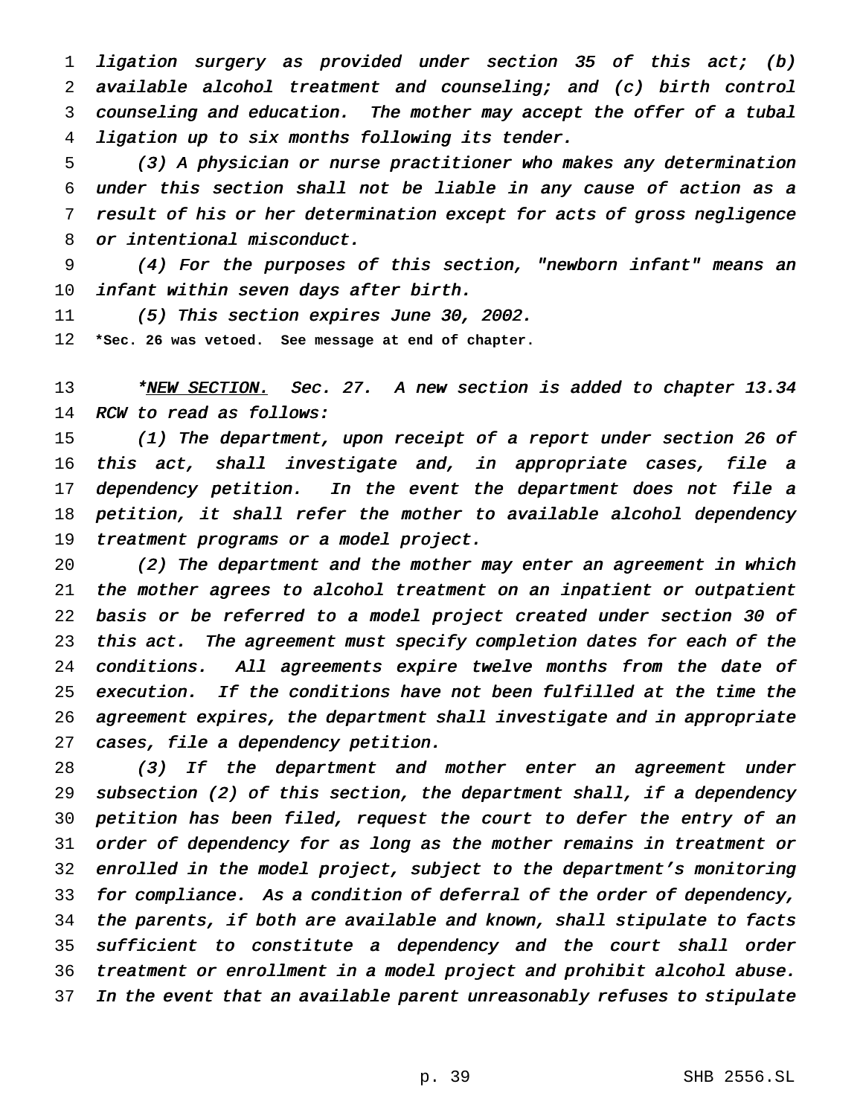ligation surgery as provided under section <sup>35</sup> of this act; (b) available alcohol treatment and counseling; and (c) birth control counseling and education. The mother may accept the offer of <sup>a</sup> tubal ligation up to six months following its tender.

 (3) <sup>A</sup> physician or nurse practitioner who makes any determination under this section shall not be liable in any cause of action as <sup>a</sup> result of his or her determination except for acts of gross negligence or intentional misconduct.

 (4) For the purposes of this section, "newborn infant" means an infant within seven days after birth.

(5) This section expires June 30, 2002.

**\*Sec. 26 was vetoed. See message at end of chapter.**

13 \*NEW SECTION. Sec. 27. A new section is added to chapter 13.34 RCW to read as follows:

15 (1) The department, upon receipt of a report under section 26 of this act, shall investigate and, in appropriate cases, file <sup>a</sup> 17 dependency petition. In the event the department does not file a petition, it shall refer the mother to available alcohol dependency treatment programs or <sup>a</sup> model project.

 (2) The department and the mother may enter an agreement in which the mother agrees to alcohol treatment on an inpatient or outpatient basis or be referred to <sup>a</sup> model project created under section <sup>30</sup> of this act. The agreement must specify completion dates for each of the 24 conditions. All agreements expire twelve months from the date of execution. If the conditions have not been fulfilled at the time the agreement expires, the department shall investigate and in appropriate cases, file <sup>a</sup> dependency petition.

28 (3) If the department and mother enter an agreement under subsection (2) of this section, the department shall, if <sup>a</sup> dependency petition has been filed, request the court to defer the entry of an order of dependency for as long as the mother remains in treatment or enrolled in the model project, subject to the department's monitoring for compliance. As <sup>a</sup> condition of deferral of the order of dependency, the parents, if both are available and known, shall stipulate to facts sufficient to constitute <sup>a</sup> dependency and the court shall order treatment or enrollment in <sup>a</sup> model project and prohibit alcohol abuse. In the event that an available parent unreasonably refuses to stipulate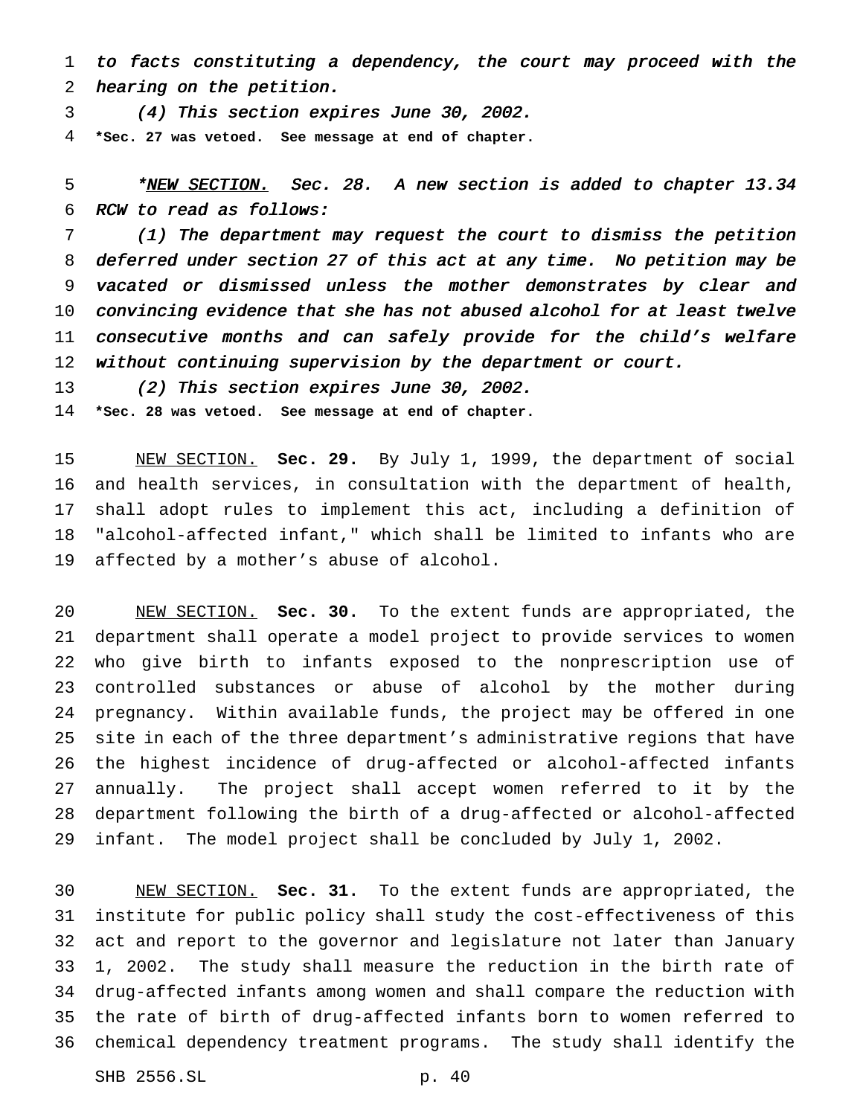to facts constituting <sup>a</sup> dependency, the court may proceed with the hearing on the petition.

(4) This section expires June 30, 2002.

**\*Sec. 27 was vetoed. See message at end of chapter.**

5 \*NEW SECTION. Sec. 28. A new section is added to chapter 13.34 RCW to read as follows:

 (1) The department may request the court to dismiss the petition deferred under section <sup>27</sup> of this act at any time. No petition may be vacated or dismissed unless the mother demonstrates by clear and convincing evidence that she has not abused alcohol for at least twelve 11 consecutive months and can safely provide for the child's welfare without continuing supervision by the department or court.

(2) This section expires June 30, 2002.

**\*Sec. 28 was vetoed. See message at end of chapter.**

 NEW SECTION. **Sec. 29.** By July 1, 1999, the department of social and health services, in consultation with the department of health, shall adopt rules to implement this act, including a definition of "alcohol-affected infant," which shall be limited to infants who are affected by a mother's abuse of alcohol.

 NEW SECTION. **Sec. 30.** To the extent funds are appropriated, the department shall operate a model project to provide services to women who give birth to infants exposed to the nonprescription use of controlled substances or abuse of alcohol by the mother during pregnancy. Within available funds, the project may be offered in one site in each of the three department's administrative regions that have the highest incidence of drug-affected or alcohol-affected infants annually. The project shall accept women referred to it by the department following the birth of a drug-affected or alcohol-affected infant. The model project shall be concluded by July 1, 2002.

 NEW SECTION. **Sec. 31.** To the extent funds are appropriated, the institute for public policy shall study the cost-effectiveness of this act and report to the governor and legislature not later than January 1, 2002. The study shall measure the reduction in the birth rate of drug-affected infants among women and shall compare the reduction with the rate of birth of drug-affected infants born to women referred to chemical dependency treatment programs. The study shall identify the

SHB 2556.SL p. 40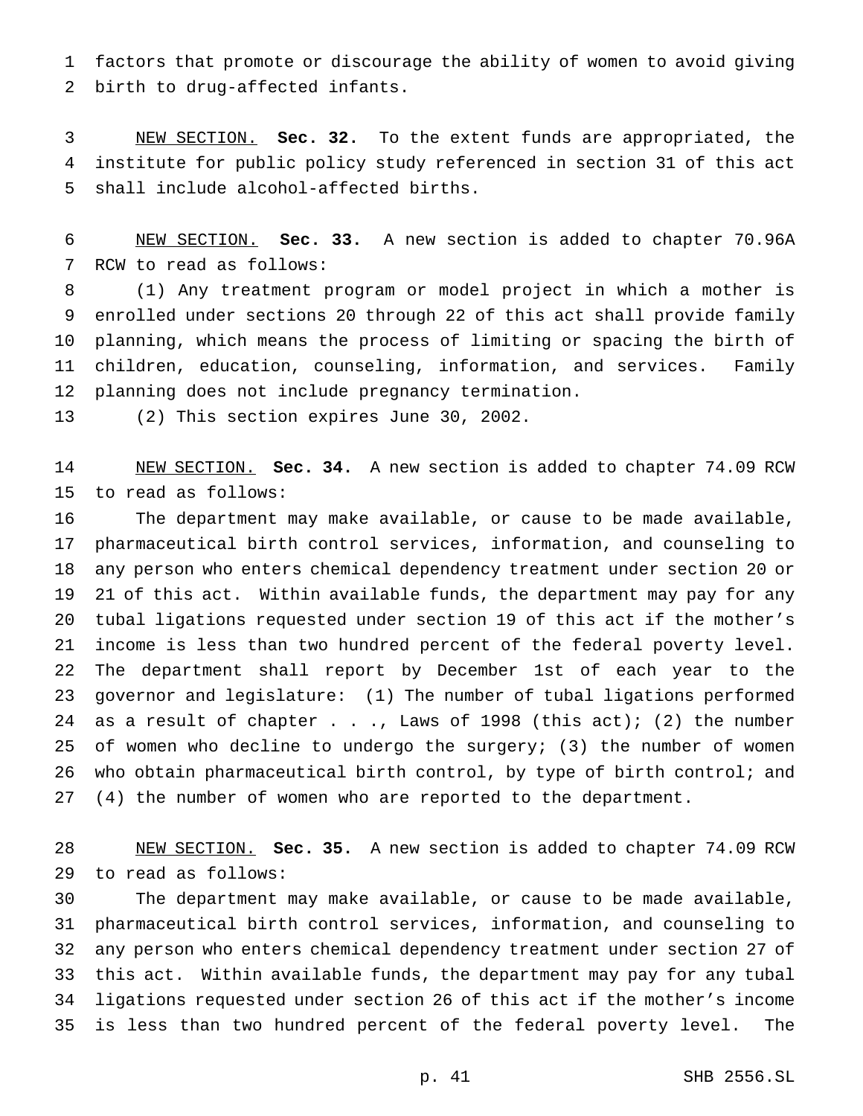factors that promote or discourage the ability of women to avoid giving birth to drug-affected infants.

 NEW SECTION. **Sec. 32.** To the extent funds are appropriated, the institute for public policy study referenced in section 31 of this act shall include alcohol-affected births.

 NEW SECTION. **Sec. 33.** A new section is added to chapter 70.96A RCW to read as follows:

 (1) Any treatment program or model project in which a mother is enrolled under sections 20 through 22 of this act shall provide family planning, which means the process of limiting or spacing the birth of children, education, counseling, information, and services. Family planning does not include pregnancy termination.

(2) This section expires June 30, 2002.

 NEW SECTION. **Sec. 34.** A new section is added to chapter 74.09 RCW to read as follows:

 The department may make available, or cause to be made available, pharmaceutical birth control services, information, and counseling to any person who enters chemical dependency treatment under section 20 or 21 of this act. Within available funds, the department may pay for any tubal ligations requested under section 19 of this act if the mother's income is less than two hundred percent of the federal poverty level. The department shall report by December 1st of each year to the governor and legislature: (1) The number of tubal ligations performed 24 as a result of chapter  $\ldots$ , Laws of 1998 (this act); (2) the number of women who decline to undergo the surgery; (3) the number of women who obtain pharmaceutical birth control, by type of birth control; and (4) the number of women who are reported to the department.

 NEW SECTION. **Sec. 35.** A new section is added to chapter 74.09 RCW to read as follows:

 The department may make available, or cause to be made available, pharmaceutical birth control services, information, and counseling to any person who enters chemical dependency treatment under section 27 of this act. Within available funds, the department may pay for any tubal ligations requested under section 26 of this act if the mother's income is less than two hundred percent of the federal poverty level. The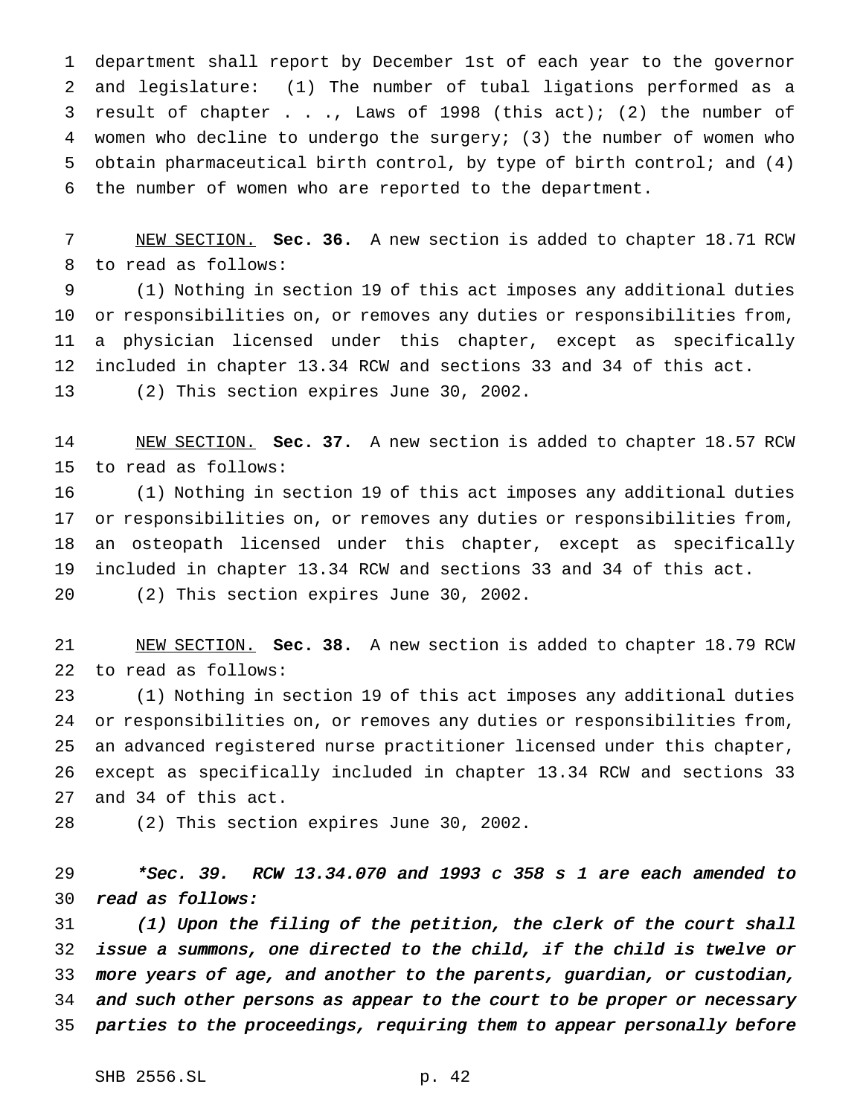department shall report by December 1st of each year to the governor and legislature: (1) The number of tubal ligations performed as a result of chapter . . ., Laws of 1998 (this act); (2) the number of women who decline to undergo the surgery; (3) the number of women who obtain pharmaceutical birth control, by type of birth control; and (4) the number of women who are reported to the department.

 NEW SECTION. **Sec. 36.** A new section is added to chapter 18.71 RCW to read as follows:

 (1) Nothing in section 19 of this act imposes any additional duties or responsibilities on, or removes any duties or responsibilities from, a physician licensed under this chapter, except as specifically included in chapter 13.34 RCW and sections 33 and 34 of this act. (2) This section expires June 30, 2002.

 NEW SECTION. **Sec. 37.** A new section is added to chapter 18.57 RCW to read as follows:

 (1) Nothing in section 19 of this act imposes any additional duties or responsibilities on, or removes any duties or responsibilities from, an osteopath licensed under this chapter, except as specifically included in chapter 13.34 RCW and sections 33 and 34 of this act. (2) This section expires June 30, 2002.

 NEW SECTION. **Sec. 38.** A new section is added to chapter 18.79 RCW to read as follows:

 (1) Nothing in section 19 of this act imposes any additional duties or responsibilities on, or removes any duties or responsibilities from, an advanced registered nurse practitioner licensed under this chapter, except as specifically included in chapter 13.34 RCW and sections 33 and 34 of this act.

(2) This section expires June 30, 2002.

 \*Sec. 39. RCW 13.34.070 and <sup>1993</sup> <sup>c</sup> <sup>358</sup> <sup>s</sup> <sup>1</sup> are each amended to read as follows:

 (1) Upon the filing of the petition, the clerk of the court shall issue <sup>a</sup> summons, one directed to the child, if the child is twelve or more years of age, and another to the parents, guardian, or custodian, 34 and such other persons as appear to the court to be proper or necessary parties to the proceedings, requiring them to appear personally before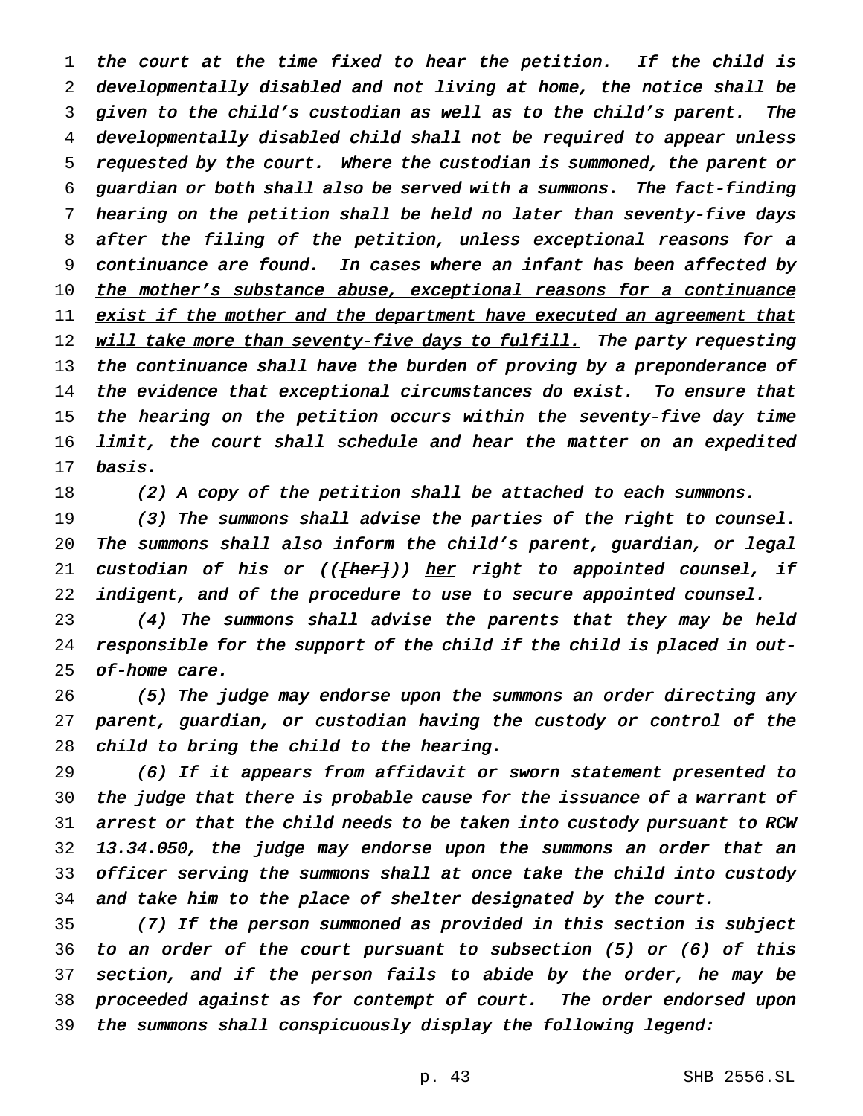the court at the time fixed to hear the petition. If the child is developmentally disabled and not living at home, the notice shall be given to the child's custodian as well as to the child's parent. The developmentally disabled child shall not be required to appear unless requested by the court. Where the custodian is summoned, the parent or guardian or both shall also be served with <sup>a</sup> summons. The fact-finding hearing on the petition shall be held no later than seventy-five days after the filing of the petition, unless exceptional reasons for <sup>a</sup> 9 continuance are found. In cases where an infant has been affected by 10 the mother's substance abuse, exceptional reasons for a continuance 11 exist if the mother and the department have executed an agreement that 12 will take more than seventy-five days to fulfill. The party requesting 13 the continuance shall have the burden of proving by a preponderance of the evidence that exceptional circumstances do exist. To ensure that the hearing on the petition occurs within the seventy-five day time limit, the court shall schedule and hear the matter on an expedited basis.

(2) <sup>A</sup> copy of the petition shall be attached to each summons.

 (3) The summons shall advise the parties of the right to counsel. The summons shall also inform the child's parent, guardian, or legal 21 custodian of his or ((<del>[her]</del>)) her right to appointed counsel, if 22 indigent, and of the procedure to use to secure appointed counsel.

 (4) The summons shall advise the parents that they may be held responsible for the support of the child if the child is placed in out-of-home care.

 (5) The judge may endorse upon the summons an order directing any parent, guardian, or custodian having the custody or control of the child to bring the child to the hearing.

 (6) If it appears from affidavit or sworn statement presented to the judge that there is probable cause for the issuance of <sup>a</sup> warrant of arrest or that the child needs to be taken into custody pursuant to RCW 13.34.050, the judge may endorse upon the summons an order that an officer serving the summons shall at once take the child into custody and take him to the place of shelter designated by the court.

 (7) If the person summoned as provided in this section is subject to an order of the court pursuant to subsection (5) or (6) of this section, and if the person fails to abide by the order, he may be proceeded against as for contempt of court. The order endorsed upon the summons shall conspicuously display the following legend: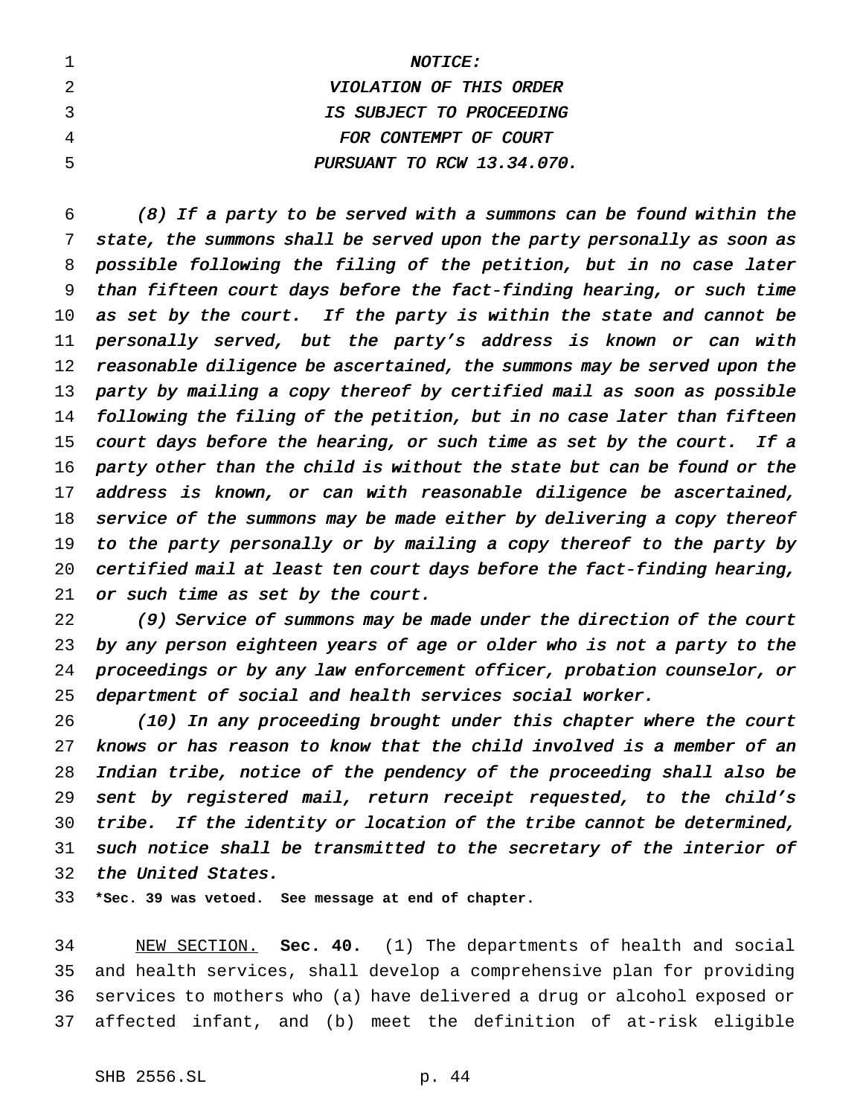| <i>NOTICE:</i>             |
|----------------------------|
| VIOLATION OF THIS ORDER    |
| IS SUBJECT TO PROCEEDING   |
| FOR CONTEMPT OF COURT      |
| PURSUANT TO RCW 13.34.070. |

 (8) If <sup>a</sup> party to be served with <sup>a</sup> summons can be found within the state, the summons shall be served upon the party personally as soon as possible following the filing of the petition, but in no case later than fifteen court days before the fact-finding hearing, or such time 10 as set by the court. If the party is within the state and cannot be personally served, but the party's address is known or can with 12 reasonable diligence be ascertained, the summons may be served upon the party by mailing <sup>a</sup> copy thereof by certified mail as soon as possible following the filing of the petition, but in no case later than fifteen 15 court days before the hearing, or such time as set by the court. If a party other than the child is without the state but can be found or the 17 address is known, or can with reasonable diligence be ascertained, 18 service of the summons may be made either by delivering a copy thereof to the party personally or by mailing <sup>a</sup> copy thereof to the party by certified mail at least ten court days before the fact-finding hearing, 21 or such time as set by the court.

 (9) Service of summons may be made under the direction of the court by any person eighteen years of age or older who is not <sup>a</sup> party to the proceedings or by any law enforcement officer, probation counselor, or department of social and health services social worker.

 (10) In any proceeding brought under this chapter where the court knows or has reason to know that the child involved is <sup>a</sup> member of an Indian tribe, notice of the pendency of the proceeding shall also be sent by registered mail, return receipt requested, to the child's tribe. If the identity or location of the tribe cannot be determined, such notice shall be transmitted to the secretary of the interior of the United States.

**\*Sec. 39 was vetoed. See message at end of chapter.**

 NEW SECTION. **Sec. 40.** (1) The departments of health and social and health services, shall develop a comprehensive plan for providing services to mothers who (a) have delivered a drug or alcohol exposed or affected infant, and (b) meet the definition of at-risk eligible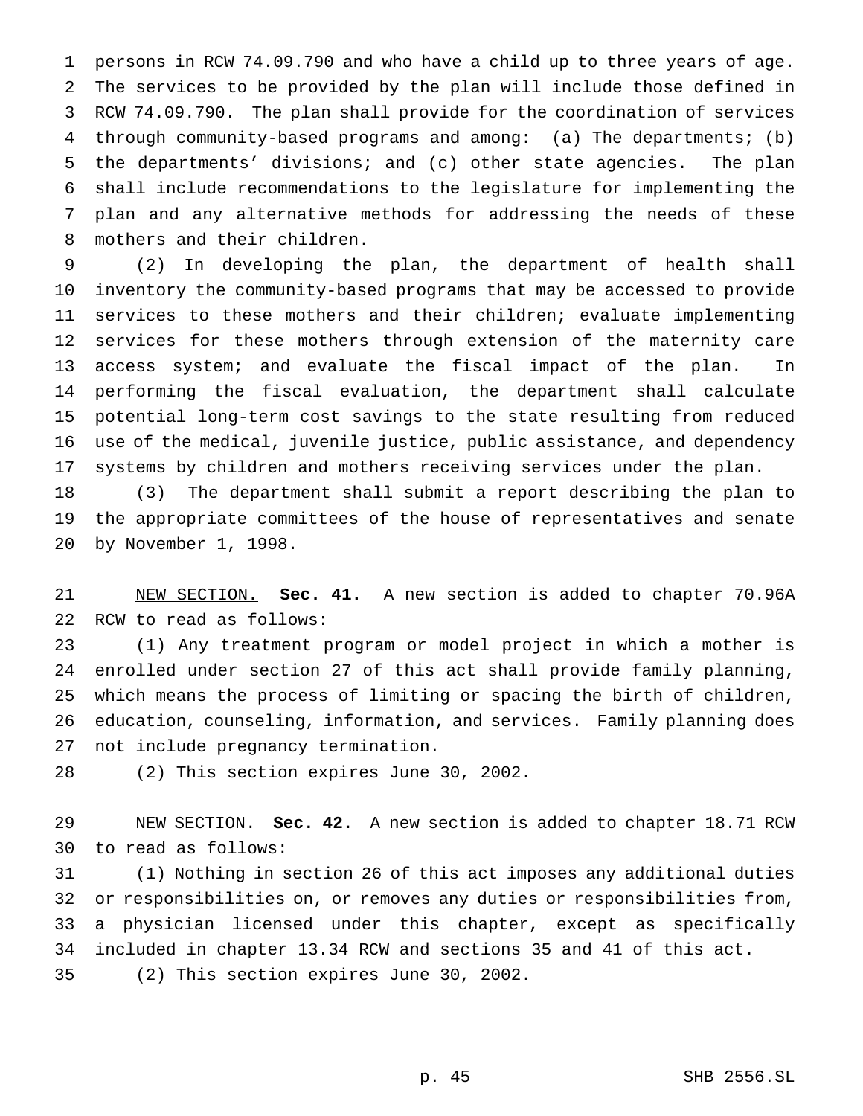persons in RCW 74.09.790 and who have a child up to three years of age. The services to be provided by the plan will include those defined in RCW 74.09.790. The plan shall provide for the coordination of services through community-based programs and among: (a) The departments; (b) the departments' divisions; and (c) other state agencies. The plan shall include recommendations to the legislature for implementing the plan and any alternative methods for addressing the needs of these mothers and their children.

 (2) In developing the plan, the department of health shall inventory the community-based programs that may be accessed to provide services to these mothers and their children; evaluate implementing services for these mothers through extension of the maternity care access system; and evaluate the fiscal impact of the plan. In performing the fiscal evaluation, the department shall calculate potential long-term cost savings to the state resulting from reduced use of the medical, juvenile justice, public assistance, and dependency systems by children and mothers receiving services under the plan.

 (3) The department shall submit a report describing the plan to the appropriate committees of the house of representatives and senate by November 1, 1998.

 NEW SECTION. **Sec. 41.** A new section is added to chapter 70.96A RCW to read as follows:

 (1) Any treatment program or model project in which a mother is enrolled under section 27 of this act shall provide family planning, which means the process of limiting or spacing the birth of children, education, counseling, information, and services. Family planning does not include pregnancy termination.

(2) This section expires June 30, 2002.

 NEW SECTION. **Sec. 42.** A new section is added to chapter 18.71 RCW to read as follows:

 (1) Nothing in section 26 of this act imposes any additional duties or responsibilities on, or removes any duties or responsibilities from, a physician licensed under this chapter, except as specifically included in chapter 13.34 RCW and sections 35 and 41 of this act. (2) This section expires June 30, 2002.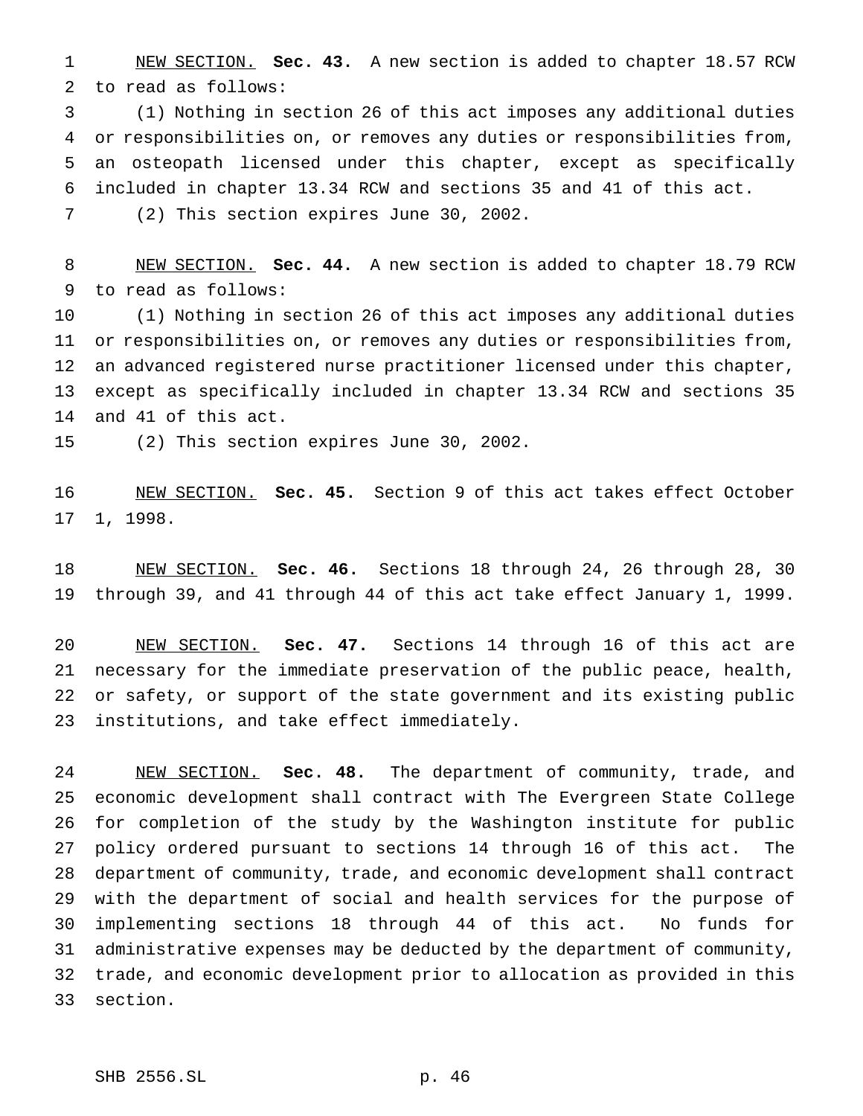NEW SECTION. **Sec. 43.** A new section is added to chapter 18.57 RCW to read as follows:

 (1) Nothing in section 26 of this act imposes any additional duties or responsibilities on, or removes any duties or responsibilities from, an osteopath licensed under this chapter, except as specifically included in chapter 13.34 RCW and sections 35 and 41 of this act.

(2) This section expires June 30, 2002.

 NEW SECTION. **Sec. 44.** A new section is added to chapter 18.79 RCW to read as follows:

 (1) Nothing in section 26 of this act imposes any additional duties or responsibilities on, or removes any duties or responsibilities from, an advanced registered nurse practitioner licensed under this chapter, except as specifically included in chapter 13.34 RCW and sections 35 and 41 of this act.

(2) This section expires June 30, 2002.

 NEW SECTION. **Sec. 45.** Section 9 of this act takes effect October 1, 1998.

 NEW SECTION. **Sec. 46.** Sections 18 through 24, 26 through 28, 30 through 39, and 41 through 44 of this act take effect January 1, 1999.

 NEW SECTION. **Sec. 47.** Sections 14 through 16 of this act are necessary for the immediate preservation of the public peace, health, or safety, or support of the state government and its existing public institutions, and take effect immediately.

 NEW SECTION. **Sec. 48.** The department of community, trade, and economic development shall contract with The Evergreen State College for completion of the study by the Washington institute for public policy ordered pursuant to sections 14 through 16 of this act. The department of community, trade, and economic development shall contract with the department of social and health services for the purpose of implementing sections 18 through 44 of this act. No funds for administrative expenses may be deducted by the department of community, trade, and economic development prior to allocation as provided in this section.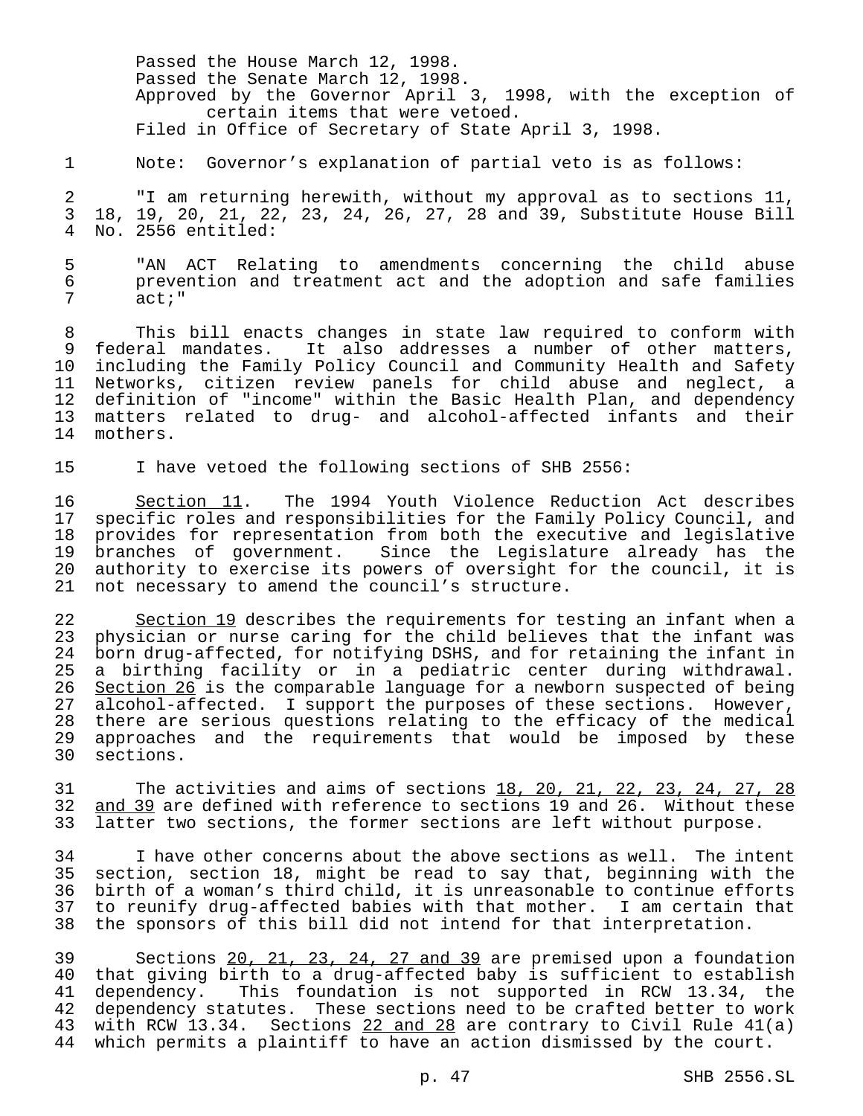Passed the House March 12, 1998. Passed the Senate March 12, 1998. Approved by the Governor April 3, 1998, with the exception of certain items that were vetoed. Filed in Office of Secretary of State April 3, 1998.

1 Note: Governor's explanation of partial veto is as follows:

2 "I am returning herewith, without my approval as to sections 11, 3 18, 19, 20, 21, 22, 23, 24, 26, 27, 28 and 39, Substitute House Bill No. 2556 entitled:

5 TM ACT Relating to amendments concerning the child abuse<br>6 The prevention and treatment act and the adoption and safe families prevention and treatment act and the adoption and safe families 7 act;"

 This bill enacts changes in state law required to conform with federal mandates. It also addresses a number of other matters, including the Family Policy Council and Community Health and Safety Networks, citizen review panels for child abuse and neglect, a 12 definition of "income" within the Basic Health Plan, and dependency<br>13 matters related to drug- and alcohol-affected infants and their matters related to drug- and alcohol-affected infants and their mothers.

15 I have vetoed the following sections of SHB 2556:

16 Section 11. The 1994 Youth Violence Reduction Act describes<br>17 specific roles and responsibilities for the Family Policy Council, and specific roles and responsibilities for the Family Policy Council, and provides for representation from both the executive and legislative branches of government. Since the Legislature already has the authority to exercise its powers of oversight for the council, it is not necessary to amend the council's structure.

22 Section 19 describes the requirements for testing an infant when a physician or nurse caring for the child believes that the infant was born drug-affected, for notifying DSHS, and for retaining the infant in a birthing facility or in a pediatric center during withdrawal. 26 <u>Section 26</u> is the comparable language for a newborn suspected of being<br>27 alcohol-affected. I support the purposes of these sections. However, alcohol-affected. I support the purposes of these sections. However, there are serious questions relating to the efficacy of the medical approaches and the requirements that would be imposed by these sections.

31 The activities and aims of sections 18, 20, 21, 22, 23, 24, 27, 28 32 and 39 are defined with reference to sections 19 and 26. Without these 33 latter two sections, the former sections are left without purpose.

 I have other concerns about the above sections as well. The intent section, section 18, might be read to say that, beginning with the birth of a woman's third child, it is unreasonable to continue efforts to reunify drug-affected babies with that mother. I am certain that the sponsors of this bill did not intend for that interpretation.

39 Sections 20, 21, 23, 24, 27 and 39 are premised upon a foundation<br>40 that giving birth to a drug-affected baby is sufficient to establish 40 that giving birth to a drug-affected baby is sufficient to establish<br>41 dependency. This foundation is not supported in RCW 13.34, the dependency. This foundation is not supported in RCW 13.34, the 42 dependency statutes. These sections need to be crafted better to work 43 with RCW 13.34. Sections 22 and 28 are contrary to Civil Rule 41(a) 44 which permits a plaintiff to have an action dismissed by the court.